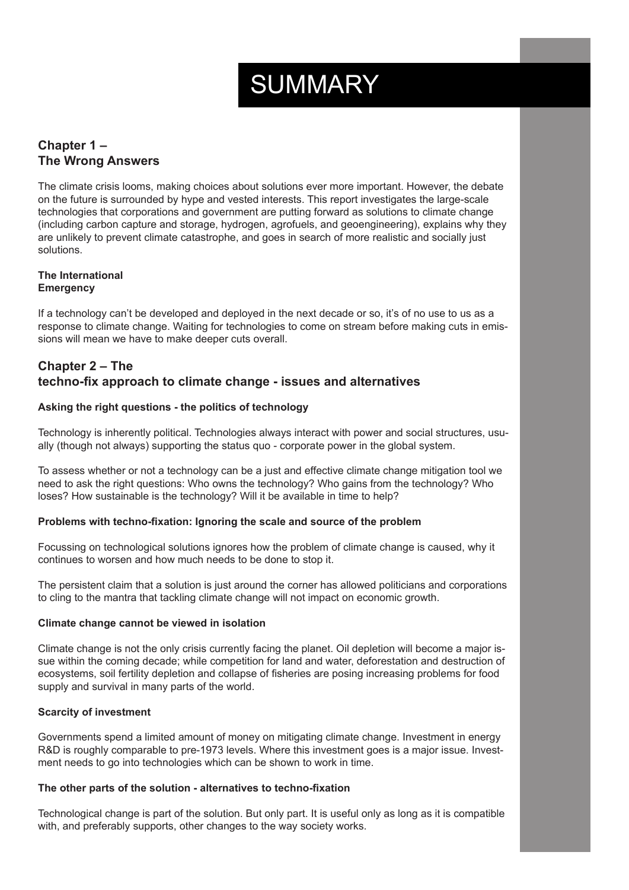# SUMMARY

# **Chapter 1 – The Wrong Answers**

The climate crisis looms, making choices about solutions ever more important. However, the debate on the future is surrounded by hype and vested interests. This report investigates the large-scale technologies that corporations and government are putting forward as solutions to climate change (including carbon capture and storage, hydrogen, agrofuels, and geoengineering), explains why they are unlikely to prevent climate catastrophe, and goes in search of more realistic and socially just solutions.

#### **The International Emergency**

If a technology can't be developed and deployed in the next decade or so, it's of no use to us as a response to climate change. Waiting for technologies to come on stream before making cuts in emissions will mean we have to make deeper cuts overall.

# **Chapter 2 – The techno-fix approach to climate change - issues and alternatives**

# **Asking the right questions - the politics of technology**

Technology is inherently political. Technologies always interact with power and social structures, usually (though not always) supporting the status quo - corporate power in the global system.

To assess whether or not a technology can be a just and effective climate change mitigation tool we need to ask the right questions: Who owns the technology? Who gains from the technology? Who loses? How sustainable is the technology? Will it be available in time to help?

#### **Problems with techno-fixation: Ignoring the scale and source of the problem**

Focussing on technological solutions ignores how the problem of climate change is caused, why it continues to worsen and how much needs to be done to stop it.

The persistent claim that a solution is just around the corner has allowed politicians and corporations to cling to the mantra that tackling climate change will not impact on economic growth.

#### **Climate change cannot be viewed in isolation**

Climate change is not the only crisis currently facing the planet. Oil depletion will become a major issue within the coming decade; while competition for land and water, deforestation and destruction of ecosystems, soil fertility depletion and collapse of fisheries are posing increasing problems for food supply and survival in many parts of the world.

#### **Scarcity of investment**

Governments spend a limited amount of money on mitigating climate change. Investment in energy R&D is roughly comparable to pre-1973 levels. Where this investment goes is a major issue. Investment needs to go into technologies which can be shown to work in time.

#### **The other parts of the solution - alternatives to techno-fixation**

Technological change is part of the solution. But only part. It is useful only as long as it is compatible with, and preferably supports, other changes to the way society works.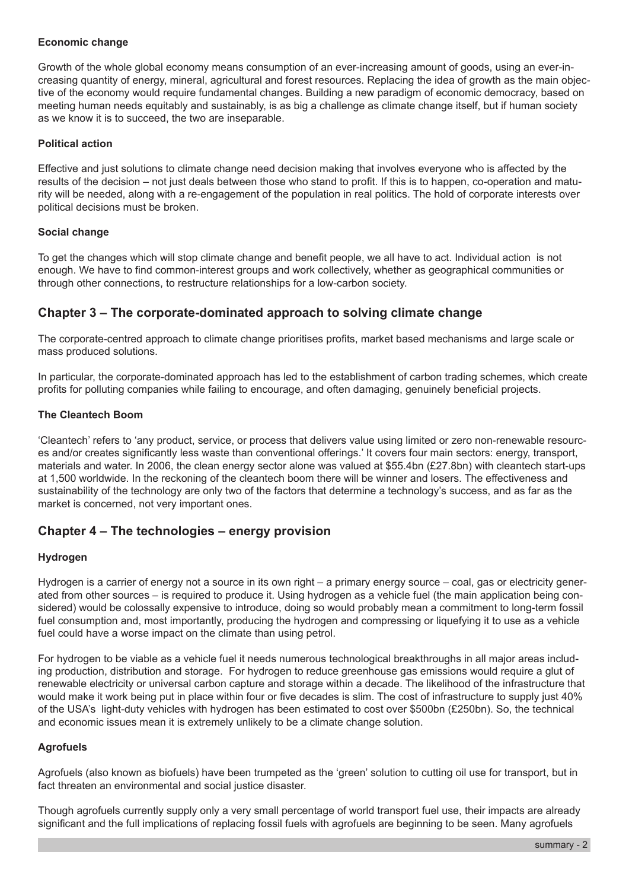#### **Economic change**

Growth of the whole global economy means consumption of an ever-increasing amount of goods, using an ever-increasing quantity of energy, mineral, agricultural and forest resources. Replacing the idea of growth as the main objective of the economy would require fundamental changes. Building a new paradigm of economic democracy, based on meeting human needs equitably and sustainably, is as big a challenge as climate change itself, but if human society as we know it is to succeed, the two are inseparable.

#### **Political action**

Effective and just solutions to climate change need decision making that involves everyone who is affected by the results of the decision – not just deals between those who stand to profit. If this is to happen, co-operation and maturity will be needed, along with a re-engagement of the population in real politics. The hold of corporate interests over political decisions must be broken.

#### **Social change**

To get the changes which will stop climate change and benefit people, we all have to act. Individual action is not enough. We have to find common-interest groups and work collectively, whether as geographical communities or through other connections, to restructure relationships for a low-carbon society.

# **Chapter 3 – The corporate-dominated approach to solving climate change**

The corporate-centred approach to climate change prioritises profits, market based mechanisms and large scale or mass produced solutions.

In particular, the corporate-dominated approach has led to the establishment of carbon trading schemes, which create profits for polluting companies while failing to encourage, and often damaging, genuinely beneficial projects.

#### **The Cleantech Boom**

'Cleantech' refers to 'any product, service, or process that delivers value using limited or zero non-renewable resources and/or creates significantly less waste than conventional offerings.' It covers four main sectors: energy, transport, materials and water. In 2006, the clean energy sector alone was valued at \$55.4bn (£27.8bn) with cleantech start-ups at 1,500 worldwide. In the reckoning of the cleantech boom there will be winner and losers. The effectiveness and sustainability of the technology are only two of the factors that determine a technology's success, and as far as the market is concerned, not very important ones.

# **Chapter 4 – The technologies – energy provision**

#### **Hydrogen**

Hydrogen is a carrier of energy not a source in its own right – a primary energy source – coal, gas or electricity generated from other sources – is required to produce it. Using hydrogen as a vehicle fuel (the main application being considered) would be colossally expensive to introduce, doing so would probably mean a commitment to long-term fossil fuel consumption and, most importantly, producing the hydrogen and compressing or liquefying it to use as a vehicle fuel could have a worse impact on the climate than using petrol.

For hydrogen to be viable as a vehicle fuel it needs numerous technological breakthroughs in all major areas including production, distribution and storage. For hydrogen to reduce greenhouse gas emissions would require a glut of renewable electricity or universal carbon capture and storage within a decade. The likelihood of the infrastructure that would make it work being put in place within four or five decades is slim. The cost of infrastructure to supply just 40% of the USA's light-duty vehicles with hydrogen has been estimated to cost over \$500bn (£250bn). So, the technical and economic issues mean it is extremely unlikely to be a climate change solution.

#### **Agrofuels**

Agrofuels (also known as biofuels) have been trumpeted as the 'green' solution to cutting oil use for transport, but in fact threaten an environmental and social justice disaster.

Though agrofuels currently supply only a very small percentage of world transport fuel use, their impacts are already significant and the full implications of replacing fossil fuels with agrofuels are beginning to be seen. Many agrofuels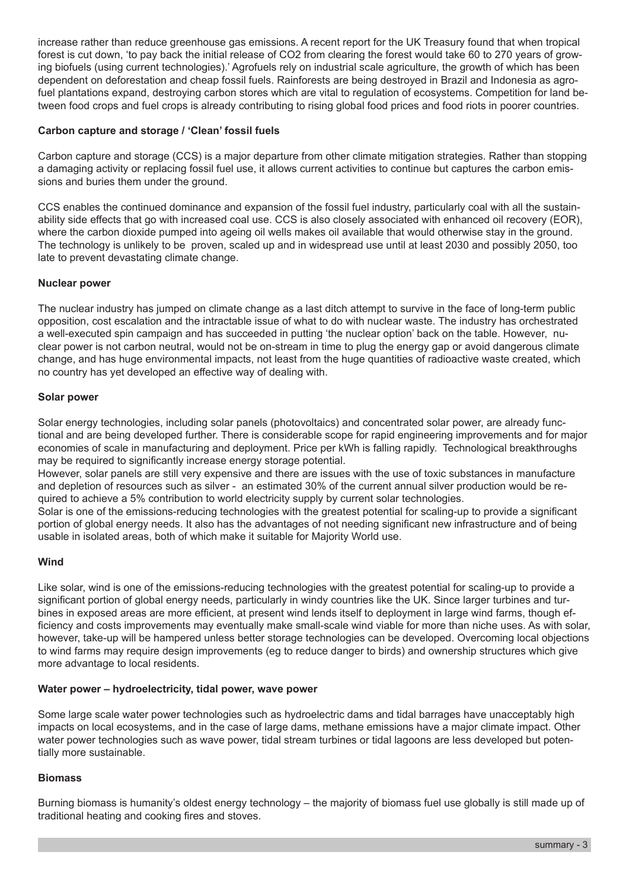increase rather than reduce greenhouse gas emissions. A recent report for the UK Treasury found that when tropical forest is cut down, 'to pay back the initial release of CO2 from clearing the forest would take 60 to 270 years of growing biofuels (using current technologies).' Agrofuels rely on industrial scale agriculture, the growth of which has been dependent on deforestation and cheap fossil fuels. Rainforests are being destroyed in Brazil and Indonesia as agrofuel plantations expand, destroying carbon stores which are vital to regulation of ecosystems. Competition for land between food crops and fuel crops is already contributing to rising global food prices and food riots in poorer countries.

#### **Carbon capture and storage / 'Clean' fossil fuels**

Carbon capture and storage (CCS) is a major departure from other climate mitigation strategies. Rather than stopping a damaging activity or replacing fossil fuel use, it allows current activities to continue but captures the carbon emissions and buries them under the ground.

CCS enables the continued dominance and expansion of the fossil fuel industry, particularly coal with all the sustainability side effects that go with increased coal use. CCS is also closely associated with enhanced oil recovery (EOR), where the carbon dioxide pumped into ageing oil wells makes oil available that would otherwise stay in the ground. The technology is unlikely to be proven, scaled up and in widespread use until at least 2030 and possibly 2050, too late to prevent devastating climate change.

#### **Nuclear power**

The nuclear industry has jumped on climate change as a last ditch attempt to survive in the face of long-term public opposition, cost escalation and the intractable issue of what to do with nuclear waste. The industry has orchestrated a well-executed spin campaign and has succeeded in putting 'the nuclear option' back on the table. However, nuclear power is not carbon neutral, would not be on-stream in time to plug the energy gap or avoid dangerous climate change, and has huge environmental impacts, not least from the huge quantities of radioactive waste created, which no country has yet developed an effective way of dealing with.

#### **Solar power**

Solar energy technologies, including solar panels (photovoltaics) and concentrated solar power, are already functional and are being developed further. There is considerable scope for rapid engineering improvements and for major economies of scale in manufacturing and deployment. Price per kWh is falling rapidly. Technological breakthroughs may be required to significantly increase energy storage potential.

However, solar panels are still very expensive and there are issues with the use of toxic substances in manufacture and depletion of resources such as silver - an estimated 30% of the current annual silver production would be required to achieve a 5% contribution to world electricity supply by current solar technologies.

Solar is one of the emissions-reducing technologies with the greatest potential for scaling-up to provide a significant portion of global energy needs. It also has the advantages of not needing significant new infrastructure and of being usable in isolated areas, both of which make it suitable for Majority World use.

#### **Wind**

Like solar, wind is one of the emissions-reducing technologies with the greatest potential for scaling-up to provide a significant portion of global energy needs, particularly in windy countries like the UK. Since larger turbines and turbines in exposed areas are more efficient, at present wind lends itself to deployment in large wind farms, though efficiency and costs improvements may eventually make small-scale wind viable for more than niche uses. As with solar, however, take-up will be hampered unless better storage technologies can be developed. Overcoming local objections to wind farms may require design improvements (eg to reduce danger to birds) and ownership structures which give more advantage to local residents.

#### **Water power – hydroelectricity, tidal power, wave power**

Some large scale water power technologies such as hydroelectric dams and tidal barrages have unacceptably high impacts on local ecosystems, and in the case of large dams, methane emissions have a major climate impact. Other water power technologies such as wave power, tidal stream turbines or tidal lagoons are less developed but potentially more sustainable.

#### **Biomass**

Burning biomass is humanity's oldest energy technology – the majority of biomass fuel use globally is still made up of traditional heating and cooking fires and stoves.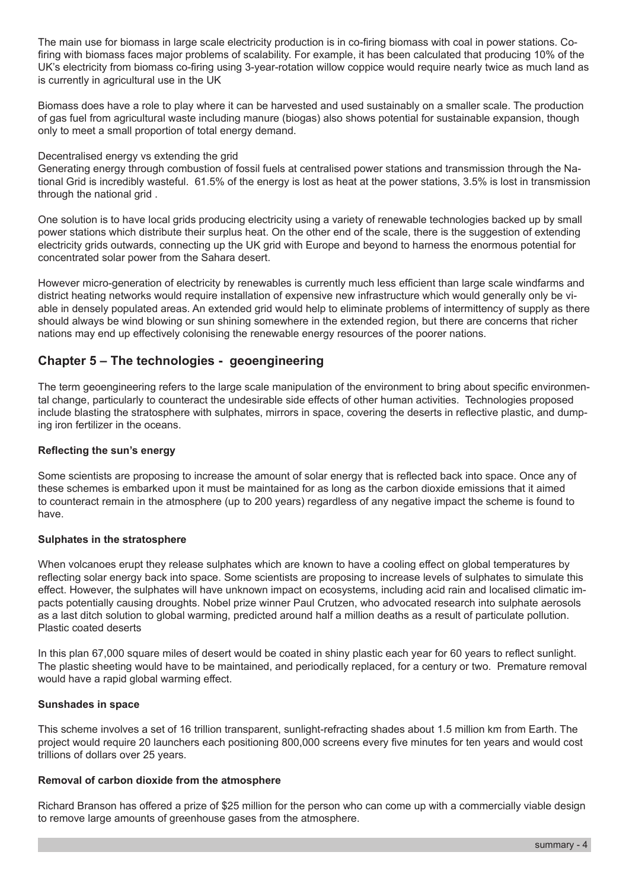The main use for biomass in large scale electricity production is in co-firing biomass with coal in power stations. Cofiring with biomass faces major problems of scalability. For example, it has been calculated that producing 10% of the UK's electricity from biomass co-firing using 3-year-rotation willow coppice would require nearly twice as much land as is currently in agricultural use in the UK

Biomass does have a role to play where it can be harvested and used sustainably on a smaller scale. The production of gas fuel from agricultural waste including manure (biogas) also shows potential for sustainable expansion, though only to meet a small proportion of total energy demand.

#### Decentralised energy vs extending the grid

Generating energy through combustion of fossil fuels at centralised power stations and transmission through the National Grid is incredibly wasteful. 61.5% of the energy is lost as heat at the power stations, 3.5% is lost in transmission through the national grid .

One solution is to have local grids producing electricity using a variety of renewable technologies backed up by small power stations which distribute their surplus heat. On the other end of the scale, there is the suggestion of extending electricity grids outwards, connecting up the UK grid with Europe and beyond to harness the enormous potential for concentrated solar power from the Sahara desert.

However micro-generation of electricity by renewables is currently much less efficient than large scale windfarms and district heating networks would require installation of expensive new infrastructure which would generally only be viable in densely populated areas. An extended grid would help to eliminate problems of intermittency of supply as there should always be wind blowing or sun shining somewhere in the extended region, but there are concerns that richer nations may end up effectively colonising the renewable energy resources of the poorer nations.

# **Chapter 5 – The technologies - geoengineering**

The term geoengineering refers to the large scale manipulation of the environment to bring about specific environmental change, particularly to counteract the undesirable side effects of other human activities. Technologies proposed include blasting the stratosphere with sulphates, mirrors in space, covering the deserts in reflective plastic, and dumping iron fertilizer in the oceans.

#### **Reflecting the sun's energy**

Some scientists are proposing to increase the amount of solar energy that is reflected back into space. Once any of these schemes is embarked upon it must be maintained for as long as the carbon dioxide emissions that it aimed to counteract remain in the atmosphere (up to 200 years) regardless of any negative impact the scheme is found to have.

#### **Sulphates in the stratosphere**

When volcanoes erupt they release sulphates which are known to have a cooling effect on global temperatures by reflecting solar energy back into space. Some scientists are proposing to increase levels of sulphates to simulate this effect. However, the sulphates will have unknown impact on ecosystems, including acid rain and localised climatic impacts potentially causing droughts. Nobel prize winner Paul Crutzen, who advocated research into sulphate aerosols as a last ditch solution to global warming, predicted around half a million deaths as a result of particulate pollution. Plastic coated deserts

In this plan 67,000 square miles of desert would be coated in shiny plastic each year for 60 years to reflect sunlight. The plastic sheeting would have to be maintained, and periodically replaced, for a century or two. Premature removal would have a rapid global warming effect.

#### **Sunshades in space**

This scheme involves a set of 16 trillion transparent, sunlight-refracting shades about 1.5 million km from Earth. The project would require 20 launchers each positioning 800,000 screens every five minutes for ten years and would cost trillions of dollars over 25 years.

#### **Removal of carbon dioxide from the atmosphere**

Richard Branson has offered a prize of \$25 million for the person who can come up with a commercially viable design to remove large amounts of greenhouse gases from the atmosphere.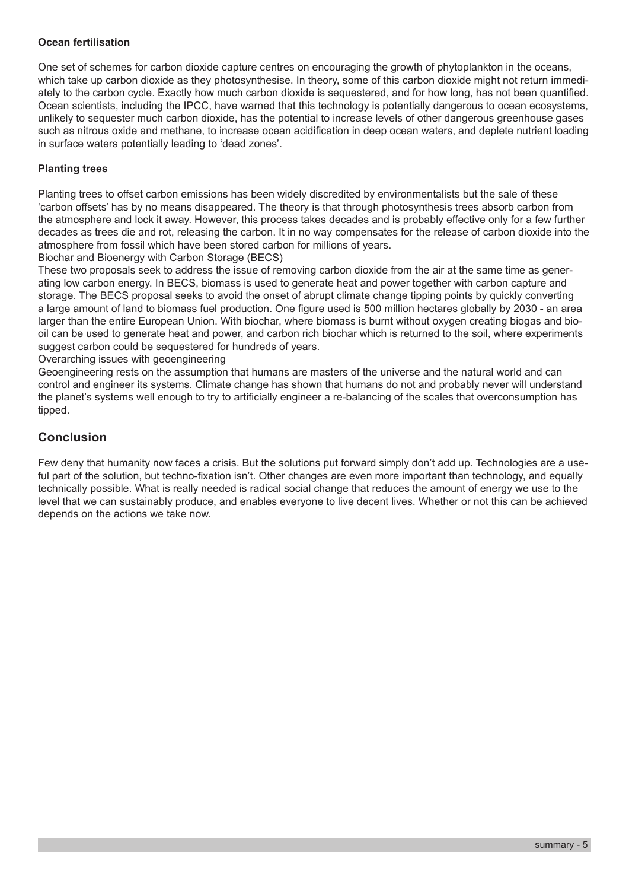#### **Ocean fertilisation**

One set of schemes for carbon dioxide capture centres on encouraging the growth of phytoplankton in the oceans, which take up carbon dioxide as they photosynthesise. In theory, some of this carbon dioxide might not return immediately to the carbon cycle. Exactly how much carbon dioxide is sequestered, and for how long, has not been quantified. Ocean scientists, including the IPCC, have warned that this technology is potentially dangerous to ocean ecosystems, unlikely to sequester much carbon dioxide, has the potential to increase levels of other dangerous greenhouse gases such as nitrous oxide and methane, to increase ocean acidification in deep ocean waters, and deplete nutrient loading in surface waters potentially leading to 'dead zones'.

### **Planting trees**

Planting trees to offset carbon emissions has been widely discredited by environmentalists but the sale of these 'carbon offsets' has by no means disappeared. The theory is that through photosynthesis trees absorb carbon from the atmosphere and lock it away. However, this process takes decades and is probably effective only for a few further decades as trees die and rot, releasing the carbon. It in no way compensates for the release of carbon dioxide into the atmosphere from fossil which have been stored carbon for millions of years.

Biochar and Bioenergy with Carbon Storage (BECS)

These two proposals seek to address the issue of removing carbon dioxide from the air at the same time as generating low carbon energy. In BECS, biomass is used to generate heat and power together with carbon capture and storage. The BECS proposal seeks to avoid the onset of abrupt climate change tipping points by quickly converting a large amount of land to biomass fuel production. One figure used is 500 million hectares globally by 2030 - an area larger than the entire European Union. With biochar, where biomass is burnt without oxygen creating biogas and biooil can be used to generate heat and power, and carbon rich biochar which is returned to the soil, where experiments suggest carbon could be sequestered for hundreds of years.

Overarching issues with geoengineering

Geoengineering rests on the assumption that humans are masters of the universe and the natural world and can control and engineer its systems. Climate change has shown that humans do not and probably never will understand the planet's systems well enough to try to artificially engineer a re-balancing of the scales that overconsumption has tipped.

# **Conclusion**

Few deny that humanity now faces a crisis. But the solutions put forward simply don't add up. Technologies are a useful part of the solution, but techno-fixation isn't. Other changes are even more important than technology, and equally technically possible. What is really needed is radical social change that reduces the amount of energy we use to the level that we can sustainably produce, and enables everyone to live decent lives. Whether or not this can be achieved depends on the actions we take now.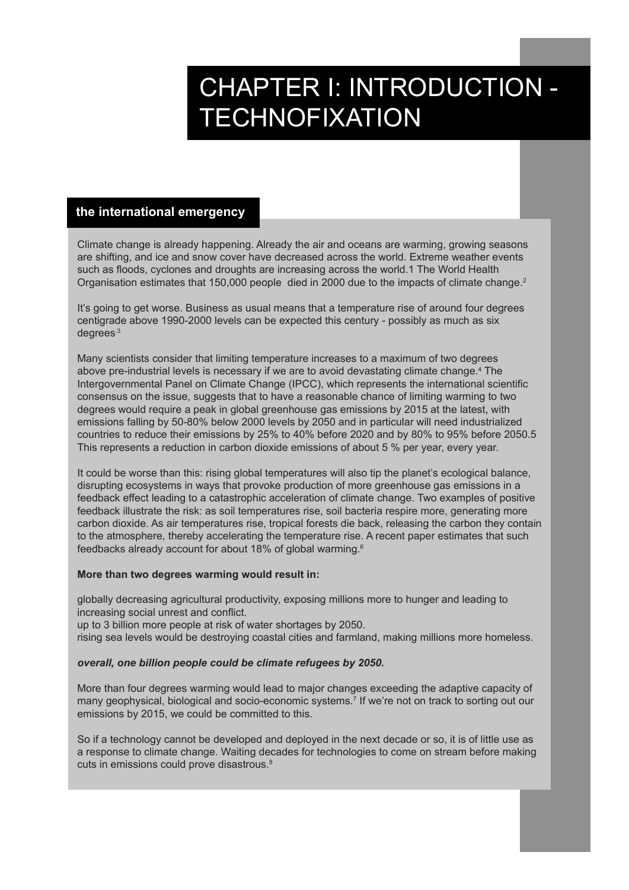# CHAPTER I: INTRODUCTION - **TECHNOFIXATION**

#### **the international emergency**

Climate change is already happening. Already the air and oceans are warming, growing seasons are shifting, and ice and snow cover have decreased across the world. Extreme weather events such as floods, cyclones and droughts are increasing across the world.1 The World Health Organisation estimates that 150,000 people died in 2000 due to the impacts of climate change.<sup>2</sup>

It's going to get worse. Business as usual means that a temperature rise of around four degrees centigrade above 1990-2000 levels can be expected this century - possibly as much as six degrees.3

Many scientists consider that limiting temperature increases to a maximum of two degrees above pre-industrial levels is necessary if we are to avoid devastating climate change.<sup>4</sup> The Intergovernmental Panel on Climate Change (IPCC), which represents the international scientific consensus on the issue, suggests that to have a reasonable chance of limiting warming to two degrees would require a peak in global greenhouse gas emissions by 2015 at the latest, with emissions falling by 50-80% below 2000 levels by 2050 and in particular will need industrialized countries to reduce their emissions by 25% to 40% before 2020 and by 80% to 95% before 2050.5 This represents a reduction in carbon dioxide emissions of about 5 % per year, every year.

It could be worse than this: rising global temperatures will also tip the planet's ecological balance, disrupting ecosystems in ways that provoke production of more greenhouse gas emissions in a feedback effect leading to a catastrophic acceleration of climate change. Two examples of positive feedback illustrate the risk: as soil temperatures rise, soil bacteria respire more, generating more carbon dioxide. As air temperatures rise, tropical forests die back, releasing the carbon they contain to the atmosphere, thereby accelerating the temperature rise. A recent paper estimates that such feedbacks already account for about 18% of global warming.<sup>6</sup>

#### **More than two degrees warming would result in:**

globally decreasing agricultural productivity, exposing millions more to hunger and leading to increasing social unrest and conflict.

up to 3 billion more people at risk of water shortages by 2050.

rising sea levels would be destroying coastal cities and farmland, making millions more homeless.

#### *overall, one billion people could be climate refugees by 2050.*

More than four degrees warming would lead to major changes exceeding the adaptive capacity of many geophysical, biological and socio-economic systems.7 If we're not on track to sorting out our emissions by 2015, we could be committed to this.

So if a technology cannot be developed and deployed in the next decade or so, it is of little use as a response to climate change. Waiting decades for technologies to come on stream before making cuts in emissions could prove disastrous.<sup>8</sup>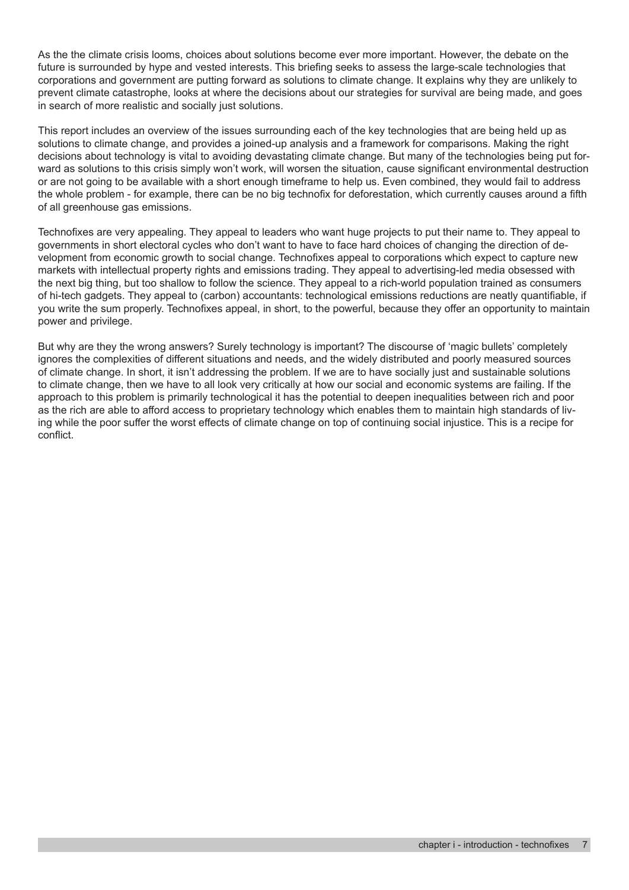As the the climate crisis looms, choices about solutions become ever more important. However, the debate on the future is surrounded by hype and vested interests. This briefing seeks to assess the large-scale technologies that corporations and government are putting forward as solutions to climate change. It explains why they are unlikely to prevent climate catastrophe, looks at where the decisions about our strategies for survival are being made, and goes in search of more realistic and socially just solutions.

This report includes an overview of the issues surrounding each of the key technologies that are being held up as solutions to climate change, and provides a joined-up analysis and a framework for comparisons. Making the right decisions about technology is vital to avoiding devastating climate change. But many of the technologies being put forward as solutions to this crisis simply won't work, will worsen the situation, cause significant environmental destruction or are not going to be available with a short enough timeframe to help us. Even combined, they would fail to address the whole problem - for example, there can be no big technofix for deforestation, which currently causes around a fifth of all greenhouse gas emissions.

Technofixes are very appealing. They appeal to leaders who want huge projects to put their name to. They appeal to governments in short electoral cycles who don't want to have to face hard choices of changing the direction of development from economic growth to social change. Technofixes appeal to corporations which expect to capture new markets with intellectual property rights and emissions trading. They appeal to advertising-led media obsessed with the next big thing, but too shallow to follow the science. They appeal to a rich-world population trained as consumers of hi-tech gadgets. They appeal to (carbon) accountants: technological emissions reductions are neatly quantifiable, if you write the sum properly. Technofixes appeal, in short, to the powerful, because they offer an opportunity to maintain power and privilege.

But why are they the wrong answers? Surely technology is important? The discourse of 'magic bullets' completely ignores the complexities of different situations and needs, and the widely distributed and poorly measured sources of climate change. In short, it isn't addressing the problem. If we are to have socially just and sustainable solutions to climate change, then we have to all look very critically at how our social and economic systems are failing. If the approach to this problem is primarily technological it has the potential to deepen inequalities between rich and poor as the rich are able to afford access to proprietary technology which enables them to maintain high standards of living while the poor suffer the worst effects of climate change on top of continuing social injustice. This is a recipe for conflict.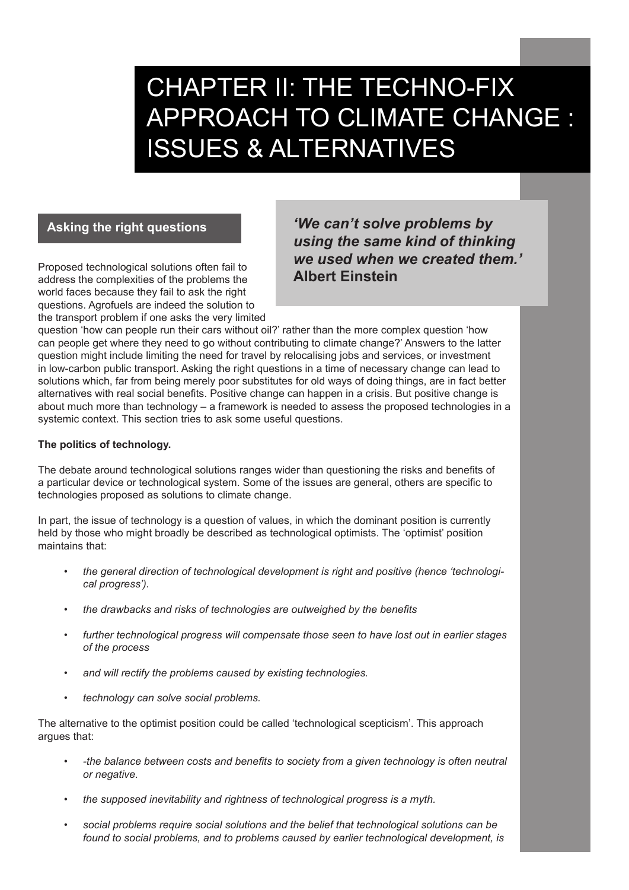# CHAPTER II: THE TECHNO-FIX APPROACH TO CLIMATE CHANGE : ISSUES & ALTERNATIVES

# **Asking the right questions**

Proposed technological solutions often fail to address the complexities of the problems the world faces because they fail to ask the right questions. Agrofuels are indeed the solution to the transport problem if one asks the very limited

*'We can't solve problems by using the same kind of thinking we used when we created them.'*  **Albert Einstein**

question 'how can people run their cars without oil?' rather than the more complex question 'how can people get where they need to go without contributing to climate change?' Answers to the latter question might include limiting the need for travel by relocalising jobs and services, or investment in low-carbon public transport. Asking the right questions in a time of necessary change can lead to solutions which, far from being merely poor substitutes for old ways of doing things, are in fact better alternatives with real social benefits. Positive change can happen in a crisis. But positive change is about much more than technology – a framework is needed to assess the proposed technologies in a systemic context. This section tries to ask some useful questions.

### **The politics of technology.**

The debate around technological solutions ranges wider than questioning the risks and benefits of a particular device or technological system. Some of the issues are general, others are specific to technologies proposed as solutions to climate change.

In part, the issue of technology is a question of values, in which the dominant position is currently held by those who might broadly be described as technological optimists. The 'optimist' position maintains that:

- the general direction of technological development is right and positive (hence 'technologi*cal progress').*
- *• the drawbacks and risks of technologies are outweighed by the benefits*
- further technological progress will compensate those seen to have lost out in earlier stages *of the process*
- and will rectify the problems caused by existing technologies.
- *• technology can solve social problems.*

The alternative to the optimist position could be called 'technological scepticism'. This approach argues that:

- *• -the balance between costs and benefits to society from a given technology is often neutral or negative.*
- the supposed inevitability and rightness of technological progress is a myth.
- social problems require social solutions and the belief that technological solutions can be *found to social problems, and to problems caused by earlier technological development, is*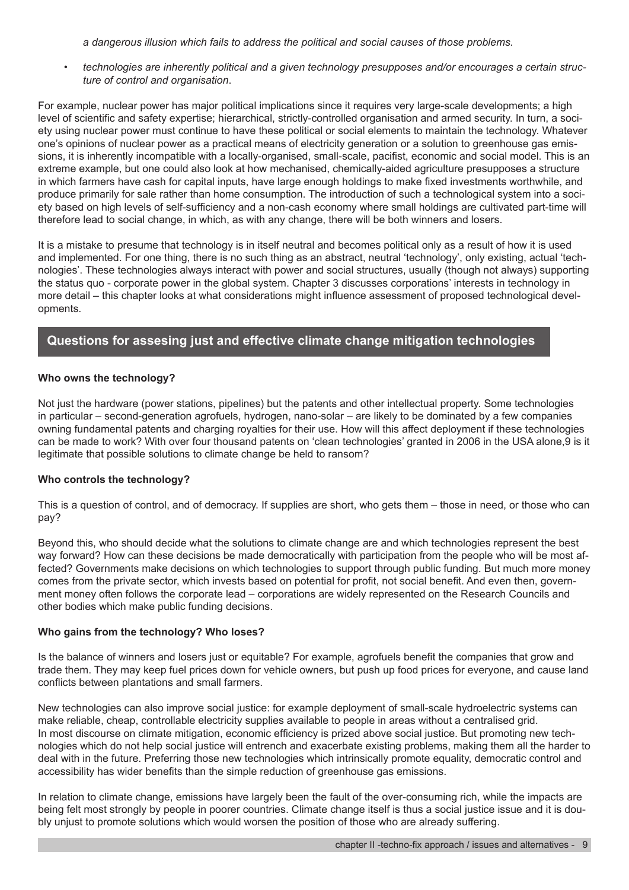*a dangerous illusion which fails to address the political and social causes of those problems.*

*b technologies are inherently political and a given technology presupposes and/or encourages a certain structure of control and organisation*.

For example, nuclear power has major political implications since it requires very large-scale developments; a high level of scientific and safety expertise; hierarchical, strictly-controlled organisation and armed security. In turn, a society using nuclear power must continue to have these political or social elements to maintain the technology. Whatever one's opinions of nuclear power as a practical means of electricity generation or a solution to greenhouse gas emissions, it is inherently incompatible with a locally-organised, small-scale, pacifist, economic and social model. This is an extreme example, but one could also look at how mechanised, chemically-aided agriculture presupposes a structure in which farmers have cash for capital inputs, have large enough holdings to make fixed investments worthwhile, and produce primarily for sale rather than home consumption. The introduction of such a technological system into a society based on high levels of self-sufficiency and a non-cash economy where small holdings are cultivated part-time will therefore lead to social change, in which, as with any change, there will be both winners and losers.

It is a mistake to presume that technology is in itself neutral and becomes political only as a result of how it is used and implemented. For one thing, there is no such thing as an abstract, neutral 'technology', only existing, actual 'technologies'. These technologies always interact with power and social structures, usually (though not always) supporting the status quo - corporate power in the global system. Chapter 3 discusses corporations' interests in technology in more detail – this chapter looks at what considerations might influence assessment of proposed technological developments.

# **Questions for assesing just and effective climate change mitigation technologies**

#### **Who owns the technology?**

Not just the hardware (power stations, pipelines) but the patents and other intellectual property. Some technologies in particular – second-generation agrofuels, hydrogen, nano-solar – are likely to be dominated by a few companies owning fundamental patents and charging royalties for their use. How will this affect deployment if these technologies can be made to work? With over four thousand patents on 'clean technologies' granted in 2006 in the USA alone,9 is it legitimate that possible solutions to climate change be held to ransom?

#### **Who controls the technology?**

This is a question of control, and of democracy. If supplies are short, who gets them – those in need, or those who can pay?

Beyond this, who should decide what the solutions to climate change are and which technologies represent the best way forward? How can these decisions be made democratically with participation from the people who will be most affected? Governments make decisions on which technologies to support through public funding. But much more money comes from the private sector, which invests based on potential for profit, not social benefit. And even then, government money often follows the corporate lead – corporations are widely represented on the Research Councils and other bodies which make public funding decisions.

#### **Who gains from the technology? Who loses?**

Is the balance of winners and losers just or equitable? For example, agrofuels benefit the companies that grow and trade them. They may keep fuel prices down for vehicle owners, but push up food prices for everyone, and cause land conflicts between plantations and small farmers.

New technologies can also improve social justice: for example deployment of small-scale hydroelectric systems can make reliable, cheap, controllable electricity supplies available to people in areas without a centralised grid. In most discourse on climate mitigation, economic efficiency is prized above social justice. But promoting new technologies which do not help social justice will entrench and exacerbate existing problems, making them all the harder to deal with in the future. Preferring those new technologies which intrinsically promote equality, democratic control and accessibility has wider benefits than the simple reduction of greenhouse gas emissions.

In relation to climate change, emissions have largely been the fault of the over-consuming rich, while the impacts are being felt most strongly by people in poorer countries. Climate change itself is thus a social justice issue and it is doubly unjust to promote solutions which would worsen the position of those who are already suffering.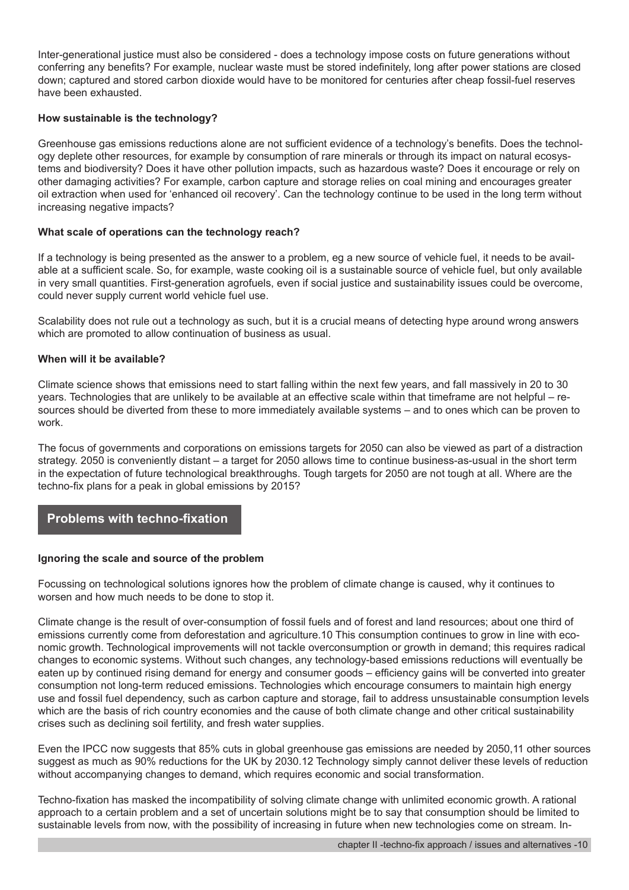Inter-generational justice must also be considered - does a technology impose costs on future generations without conferring any benefits? For example, nuclear waste must be stored indefinitely, long after power stations are closed down; captured and stored carbon dioxide would have to be monitored for centuries after cheap fossil-fuel reserves have been exhausted.

#### **How sustainable is the technology?**

Greenhouse gas emissions reductions alone are not sufficient evidence of a technology's benefits. Does the technology deplete other resources, for example by consumption of rare minerals or through its impact on natural ecosystems and biodiversity? Does it have other pollution impacts, such as hazardous waste? Does it encourage or rely on other damaging activities? For example, carbon capture and storage relies on coal mining and encourages greater oil extraction when used for 'enhanced oil recovery'. Can the technology continue to be used in the long term without increasing negative impacts?

#### **What scale of operations can the technology reach?**

If a technology is being presented as the answer to a problem, eg a new source of vehicle fuel, it needs to be available at a sufficient scale. So, for example, waste cooking oil is a sustainable source of vehicle fuel, but only available in very small quantities. First-generation agrofuels, even if social justice and sustainability issues could be overcome, could never supply current world vehicle fuel use.

Scalability does not rule out a technology as such, but it is a crucial means of detecting hype around wrong answers which are promoted to allow continuation of business as usual.

#### **When will it be available?**

Climate science shows that emissions need to start falling within the next few years, and fall massively in 20 to 30 years. Technologies that are unlikely to be available at an effective scale within that timeframe are not helpful – resources should be diverted from these to more immediately available systems – and to ones which can be proven to work.

The focus of governments and corporations on emissions targets for 2050 can also be viewed as part of a distraction strategy. 2050 is conveniently distant – a target for 2050 allows time to continue business-as-usual in the short term in the expectation of future technological breakthroughs. Tough targets for 2050 are not tough at all. Where are the techno-fix plans for a peak in global emissions by 2015?

# **Problems with techno-fixation**

#### **Ignoring the scale and source of the problem**

Focussing on technological solutions ignores how the problem of climate change is caused, why it continues to worsen and how much needs to be done to stop it.

Climate change is the result of over-consumption of fossil fuels and of forest and land resources; about one third of emissions currently come from deforestation and agriculture.10 This consumption continues to grow in line with economic growth. Technological improvements will not tackle overconsumption or growth in demand; this requires radical changes to economic systems. Without such changes, any technology-based emissions reductions will eventually be eaten up by continued rising demand for energy and consumer goods – efficiency gains will be converted into greater consumption not long-term reduced emissions. Technologies which encourage consumers to maintain high energy use and fossil fuel dependency, such as carbon capture and storage, fail to address unsustainable consumption levels which are the basis of rich country economies and the cause of both climate change and other critical sustainability crises such as declining soil fertility, and fresh water supplies.

Even the IPCC now suggests that 85% cuts in global greenhouse gas emissions are needed by 2050,11 other sources suggest as much as 90% reductions for the UK by 2030.12 Technology simply cannot deliver these levels of reduction without accompanying changes to demand, which requires economic and social transformation.

Techno-fixation has masked the incompatibility of solving climate change with unlimited economic growth. A rational approach to a certain problem and a set of uncertain solutions might be to say that consumption should be limited to sustainable levels from now, with the possibility of increasing in future when new technologies come on stream. In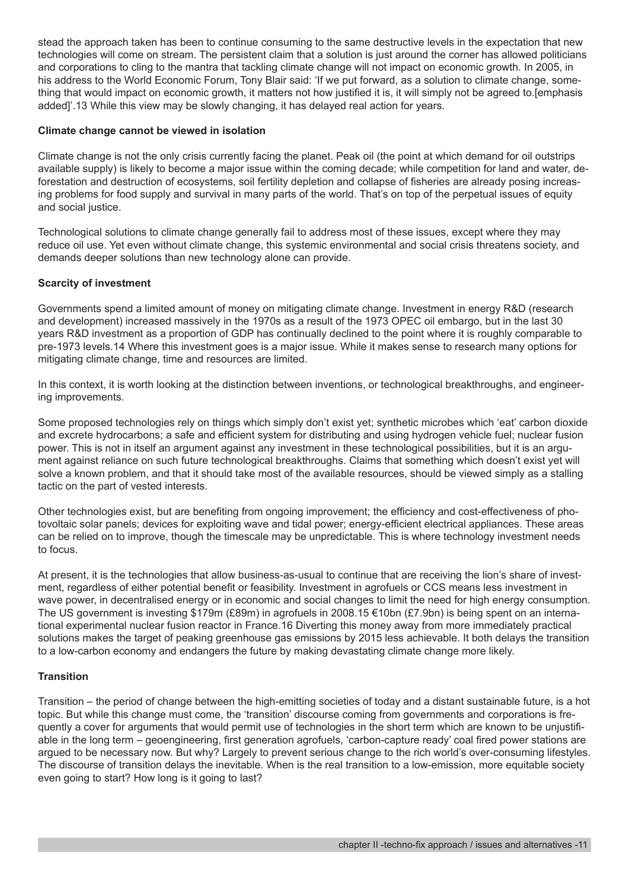stead the approach taken has been to continue consuming to the same destructive levels in the expectation that new technologies will come on stream. The persistent claim that a solution is just around the corner has allowed politicians and corporations to cling to the mantra that tackling climate change will not impact on economic growth. In 2005, in his address to the World Economic Forum, Tony Blair said: 'If we put forward, as a solution to climate change, something that would impact on economic growth, it matters not how justified it is, it will simply not be agreed to.[emphasis added]'.13 While this view may be slowly changing, it has delayed real action for years.

#### **Climate change cannot be viewed in isolation**

Climate change is not the only crisis currently facing the planet. Peak oil (the point at which demand for oil outstrips available supply) is likely to become a major issue within the coming decade; while competition for land and water, deforestation and destruction of ecosystems, soil fertility depletion and collapse of fisheries are already posing increasing problems for food supply and survival in many parts of the world. That's on top of the perpetual issues of equity and social justice.

Technological solutions to climate change generally fail to address most of these issues, except where they may reduce oil use. Yet even without climate change, this systemic environmental and social crisis threatens society, and demands deeper solutions than new technology alone can provide.

#### **Scarcity of investment**

Governments spend a limited amount of money on mitigating climate change. Investment in energy R&D (research and development) increased massively in the 1970s as a result of the 1973 OPEC oil embargo, but in the last 30 years R&D investment as a proportion of GDP has continually declined to the point where it is roughly comparable to pre-1973 levels.14 Where this investment goes is a major issue. While it makes sense to research many options for mitigating climate change, time and resources are limited.

In this context, it is worth looking at the distinction between inventions, or technological breakthroughs, and engineering improvements.

Some proposed technologies rely on things which simply don't exist yet; synthetic microbes which 'eat' carbon dioxide and excrete hydrocarbons; a safe and efficient system for distributing and using hydrogen vehicle fuel; nuclear fusion power. This is not in itself an argument against any investment in these technological possibilities, but it is an argument against reliance on such future technological breakthroughs. Claims that something which doesn't exist yet will solve a known problem, and that it should take most of the available resources, should be viewed simply as a stalling tactic on the part of vested interests.

Other technologies exist, but are benefiting from ongoing improvement; the efficiency and cost-effectiveness of photovoltaic solar panels; devices for exploiting wave and tidal power; energy-efficient electrical appliances. These areas can be relied on to improve, though the timescale may be unpredictable. This is where technology investment needs to focus.

At present, it is the technologies that allow business-as-usual to continue that are receiving the lion's share of investment, regardless of either potential benefit or feasibility. Investment in agrofuels or CCS means less investment in wave power, in decentralised energy or in economic and social changes to limit the need for high energy consumption. The US government is investing \$179m (£89m) in agrofuels in 2008.15 €10bn (£7.9bn) is being spent on an international experimental nuclear fusion reactor in France.16 Diverting this money away from more immediately practical solutions makes the target of peaking greenhouse gas emissions by 2015 less achievable. It both delays the transition to a low-carbon economy and endangers the future by making devastating climate change more likely.

#### **Transition**

Transition – the period of change between the high-emitting societies of today and a distant sustainable future, is a hot topic. But while this change must come, the 'transition' discourse coming from governments and corporations is frequently a cover for arguments that would permit use of technologies in the short term which are known to be unjustifiable in the long term – geoengineering, first generation agrofuels, 'carbon-capture ready' coal fired power stations are argued to be necessary now. But why? Largely to prevent serious change to the rich world's over-consuming lifestyles. The discourse of transition delays the inevitable. When is the real transition to a low-emission, more equitable society even going to start? How long is it going to last?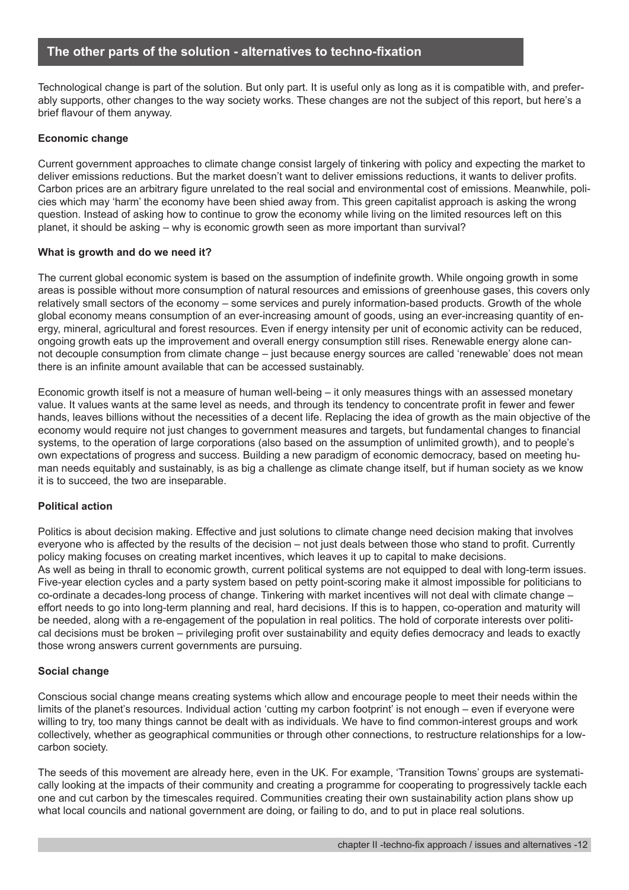# **The other parts of the solution - alternatives to techno-fixation**

Technological change is part of the solution. But only part. It is useful only as long as it is compatible with, and preferably supports, other changes to the way society works. These changes are not the subject of this report, but here's a brief flavour of them anyway.

#### **Economic change**

Current government approaches to climate change consist largely of tinkering with policy and expecting the market to deliver emissions reductions. But the market doesn't want to deliver emissions reductions, it wants to deliver profits. Carbon prices are an arbitrary figure unrelated to the real social and environmental cost of emissions. Meanwhile, policies which may 'harm' the economy have been shied away from. This green capitalist approach is asking the wrong question. Instead of asking how to continue to grow the economy while living on the limited resources left on this planet, it should be asking – why is economic growth seen as more important than survival?

#### **What is growth and do we need it?**

The current global economic system is based on the assumption of indefinite growth. While ongoing growth in some areas is possible without more consumption of natural resources and emissions of greenhouse gases, this covers only relatively small sectors of the economy – some services and purely information-based products. Growth of the whole global economy means consumption of an ever-increasing amount of goods, using an ever-increasing quantity of energy, mineral, agricultural and forest resources. Even if energy intensity per unit of economic activity can be reduced, ongoing growth eats up the improvement and overall energy consumption still rises. Renewable energy alone cannot decouple consumption from climate change – just because energy sources are called 'renewable' does not mean there is an infinite amount available that can be accessed sustainably.

Economic growth itself is not a measure of human well-being – it only measures things with an assessed monetary value. It values wants at the same level as needs, and through its tendency to concentrate profit in fewer and fewer hands, leaves billions without the necessities of a decent life. Replacing the idea of growth as the main objective of the economy would require not just changes to government measures and targets, but fundamental changes to financial systems, to the operation of large corporations (also based on the assumption of unlimited growth), and to people's own expectations of progress and success. Building a new paradigm of economic democracy, based on meeting human needs equitably and sustainably, is as big a challenge as climate change itself, but if human society as we know it is to succeed, the two are inseparable.

#### **Political action**

Politics is about decision making. Effective and just solutions to climate change need decision making that involves everyone who is affected by the results of the decision – not just deals between those who stand to profit. Currently policy making focuses on creating market incentives, which leaves it up to capital to make decisions. As well as being in thrall to economic growth, current political systems are not equipped to deal with long-term issues. Five-year election cycles and a party system based on petty point-scoring make it almost impossible for politicians to co-ordinate a decades-long process of change. Tinkering with market incentives will not deal with climate change – effort needs to go into long-term planning and real, hard decisions. If this is to happen, co-operation and maturity will be needed, along with a re-engagement of the population in real politics. The hold of corporate interests over political decisions must be broken – privileging profit over sustainability and equity defies democracy and leads to exactly those wrong answers current governments are pursuing.

#### **Social change**

Conscious social change means creating systems which allow and encourage people to meet their needs within the limits of the planet's resources. Individual action 'cutting my carbon footprint' is not enough – even if everyone were willing to try, too many things cannot be dealt with as individuals. We have to find common-interest groups and work collectively, whether as geographical communities or through other connections, to restructure relationships for a lowcarbon society.

The seeds of this movement are already here, even in the UK. For example, 'Transition Towns' groups are systematically looking at the impacts of their community and creating a programme for cooperating to progressively tackle each one and cut carbon by the timescales required. Communities creating their own sustainability action plans show up what local councils and national government are doing, or failing to do, and to put in place real solutions.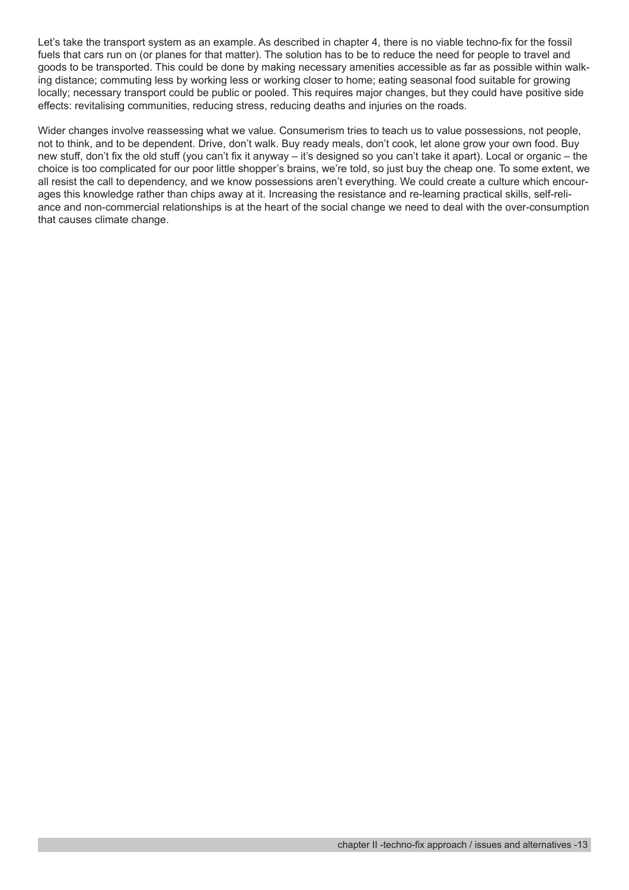Let's take the transport system as an example. As described in chapter 4, there is no viable techno-fix for the fossil fuels that cars run on (or planes for that matter). The solution has to be to reduce the need for people to travel and goods to be transported. This could be done by making necessary amenities accessible as far as possible within walking distance; commuting less by working less or working closer to home; eating seasonal food suitable for growing locally; necessary transport could be public or pooled. This requires major changes, but they could have positive side effects: revitalising communities, reducing stress, reducing deaths and injuries on the roads.

Wider changes involve reassessing what we value. Consumerism tries to teach us to value possessions, not people, not to think, and to be dependent. Drive, don't walk. Buy ready meals, don't cook, let alone grow your own food. Buy new stuff, don't fix the old stuff (you can't fix it anyway – it's designed so you can't take it apart). Local or organic – the choice is too complicated for our poor little shopper's brains, we're told, so just buy the cheap one. To some extent, we all resist the call to dependency, and we know possessions aren't everything. We could create a culture which encourages this knowledge rather than chips away at it. Increasing the resistance and re-learning practical skills, self-reliance and non-commercial relationships is at the heart of the social change we need to deal with the over-consumption that causes climate change.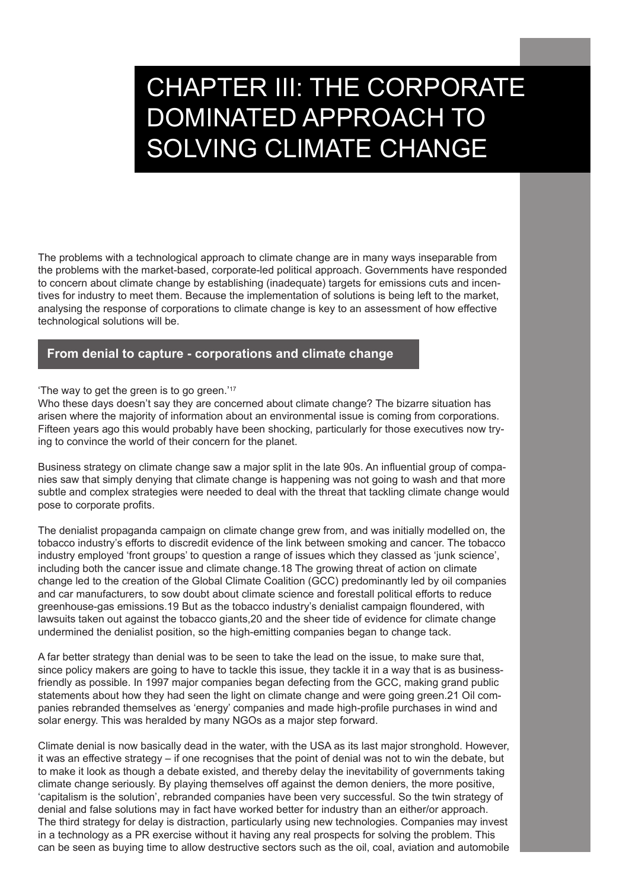# CHAPTER III: THE CORPORATE DOMINATED APPROACH TO SOLVING CLIMATE CHANGE

The problems with a technological approach to climate change are in many ways inseparable from the problems with the market-based, corporate-led political approach. Governments have responded to concern about climate change by establishing (inadequate) targets for emissions cuts and incentives for industry to meet them. Because the implementation of solutions is being left to the market, analysing the response of corporations to climate change is key to an assessment of how effective technological solutions will be.

# **From denial to capture - corporations and climate change**

'The way to get the green is to go green.'17

Who these days doesn't say they are concerned about climate change? The bizarre situation has arisen where the majority of information about an environmental issue is coming from corporations. Fifteen years ago this would probably have been shocking, particularly for those executives now trying to convince the world of their concern for the planet.

Business strategy on climate change saw a major split in the late 90s. An influential group of companies saw that simply denying that climate change is happening was not going to wash and that more subtle and complex strategies were needed to deal with the threat that tackling climate change would pose to corporate profits.

The denialist propaganda campaign on climate change grew from, and was initially modelled on, the tobacco industry's efforts to discredit evidence of the link between smoking and cancer. The tobacco industry employed 'front groups' to question a range of issues which they classed as 'junk science', including both the cancer issue and climate change.18 The growing threat of action on climate change led to the creation of the Global Climate Coalition (GCC) predominantly led by oil companies and car manufacturers, to sow doubt about climate science and forestall political efforts to reduce greenhouse-gas emissions.19 But as the tobacco industry's denialist campaign floundered, with lawsuits taken out against the tobacco giants,20 and the sheer tide of evidence for climate change undermined the denialist position, so the high-emitting companies began to change tack.

A far better strategy than denial was to be seen to take the lead on the issue, to make sure that, since policy makers are going to have to tackle this issue, they tackle it in a way that is as businessfriendly as possible. In 1997 major companies began defecting from the GCC, making grand public statements about how they had seen the light on climate change and were going green.21 Oil companies rebranded themselves as 'energy' companies and made high-profile purchases in wind and solar energy. This was heralded by many NGOs as a major step forward.

Climate denial is now basically dead in the water, with the USA as its last major stronghold. However, it was an effective strategy – if one recognises that the point of denial was not to win the debate, but to make it look as though a debate existed, and thereby delay the inevitability of governments taking climate change seriously. By playing themselves off against the demon deniers, the more positive, 'capitalism is the solution', rebranded companies have been very successful. So the twin strategy of denial and false solutions may in fact have worked better for industry than an either/or approach. The third strategy for delay is distraction, particularly using new technologies. Companies may invest in a technology as a PR exercise without it having any real prospects for solving the problem. This can be seen as buying time to allow destructive sectors such as the oil, coal, aviation and automobile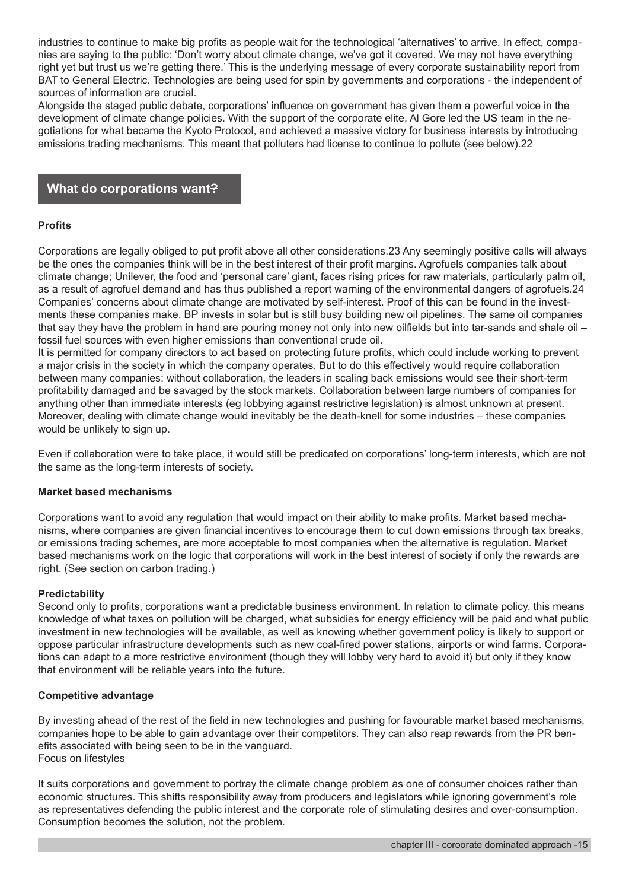industries to continue to make big profits as people wait for the technological 'alternatives' to arrive. In effect, companies are saying to the public: 'Don't worry about climate change, we've got it covered. We may not have everything right yet but trust us we're getting there.' This is the underlying message of every corporate sustainability report from BAT to General Electric. Technologies are being used for spin by governments and corporations - the independent of sources of information are crucial.

Alongside the staged public debate, corporations' influence on government has given them a powerful voice in the development of climate change policies. With the support of the corporate elite, Al Gore led the US team in the negotiations for what became the Kyoto Protocol, and achieved a massive victory for business interests by introducing emissions trading mechanisms. This meant that polluters had license to continue to pollute (see below).22

# **What do corporations want?**

#### **Profits**

Corporations are legally obliged to put profit above all other considerations.23 Any seemingly positive calls will always be the ones the companies think will be in the best interest of their profit margins. Agrofuels companies talk about climate change; Unilever, the food and 'personal care' giant, faces rising prices for raw materials, particularly palm oil, as a result of agrofuel demand and has thus published a report warning of the environmental dangers of agrofuels.24 Companies' concerns about climate change are motivated by self-interest. Proof of this can be found in the investments these companies make. BP invests in solar but is still busy building new oil pipelines. The same oil companies that say they have the problem in hand are pouring money not only into new oilfields but into tar-sands and shale oil – fossil fuel sources with even higher emissions than conventional crude oil.

It is permitted for company directors to act based on protecting future profits, which could include working to prevent a major crisis in the society in which the company operates. But to do this effectively would require collaboration between many companies: without collaboration, the leaders in scaling back emissions would see their short-term profitability damaged and be savaged by the stock markets. Collaboration between large numbers of companies for anything other than immediate interests (eg lobbying against restrictive legislation) is almost unknown at present. Moreover, dealing with climate change would inevitably be the death-knell for some industries – these companies would be unlikely to sign up.

Even if collaboration were to take place, it would still be predicated on corporations' long-term interests, which are not the same as the long-term interests of society.

#### **Market based mechanisms**

Corporations want to avoid any regulation that would impact on their ability to make profits. Market based mechanisms, where companies are given financial incentives to encourage them to cut down emissions through tax breaks, or emissions trading schemes, are more acceptable to most companies when the alternative is regulation. Market based mechanisms work on the logic that corporations will work in the best interest of society if only the rewards are right. (See section on carbon trading.)

#### **Predictability**

Second only to profits, corporations want a predictable business environment. In relation to climate policy, this means knowledge of what taxes on pollution will be charged, what subsidies for energy efficiency will be paid and what public investment in new technologies will be available, as well as knowing whether government policy is likely to support or oppose particular infrastructure developments such as new coal-fired power stations, airports or wind farms. Corporations can adapt to a more restrictive environment (though they will lobby very hard to avoid it) but only if they know that environment will be reliable years into the future.

#### **Competitive advantage**

By investing ahead of the rest of the field in new technologies and pushing for favourable market based mechanisms, companies hope to be able to gain advantage over their competitors. They can also reap rewards from the PR benefits associated with being seen to be in the vanguard. Focus on lifestyles

It suits corporations and government to portray the climate change problem as one of consumer choices rather than economic structures. This shifts responsibility away from producers and legislators while ignoring government's role as representatives defending the public interest and the corporate role of stimulating desires and over-consumption. Consumption becomes the solution, not the problem.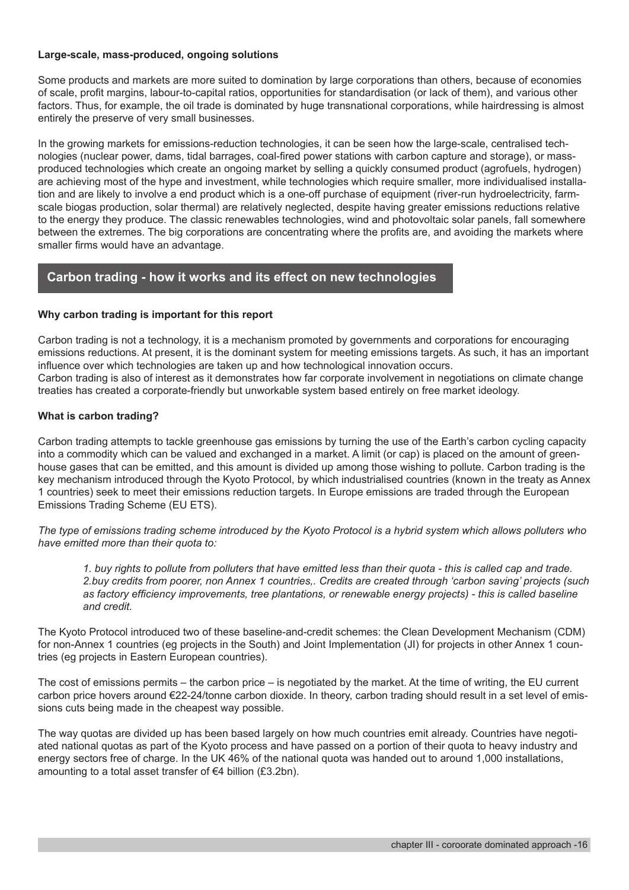#### **Large-scale, mass-produced, ongoing solutions**

Some products and markets are more suited to domination by large corporations than others, because of economies of scale, profit margins, labour-to-capital ratios, opportunities for standardisation (or lack of them), and various other factors. Thus, for example, the oil trade is dominated by huge transnational corporations, while hairdressing is almost entirely the preserve of very small businesses.

In the growing markets for emissions-reduction technologies, it can be seen how the large-scale, centralised technologies (nuclear power, dams, tidal barrages, coal-fired power stations with carbon capture and storage), or massproduced technologies which create an ongoing market by selling a quickly consumed product (agrofuels, hydrogen) are achieving most of the hype and investment, while technologies which require smaller, more individualised installation and are likely to involve a end product which is a one-off purchase of equipment (river-run hydroelectricity, farmscale biogas production, solar thermal) are relatively neglected, despite having greater emissions reductions relative to the energy they produce. The classic renewables technologies, wind and photovoltaic solar panels, fall somewhere between the extremes. The big corporations are concentrating where the profits are, and avoiding the markets where smaller firms would have an advantage.

# **Carbon trading - how it works and its effect on new technologies**

#### **Why carbon trading is important for this report**

Carbon trading is not a technology, it is a mechanism promoted by governments and corporations for encouraging emissions reductions. At present, it is the dominant system for meeting emissions targets. As such, it has an important influence over which technologies are taken up and how technological innovation occurs. Carbon trading is also of interest as it demonstrates how far corporate involvement in negotiations on climate change treaties has created a corporate-friendly but unworkable system based entirely on free market ideology.

#### **What is carbon trading?**

Carbon trading attempts to tackle greenhouse gas emissions by turning the use of the Earth's carbon cycling capacity into a commodity which can be valued and exchanged in a market. A limit (or cap) is placed on the amount of greenhouse gases that can be emitted, and this amount is divided up among those wishing to pollute. Carbon trading is the key mechanism introduced through the Kyoto Protocol, by which industrialised countries (known in the treaty as Annex 1 countries) seek to meet their emissions reduction targets. In Europe emissions are traded through the European Emissions Trading Scheme (EU ETS).

*The type of emissions trading scheme introduced by the Kyoto Protocol is a hybrid system which allows polluters who have emitted more than their quota to:*

*1. buy rights to pollute from polluters that have emitted less than their quota - this is called cap and trade. 2.buy credits from poorer, non Annex 1 countries,. Credits are created through 'carbon saving' projects (such as factory efficiency improvements, tree plantations, or renewable energy projects) - this is called baseline and credit.* 

The Kyoto Protocol introduced two of these baseline-and-credit schemes: the Clean Development Mechanism (CDM) for non-Annex 1 countries (eg projects in the South) and Joint Implementation (JI) for projects in other Annex 1 countries (eg projects in Eastern European countries).

The cost of emissions permits – the carbon price – is negotiated by the market. At the time of writing, the EU current carbon price hovers around €22-24/tonne carbon dioxide. In theory, carbon trading should result in a set level of emissions cuts being made in the cheapest way possible.

The way quotas are divided up has been based largely on how much countries emit already. Countries have negotiated national quotas as part of the Kyoto process and have passed on a portion of their quota to heavy industry and energy sectors free of charge. In the UK 46% of the national quota was handed out to around 1,000 installations, amounting to a total asset transfer of €4 billion (£3.2bn).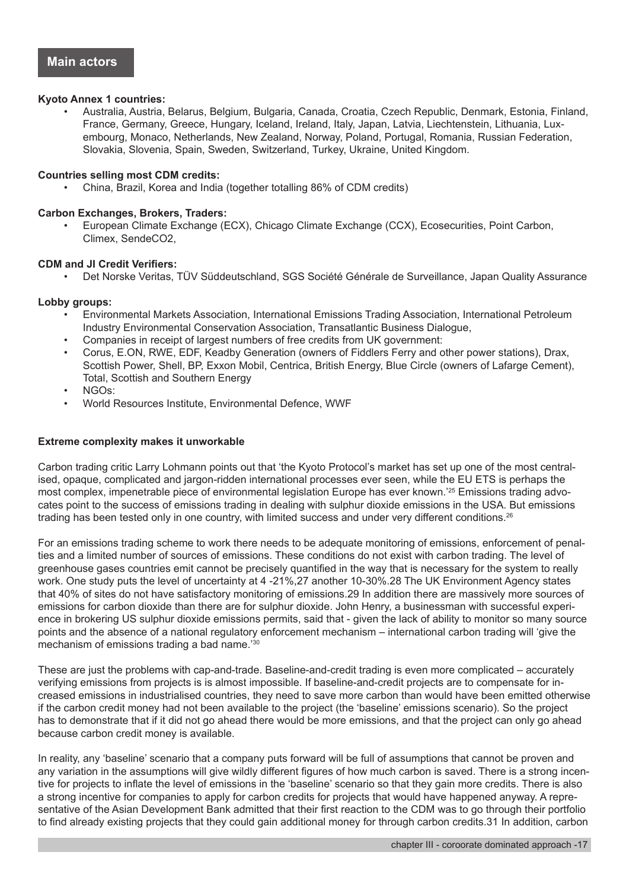#### **Kyoto Annex 1 countries:**

• Australia, Austria, Belarus, Belgium, Bulgaria, Canada, Croatia, Czech Republic, Denmark, Estonia, Finland, France, Germany, Greece, Hungary, Iceland, Ireland, Italy, Japan, Latvia, Liechtenstein, Lithuania, Luxembourg, Monaco, Netherlands, New Zealand, Norway, Poland, Portugal, Romania, Russian Federation, Slovakia, Slovenia, Spain, Sweden, Switzerland, Turkey, Ukraine, United Kingdom.

#### **Countries selling most CDM credits:**

• China, Brazil, Korea and India (together totalling 86% of CDM credits)

#### **Carbon Exchanges, Brokers, Traders:**

• European Climate Exchange (ECX), Chicago Climate Exchange (CCX), Ecosecurities, Point Carbon, Climex, SendeCO2,

#### **CDM and JI Credit Verifiers:**

• Det Norske Veritas, TÜV Süddeutschland, SGS Société Générale de Surveillance, Japan Quality Assurance

#### **Lobby groups:**

- Environmental Markets Association, International Emissions Trading Association, International Petroleum Industry Environmental Conservation Association, Transatlantic Business Dialogue,
- Companies in receipt of largest numbers of free credits from UK government:
- Corus, E.ON, RWE, EDF, Keadby Generation (owners of Fiddlers Ferry and other power stations), Drax, Scottish Power, Shell, BP, Exxon Mobil, Centrica, British Energy, Blue Circle (owners of Lafarge Cement), Total, Scottish and Southern Energy
- NGOs:
- World Resources Institute, Environmental Defence, WWF

#### **Extreme complexity makes it unworkable**

Carbon trading critic Larry Lohmann points out that 'the Kyoto Protocol's market has set up one of the most centralised, opaque, complicated and jargon-ridden international processes ever seen, while the EU ETS is perhaps the most complex, impenetrable piece of environmental legislation Europe has ever known.<sup>'25</sup> Emissions trading advocates point to the success of emissions trading in dealing with sulphur dioxide emissions in the USA. But emissions trading has been tested only in one country, with limited success and under very different conditions.<sup>26</sup>

For an emissions trading scheme to work there needs to be adequate monitoring of emissions, enforcement of penalties and a limited number of sources of emissions. These conditions do not exist with carbon trading. The level of greenhouse gases countries emit cannot be precisely quantified in the way that is necessary for the system to really work. One study puts the level of uncertainty at 4 -21%,27 another 10-30%.28 The UK Environment Agency states that 40% of sites do not have satisfactory monitoring of emissions.29 In addition there are massively more sources of emissions for carbon dioxide than there are for sulphur dioxide. John Henry, a businessman with successful experience in brokering US sulphur dioxide emissions permits, said that - given the lack of ability to monitor so many source points and the absence of a national regulatory enforcement mechanism – international carbon trading will 'give the mechanism of emissions trading a bad name.'30

These are just the problems with cap-and-trade. Baseline-and-credit trading is even more complicated – accurately verifying emissions from projects is is almost impossible. If baseline-and-credit projects are to compensate for increased emissions in industrialised countries, they need to save more carbon than would have been emitted otherwise if the carbon credit money had not been available to the project (the 'baseline' emissions scenario). So the project has to demonstrate that if it did not go ahead there would be more emissions, and that the project can only go ahead because carbon credit money is available.

In reality, any 'baseline' scenario that a company puts forward will be full of assumptions that cannot be proven and any variation in the assumptions will give wildly different figures of how much carbon is saved. There is a strong incentive for projects to inflate the level of emissions in the 'baseline' scenario so that they gain more credits. There is also a strong incentive for companies to apply for carbon credits for projects that would have happened anyway. A representative of the Asian Development Bank admitted that their first reaction to the CDM was to go through their portfolio to find already existing projects that they could gain additional money for through carbon credits.31 In addition, carbon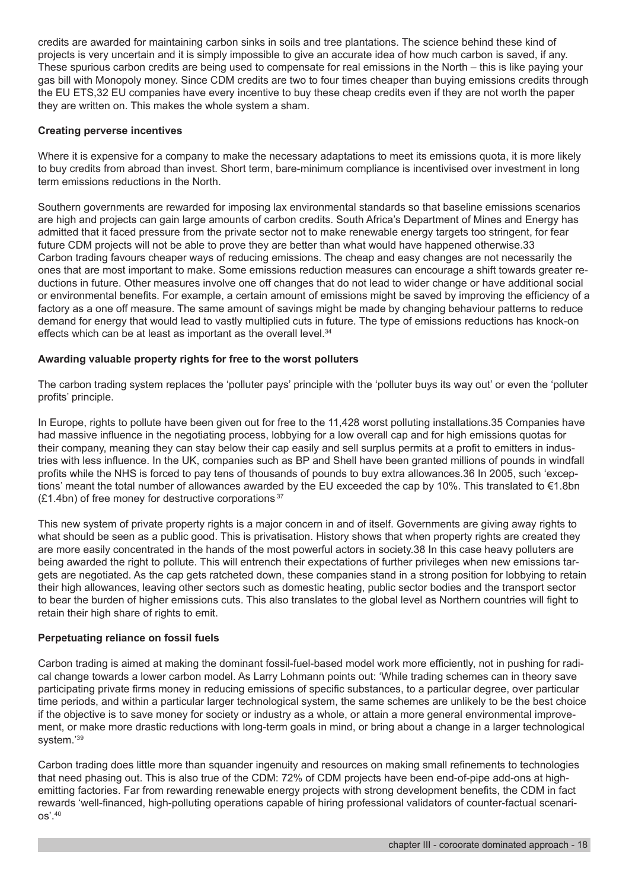credits are awarded for maintaining carbon sinks in soils and tree plantations. The science behind these kind of projects is very uncertain and it is simply impossible to give an accurate idea of how much carbon is saved, if any. These spurious carbon credits are being used to compensate for real emissions in the North – this is like paying your gas bill with Monopoly money. Since CDM credits are two to four times cheaper than buying emissions credits through the EU ETS,32 EU companies have every incentive to buy these cheap credits even if they are not worth the paper they are written on. This makes the whole system a sham.

#### **Creating perverse incentives**

Where it is expensive for a company to make the necessary adaptations to meet its emissions quota, it is more likely to buy credits from abroad than invest. Short term, bare-minimum compliance is incentivised over investment in long term emissions reductions in the North.

Southern governments are rewarded for imposing lax environmental standards so that baseline emissions scenarios are high and projects can gain large amounts of carbon credits. South Africa's Department of Mines and Energy has admitted that it faced pressure from the private sector not to make renewable energy targets too stringent, for fear future CDM projects will not be able to prove they are better than what would have happened otherwise.33 Carbon trading favours cheaper ways of reducing emissions. The cheap and easy changes are not necessarily the ones that are most important to make. Some emissions reduction measures can encourage a shift towards greater reductions in future. Other measures involve one off changes that do not lead to wider change or have additional social or environmental benefits. For example, a certain amount of emissions might be saved by improving the efficiency of a factory as a one off measure. The same amount of savings might be made by changing behaviour patterns to reduce demand for energy that would lead to vastly multiplied cuts in future. The type of emissions reductions has knock-on effects which can be at least as important as the overall level.<sup>34</sup>

#### **Awarding valuable property rights for free to the worst polluters**

The carbon trading system replaces the 'polluter pays' principle with the 'polluter buys its way out' or even the 'polluter profits' principle.

In Europe, rights to pollute have been given out for free to the 11,428 worst polluting installations.35 Companies have had massive influence in the negotiating process, lobbying for a low overall cap and for high emissions quotas for their company, meaning they can stay below their cap easily and sell surplus permits at a profit to emitters in industries with less influence. In the UK, companies such as BP and Shell have been granted millions of pounds in windfall profits while the NHS is forced to pay tens of thousands of pounds to buy extra allowances.36 In 2005, such 'exceptions' meant the total number of allowances awarded by the EU exceeded the cap by 10%. This translated to €1.8bn  $(E1.4b)$  of free money for destructive corporations<sup>37</sup>

This new system of private property rights is a major concern in and of itself. Governments are giving away rights to what should be seen as a public good. This is privatisation. History shows that when property rights are created they are more easily concentrated in the hands of the most powerful actors in society.38 In this case heavy polluters are being awarded the right to pollute. This will entrench their expectations of further privileges when new emissions targets are negotiated. As the cap gets ratcheted down, these companies stand in a strong position for lobbying to retain their high allowances, leaving other sectors such as domestic heating, public sector bodies and the transport sector to bear the burden of higher emissions cuts. This also translates to the global level as Northern countries will fight to retain their high share of rights to emit.

#### **Perpetuating reliance on fossil fuels**

Carbon trading is aimed at making the dominant fossil-fuel-based model work more efficiently, not in pushing for radical change towards a lower carbon model. As Larry Lohmann points out: 'While trading schemes can in theory save participating private firms money in reducing emissions of specific substances, to a particular degree, over particular time periods, and within a particular larger technological system, the same schemes are unlikely to be the best choice if the objective is to save money for society or industry as a whole, or attain a more general environmental improvement, or make more drastic reductions with long-term goals in mind, or bring about a change in a larger technological system.'39

Carbon trading does little more than squander ingenuity and resources on making small refinements to technologies that need phasing out. This is also true of the CDM: 72% of CDM projects have been end-of-pipe add-ons at highemitting factories. Far from rewarding renewable energy projects with strong development benefits, the CDM in fact rewards 'well-financed, high-polluting operations capable of hiring professional validators of counter-factual scenarios'.40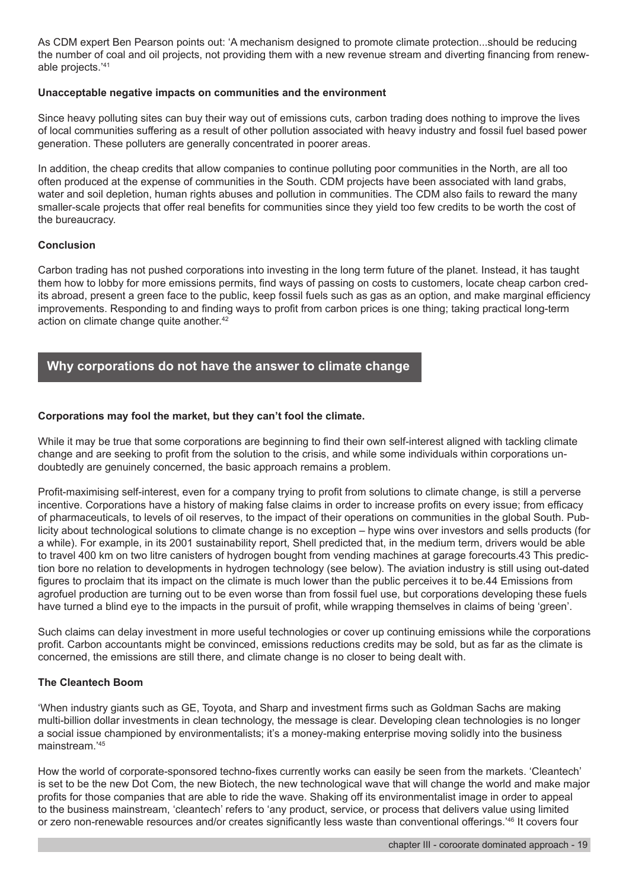As CDM expert Ben Pearson points out: 'A mechanism designed to promote climate protection...should be reducing the number of coal and oil projects, not providing them with a new revenue stream and diverting financing from renewable projects.'41

#### **Unacceptable negative impacts on communities and the environment**

Since heavy polluting sites can buy their way out of emissions cuts, carbon trading does nothing to improve the lives of local communities suffering as a result of other pollution associated with heavy industry and fossil fuel based power generation. These polluters are generally concentrated in poorer areas.

In addition, the cheap credits that allow companies to continue polluting poor communities in the North, are all too often produced at the expense of communities in the South. CDM projects have been associated with land grabs, water and soil depletion, human rights abuses and pollution in communities. The CDM also fails to reward the many smaller-scale projects that offer real benefits for communities since they yield too few credits to be worth the cost of the bureaucracy.

#### **Conclusion**

Carbon trading has not pushed corporations into investing in the long term future of the planet. Instead, it has taught them how to lobby for more emissions permits, find ways of passing on costs to customers, locate cheap carbon credits abroad, present a green face to the public, keep fossil fuels such as gas as an option, and make marginal efficiency improvements. Responding to and finding ways to profit from carbon prices is one thing; taking practical long-term action on climate change quite another.<sup>42</sup>

# **Why corporations do not have the answer to climate change**

#### **Corporations may fool the market, but they can't fool the climate.**

While it may be true that some corporations are beginning to find their own self-interest aligned with tackling climate change and are seeking to profit from the solution to the crisis, and while some individuals within corporations undoubtedly are genuinely concerned, the basic approach remains a problem.

Profit-maximising self-interest, even for a company trying to profit from solutions to climate change, is still a perverse incentive. Corporations have a history of making false claims in order to increase profits on every issue; from efficacy of pharmaceuticals, to levels of oil reserves, to the impact of their operations on communities in the global South. Publicity about technological solutions to climate change is no exception – hype wins over investors and sells products (for a while). For example, in its 2001 sustainability report, Shell predicted that, in the medium term, drivers would be able to travel 400 km on two litre canisters of hydrogen bought from vending machines at garage forecourts.43 This prediction bore no relation to developments in hydrogen technology (see below). The aviation industry is still using out-dated figures to proclaim that its impact on the climate is much lower than the public perceives it to be.44 Emissions from agrofuel production are turning out to be even worse than from fossil fuel use, but corporations developing these fuels have turned a blind eye to the impacts in the pursuit of profit, while wrapping themselves in claims of being 'green'.

Such claims can delay investment in more useful technologies or cover up continuing emissions while the corporations profit. Carbon accountants might be convinced, emissions reductions credits may be sold, but as far as the climate is concerned, the emissions are still there, and climate change is no closer to being dealt with.

#### **The Cleantech Boom**

'When industry giants such as GE, Toyota, and Sharp and investment firms such as Goldman Sachs are making multi-billion dollar investments in clean technology, the message is clear. Developing clean technologies is no longer a social issue championed by environmentalists; it's a money-making enterprise moving solidly into the business mainstream.'45

How the world of corporate-sponsored techno-fixes currently works can easily be seen from the markets. 'Cleantech' is set to be the new Dot Com, the new Biotech, the new technological wave that will change the world and make major profits for those companies that are able to ride the wave. Shaking off its environmentalist image in order to appeal to the business mainstream, 'cleantech' refers to 'any product, service, or process that delivers value using limited or zero non-renewable resources and/or creates significantly less waste than conventional offerings.'46 It covers four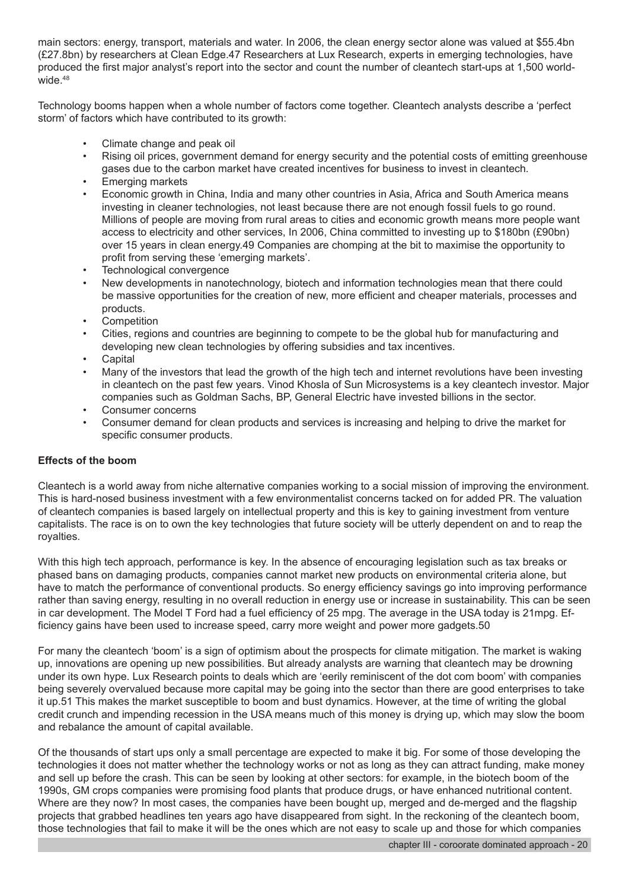main sectors: energy, transport, materials and water. In 2006, the clean energy sector alone was valued at \$55.4bn (£27.8bn) by researchers at Clean Edge.47 Researchers at Lux Research, experts in emerging technologies, have produced the first major analyst's report into the sector and count the number of cleantech start-ups at 1,500 worldwide.<sup>48</sup>

Technology booms happen when a whole number of factors come together. Cleantech analysts describe a 'perfect storm' of factors which have contributed to its growth:

- Climate change and peak oil
- Rising oil prices, government demand for energy security and the potential costs of emitting greenhouse gases due to the carbon market have created incentives for business to invest in cleantech.
- Emerging markets
- Economic growth in China, India and many other countries in Asia, Africa and South America means investing in cleaner technologies, not least because there are not enough fossil fuels to go round. Millions of people are moving from rural areas to cities and economic growth means more people want access to electricity and other services, In 2006, China committed to investing up to \$180bn (£90bn) over 15 years in clean energy.49 Companies are chomping at the bit to maximise the opportunity to profit from serving these 'emerging markets'.
- Technological convergence
- New developments in nanotechnology, biotech and information technologies mean that there could be massive opportunities for the creation of new, more efficient and cheaper materials, processes and products.
- **Competition**
- Cities, regions and countries are beginning to compete to be the global hub for manufacturing and developing new clean technologies by offering subsidies and tax incentives.
- **Capital**
- Many of the investors that lead the growth of the high tech and internet revolutions have been investing in cleantech on the past few years. Vinod Khosla of Sun Microsystems is a key cleantech investor. Major companies such as Goldman Sachs, BP, General Electric have invested billions in the sector.
- Consumer concerns
- Consumer demand for clean products and services is increasing and helping to drive the market for specific consumer products.

#### **Effects of the boom**

Cleantech is a world away from niche alternative companies working to a social mission of improving the environment. This is hard-nosed business investment with a few environmentalist concerns tacked on for added PR. The valuation of cleantech companies is based largely on intellectual property and this is key to gaining investment from venture capitalists. The race is on to own the key technologies that future society will be utterly dependent on and to reap the royalties.

With this high tech approach, performance is key. In the absence of encouraging legislation such as tax breaks or phased bans on damaging products, companies cannot market new products on environmental criteria alone, but have to match the performance of conventional products. So energy efficiency savings go into improving performance rather than saving energy, resulting in no overall reduction in energy use or increase in sustainability. This can be seen in car development. The Model T Ford had a fuel efficiency of 25 mpg. The average in the USA today is 21mpg. Efficiency gains have been used to increase speed, carry more weight and power more gadgets.50

For many the cleantech 'boom' is a sign of optimism about the prospects for climate mitigation. The market is waking up, innovations are opening up new possibilities. But already analysts are warning that cleantech may be drowning under its own hype. Lux Research points to deals which are 'eerily reminiscent of the dot com boom' with companies being severely overvalued because more capital may be going into the sector than there are good enterprises to take it up.51 This makes the market susceptible to boom and bust dynamics. However, at the time of writing the global credit crunch and impending recession in the USA means much of this money is drying up, which may slow the boom and rebalance the amount of capital available.

Of the thousands of start ups only a small percentage are expected to make it big. For some of those developing the technologies it does not matter whether the technology works or not as long as they can attract funding, make money and sell up before the crash. This can be seen by looking at other sectors: for example, in the biotech boom of the 1990s, GM crops companies were promising food plants that produce drugs, or have enhanced nutritional content. Where are they now? In most cases, the companies have been bought up, merged and de-merged and the flagship projects that grabbed headlines ten years ago have disappeared from sight. In the reckoning of the cleantech boom, those technologies that fail to make it will be the ones which are not easy to scale up and those for which companies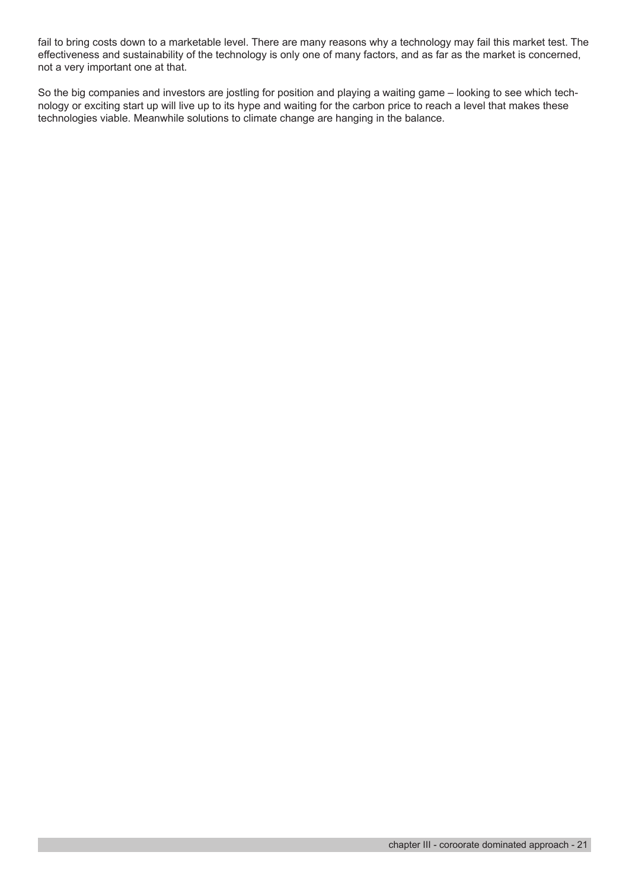fail to bring costs down to a marketable level. There are many reasons why a technology may fail this market test. The effectiveness and sustainability of the technology is only one of many factors, and as far as the market is concerned, not a very important one at that.

So the big companies and investors are jostling for position and playing a waiting game – looking to see which technology or exciting start up will live up to its hype and waiting for the carbon price to reach a level that makes these technologies viable. Meanwhile solutions to climate change are hanging in the balance.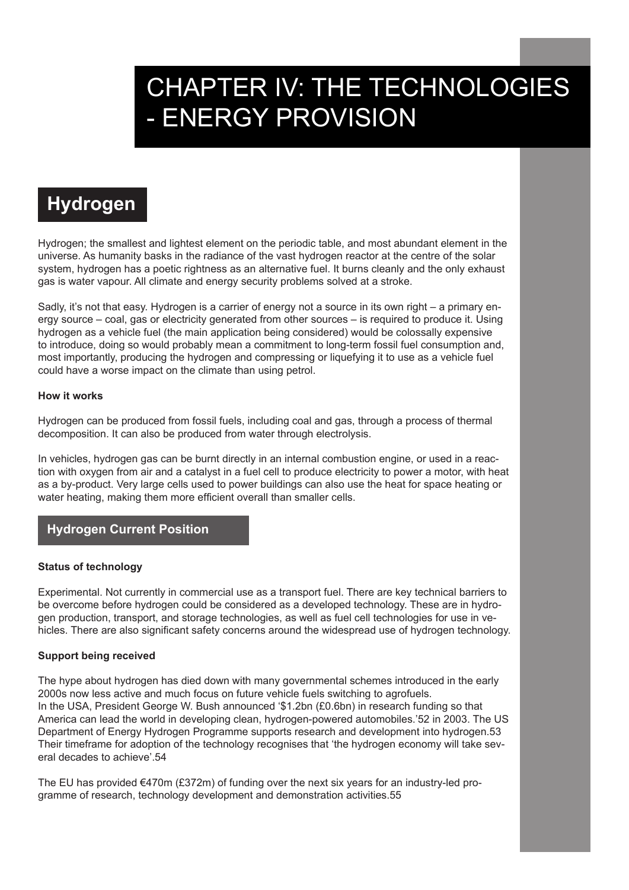# CHAPTER IV: THE TECHNOLOGIES - ENERGY PROVISION

# **Hydrogen**

Hydrogen; the smallest and lightest element on the periodic table, and most abundant element in the universe. As humanity basks in the radiance of the vast hydrogen reactor at the centre of the solar system, hydrogen has a poetic rightness as an alternative fuel. It burns cleanly and the only exhaust gas is water vapour. All climate and energy security problems solved at a stroke.

Sadly, it's not that easy. Hydrogen is a carrier of energy not a source in its own right – a primary energy source – coal, gas or electricity generated from other sources – is required to produce it. Using hydrogen as a vehicle fuel (the main application being considered) would be colossally expensive to introduce, doing so would probably mean a commitment to long-term fossil fuel consumption and, most importantly, producing the hydrogen and compressing or liquefying it to use as a vehicle fuel could have a worse impact on the climate than using petrol.

#### **How it works**

Hydrogen can be produced from fossil fuels, including coal and gas, through a process of thermal decomposition. It can also be produced from water through electrolysis.

In vehicles, hydrogen gas can be burnt directly in an internal combustion engine, or used in a reaction with oxygen from air and a catalyst in a fuel cell to produce electricity to power a motor, with heat as a by-product. Very large cells used to power buildings can also use the heat for space heating or water heating, making them more efficient overall than smaller cells.

# **Hydrogen Current Position**

#### **Status of technology**

Experimental. Not currently in commercial use as a transport fuel. There are key technical barriers to be overcome before hydrogen could be considered as a developed technology. These are in hydrogen production, transport, and storage technologies, as well as fuel cell technologies for use in vehicles. There are also significant safety concerns around the widespread use of hydrogen technology.

#### **Support being received**

The hype about hydrogen has died down with many governmental schemes introduced in the early 2000s now less active and much focus on future vehicle fuels switching to agrofuels. In the USA, President George W. Bush announced '\$1.2bn (£0.6bn) in research funding so that America can lead the world in developing clean, hydrogen-powered automobiles.'52 in 2003. The US Department of Energy Hydrogen Programme supports research and development into hydrogen.53 Their timeframe for adoption of the technology recognises that 'the hydrogen economy will take several decades to achieve'.54

The EU has provided  $\epsilon$ 470m (£372m) of funding over the next six years for an industry-led programme of research, technology development and demonstration activities.55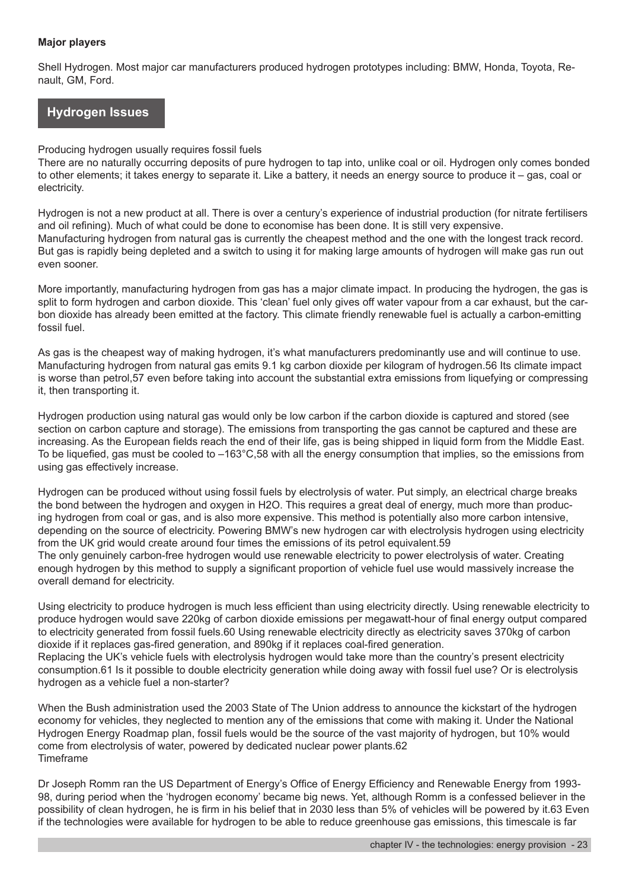#### **Major players**

Shell Hydrogen. Most major car manufacturers produced hydrogen prototypes including: BMW, Honda, Toyota, Renault, GM, Ford.

# **Hydrogen Issues**

#### Producing hydrogen usually requires fossil fuels

There are no naturally occurring deposits of pure hydrogen to tap into, unlike coal or oil. Hydrogen only comes bonded to other elements; it takes energy to separate it. Like a battery, it needs an energy source to produce it – gas, coal or electricity.

Hydrogen is not a new product at all. There is over a century's experience of industrial production (for nitrate fertilisers and oil refining). Much of what could be done to economise has been done. It is still very expensive. Manufacturing hydrogen from natural gas is currently the cheapest method and the one with the longest track record. But gas is rapidly being depleted and a switch to using it for making large amounts of hydrogen will make gas run out even sooner.

More importantly, manufacturing hydrogen from gas has a major climate impact. In producing the hydrogen, the gas is split to form hydrogen and carbon dioxide. This 'clean' fuel only gives off water vapour from a car exhaust, but the carbon dioxide has already been emitted at the factory. This climate friendly renewable fuel is actually a carbon-emitting fossil fuel.

As gas is the cheapest way of making hydrogen, it's what manufacturers predominantly use and will continue to use. Manufacturing hydrogen from natural gas emits 9.1 kg carbon dioxide per kilogram of hydrogen.56 Its climate impact is worse than petrol,57 even before taking into account the substantial extra emissions from liquefying or compressing it, then transporting it.

Hydrogen production using natural gas would only be low carbon if the carbon dioxide is captured and stored (see section on carbon capture and storage). The emissions from transporting the gas cannot be captured and these are increasing. As the European fields reach the end of their life, gas is being shipped in liquid form from the Middle East. To be liquefied, gas must be cooled to –163°C,58 with all the energy consumption that implies, so the emissions from using gas effectively increase.

Hydrogen can be produced without using fossil fuels by electrolysis of water. Put simply, an electrical charge breaks the bond between the hydrogen and oxygen in H2O. This requires a great deal of energy, much more than producing hydrogen from coal or gas, and is also more expensive. This method is potentially also more carbon intensive, depending on the source of electricity. Powering BMW's new hydrogen car with electrolysis hydrogen using electricity from the UK grid would create around four times the emissions of its petrol equivalent.59 The only genuinely carbon-free hydrogen would use renewable electricity to power electrolysis of water. Creating enough hydrogen by this method to supply a significant proportion of vehicle fuel use would massively increase the overall demand for electricity.

Using electricity to produce hydrogen is much less efficient than using electricity directly. Using renewable electricity to produce hydrogen would save 220kg of carbon dioxide emissions per megawatt-hour of final energy output compared to electricity generated from fossil fuels.60 Using renewable electricity directly as electricity saves 370kg of carbon dioxide if it replaces gas-fired generation, and 890kg if it replaces coal-fired generation.

Replacing the UK's vehicle fuels with electrolysis hydrogen would take more than the country's present electricity consumption.61 Is it possible to double electricity generation while doing away with fossil fuel use? Or is electrolysis hydrogen as a vehicle fuel a non-starter?

When the Bush administration used the 2003 State of The Union address to announce the kickstart of the hydrogen economy for vehicles, they neglected to mention any of the emissions that come with making it. Under the National Hydrogen Energy Roadmap plan, fossil fuels would be the source of the vast majority of hydrogen, but 10% would come from electrolysis of water, powered by dedicated nuclear power plants.62 Timeframe

Dr Joseph Romm ran the US Department of Energy's Office of Energy Efficiency and Renewable Energy from 1993- 98, during period when the 'hydrogen economy' became big news. Yet, although Romm is a confessed believer in the possibility of clean hydrogen, he is firm in his belief that in 2030 less than 5% of vehicles will be powered by it.63 Even if the technologies were available for hydrogen to be able to reduce greenhouse gas emissions, this timescale is far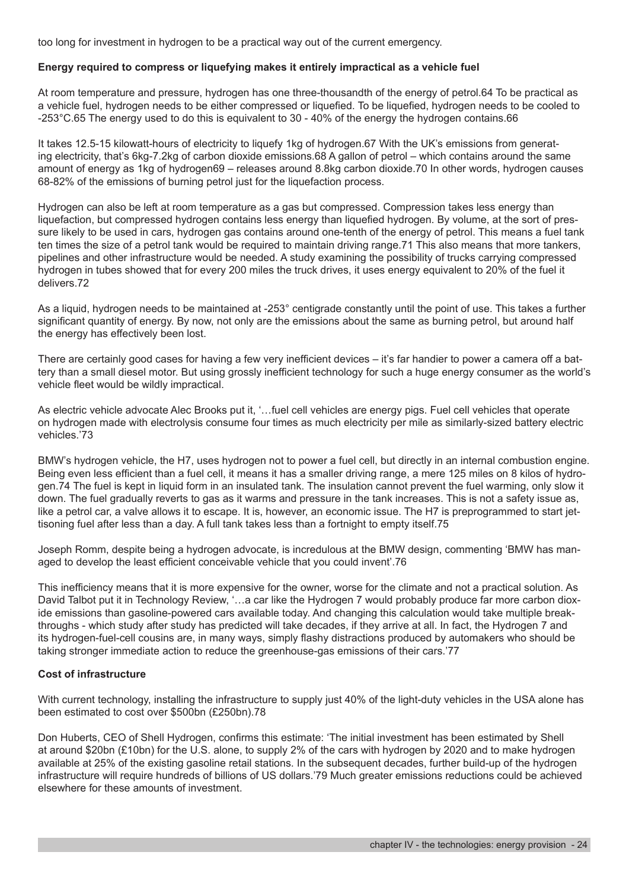too long for investment in hydrogen to be a practical way out of the current emergency.

#### **Energy required to compress or liquefying makes it entirely impractical as a vehicle fuel**

At room temperature and pressure, hydrogen has one three-thousandth of the energy of petrol.64 To be practical as a vehicle fuel, hydrogen needs to be either compressed or liquefied. To be liquefied, hydrogen needs to be cooled to -253°C.65 The energy used to do this is equivalent to 30 - 40% of the energy the hydrogen contains.66

It takes 12.5-15 kilowatt-hours of electricity to liquefy 1kg of hydrogen.67 With the UK's emissions from generating electricity, that's 6kg-7.2kg of carbon dioxide emissions.68 A gallon of petrol – which contains around the same amount of energy as 1kg of hydrogen69 – releases around 8.8kg carbon dioxide.70 In other words, hydrogen causes 68-82% of the emissions of burning petrol just for the liquefaction process.

Hydrogen can also be left at room temperature as a gas but compressed. Compression takes less energy than liquefaction, but compressed hydrogen contains less energy than liquefied hydrogen. By volume, at the sort of pressure likely to be used in cars, hydrogen gas contains around one-tenth of the energy of petrol. This means a fuel tank ten times the size of a petrol tank would be required to maintain driving range.71 This also means that more tankers, pipelines and other infrastructure would be needed. A study examining the possibility of trucks carrying compressed hydrogen in tubes showed that for every 200 miles the truck drives, it uses energy equivalent to 20% of the fuel it delivers.72

As a liquid, hydrogen needs to be maintained at -253° centigrade constantly until the point of use. This takes a further significant quantity of energy. By now, not only are the emissions about the same as burning petrol, but around half the energy has effectively been lost.

There are certainly good cases for having a few very inefficient devices – it's far handier to power a camera off a battery than a small diesel motor. But using grossly inefficient technology for such a huge energy consumer as the world's vehicle fleet would be wildly impractical.

As electric vehicle advocate Alec Brooks put it, '…fuel cell vehicles are energy pigs. Fuel cell vehicles that operate on hydrogen made with electrolysis consume four times as much electricity per mile as similarly-sized battery electric vehicles.'73

BMW's hydrogen vehicle, the H7, uses hydrogen not to power a fuel cell, but directly in an internal combustion engine. Being even less efficient than a fuel cell, it means it has a smaller driving range, a mere 125 miles on 8 kilos of hydrogen.74 The fuel is kept in liquid form in an insulated tank. The insulation cannot prevent the fuel warming, only slow it down. The fuel gradually reverts to gas as it warms and pressure in the tank increases. This is not a safety issue as, like a petrol car, a valve allows it to escape. It is, however, an economic issue. The H7 is preprogrammed to start jettisoning fuel after less than a day. A full tank takes less than a fortnight to empty itself.75

Joseph Romm, despite being a hydrogen advocate, is incredulous at the BMW design, commenting 'BMW has managed to develop the least efficient conceivable vehicle that you could invent'.76

This inefficiency means that it is more expensive for the owner, worse for the climate and not a practical solution. As David Talbot put it in Technology Review, '...a car like the Hydrogen 7 would probably produce far more carbon dioxide emissions than gasoline-powered cars available today. And changing this calculation would take multiple breakthroughs - which study after study has predicted will take decades, if they arrive at all. In fact, the Hydrogen 7 and its hydrogen-fuel-cell cousins are, in many ways, simply flashy distractions produced by automakers who should be taking stronger immediate action to reduce the greenhouse-gas emissions of their cars.'77

#### **Cost of infrastructure**

With current technology, installing the infrastructure to supply just 40% of the light-duty vehicles in the USA alone has been estimated to cost over \$500bn (£250bn).78

Don Huberts, CEO of Shell Hydrogen, confirms this estimate: 'The initial investment has been estimated by Shell at around \$20bn (£10bn) for the U.S. alone, to supply 2% of the cars with hydrogen by 2020 and to make hydrogen available at 25% of the existing gasoline retail stations. In the subsequent decades, further build-up of the hydrogen infrastructure will require hundreds of billions of US dollars.'79 Much greater emissions reductions could be achieved elsewhere for these amounts of investment.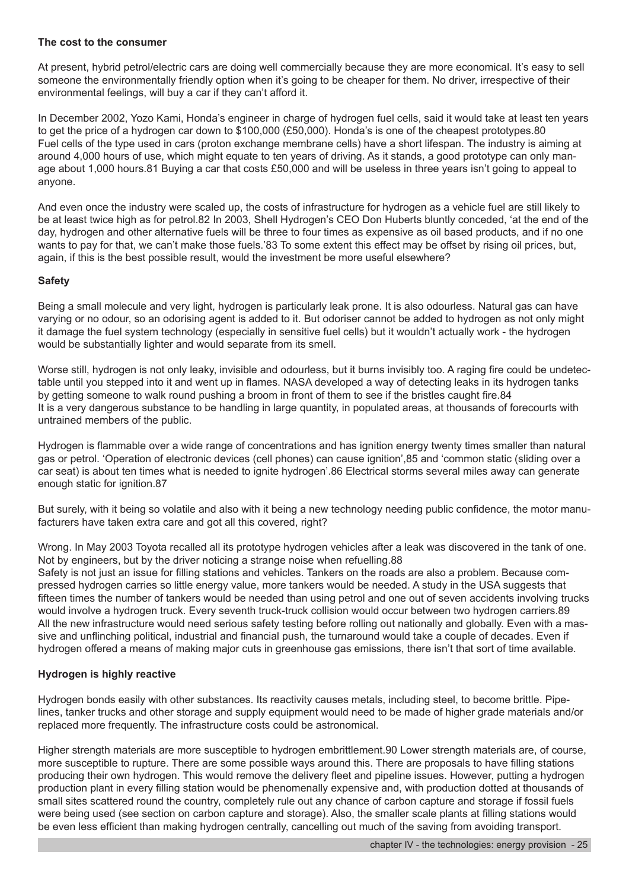#### **The cost to the consumer**

At present, hybrid petrol/electric cars are doing well commercially because they are more economical. It's easy to sell someone the environmentally friendly option when it's going to be cheaper for them. No driver, irrespective of their environmental feelings, will buy a car if they can't afford it.

In December 2002, Yozo Kami, Honda's engineer in charge of hydrogen fuel cells, said it would take at least ten years to get the price of a hydrogen car down to \$100,000 (£50,000). Honda's is one of the cheapest prototypes.80 Fuel cells of the type used in cars (proton exchange membrane cells) have a short lifespan. The industry is aiming at around 4,000 hours of use, which might equate to ten years of driving. As it stands, a good prototype can only manage about 1,000 hours.81 Buying a car that costs £50,000 and will be useless in three years isn't going to appeal to anyone.

And even once the industry were scaled up, the costs of infrastructure for hydrogen as a vehicle fuel are still likely to be at least twice high as for petrol.82 In 2003, Shell Hydrogen's CEO Don Huberts bluntly conceded, 'at the end of the day, hydrogen and other alternative fuels will be three to four times as expensive as oil based products, and if no one wants to pay for that, we can't make those fuels.'83 To some extent this effect may be offset by rising oil prices, but, again, if this is the best possible result, would the investment be more useful elsewhere?

#### **Safety**

Being a small molecule and very light, hydrogen is particularly leak prone. It is also odourless. Natural gas can have varying or no odour, so an odorising agent is added to it. But odoriser cannot be added to hydrogen as not only might it damage the fuel system technology (especially in sensitive fuel cells) but it wouldn't actually work - the hydrogen would be substantially lighter and would separate from its smell.

Worse still, hydrogen is not only leaky, invisible and odourless, but it burns invisibly too. A raging fire could be undetectable until you stepped into it and went up in flames. NASA developed a way of detecting leaks in its hydrogen tanks by getting someone to walk round pushing a broom in front of them to see if the bristles caught fire.84 It is a very dangerous substance to be handling in large quantity, in populated areas, at thousands of forecourts with untrained members of the public.

Hydrogen is flammable over a wide range of concentrations and has ignition energy twenty times smaller than natural gas or petrol. 'Operation of electronic devices (cell phones) can cause ignition',85 and 'common static (sliding over a car seat) is about ten times what is needed to ignite hydrogen'.86 Electrical storms several miles away can generate enough static for ignition.87

But surely, with it being so volatile and also with it being a new technology needing public confidence, the motor manufacturers have taken extra care and got all this covered, right?

Wrong. In May 2003 Toyota recalled all its prototype hydrogen vehicles after a leak was discovered in the tank of one. Not by engineers, but by the driver noticing a strange noise when refuelling.88

Safety is not just an issue for filling stations and vehicles. Tankers on the roads are also a problem. Because compressed hydrogen carries so little energy value, more tankers would be needed. A study in the USA suggests that fifteen times the number of tankers would be needed than using petrol and one out of seven accidents involving trucks would involve a hydrogen truck. Every seventh truck-truck collision would occur between two hydrogen carriers.89 All the new infrastructure would need serious safety testing before rolling out nationally and globally. Even with a massive and unflinching political, industrial and financial push, the turnaround would take a couple of decades. Even if hydrogen offered a means of making major cuts in greenhouse gas emissions, there isn't that sort of time available.

#### **Hydrogen is highly reactive**

Hydrogen bonds easily with other substances. Its reactivity causes metals, including steel, to become brittle. Pipelines, tanker trucks and other storage and supply equipment would need to be made of higher grade materials and/or replaced more frequently. The infrastructure costs could be astronomical.

Higher strength materials are more susceptible to hydrogen embrittlement.90 Lower strength materials are, of course, more susceptible to rupture. There are some possible ways around this. There are proposals to have filling stations producing their own hydrogen. This would remove the delivery fleet and pipeline issues. However, putting a hydrogen production plant in every filling station would be phenomenally expensive and, with production dotted at thousands of small sites scattered round the country, completely rule out any chance of carbon capture and storage if fossil fuels were being used (see section on carbon capture and storage). Also, the smaller scale plants at filling stations would be even less efficient than making hydrogen centrally, cancelling out much of the saving from avoiding transport.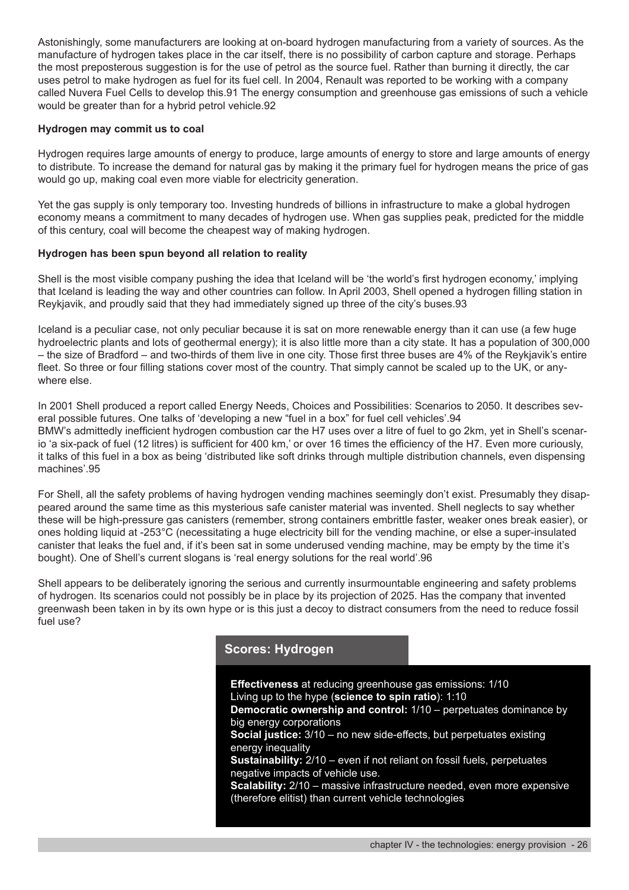Astonishingly, some manufacturers are looking at on-board hydrogen manufacturing from a variety of sources. As the manufacture of hydrogen takes place in the car itself, there is no possibility of carbon capture and storage. Perhaps the most preposterous suggestion is for the use of petrol as the source fuel. Rather than burning it directly, the car uses petrol to make hydrogen as fuel for its fuel cell. In 2004, Renault was reported to be working with a company called Nuvera Fuel Cells to develop this.91 The energy consumption and greenhouse gas emissions of such a vehicle would be greater than for a hybrid petrol vehicle.92

#### **Hydrogen may commit us to coal**

Hydrogen requires large amounts of energy to produce, large amounts of energy to store and large amounts of energy to distribute. To increase the demand for natural gas by making it the primary fuel for hydrogen means the price of gas would go up, making coal even more viable for electricity generation.

Yet the gas supply is only temporary too. Investing hundreds of billions in infrastructure to make a global hydrogen economy means a commitment to many decades of hydrogen use. When gas supplies peak, predicted for the middle of this century, coal will become the cheapest way of making hydrogen.

#### **Hydrogen has been spun beyond all relation to reality**

Shell is the most visible company pushing the idea that Iceland will be 'the world's first hydrogen economy,' implying that Iceland is leading the way and other countries can follow. In April 2003, Shell opened a hydrogen filling station in Reykjavik, and proudly said that they had immediately signed up three of the city's buses.93

Iceland is a peculiar case, not only peculiar because it is sat on more renewable energy than it can use (a few huge hydroelectric plants and lots of geothermal energy); it is also little more than a city state. It has a population of 300,000 – the size of Bradford – and two-thirds of them live in one city. Those first three buses are 4% of the Reykjavik's entire fleet. So three or four filling stations cover most of the country. That simply cannot be scaled up to the UK, or anywhere else.

In 2001 Shell produced a report called Energy Needs, Choices and Possibilities: Scenarios to 2050. It describes several possible futures. One talks of 'developing a new "fuel in a box" for fuel cell vehicles'.94 BMW's admittedly inefficient hydrogen combustion car the H7 uses over a litre of fuel to go 2km, yet in Shell's scenario 'a six-pack of fuel (12 litres) is sufficient for 400 km,' or over 16 times the efficiency of the H7. Even more curiously, it talks of this fuel in a box as being 'distributed like soft drinks through multiple distribution channels, even dispensing machines'.95

For Shell, all the safety problems of having hydrogen vending machines seemingly don't exist. Presumably they disappeared around the same time as this mysterious safe canister material was invented. Shell neglects to say whether these will be high-pressure gas canisters (remember, strong containers embrittle faster, weaker ones break easier), or ones holding liquid at -253°C (necessitating a huge electricity bill for the vending machine, or else a super-insulated canister that leaks the fuel and, if it's been sat in some underused vending machine, may be empty by the time it's bought). One of Shell's current slogans is 'real energy solutions for the real world'.96

Shell appears to be deliberately ignoring the serious and currently insurmountable engineering and safety problems of hydrogen. Its scenarios could not possibly be in place by its projection of 2025. Has the company that invented greenwash been taken in by its own hype or is this just a decoy to distract consumers from the need to reduce fossil fuel use?

# **Scores: Hydrogen**

**Effectiveness** at reducing greenhouse gas emissions: 1/10 Living up to the hype (**science to spin ratio**): 1:10 **Democratic ownership and control:** 1/10 – perpetuates dominance by big energy corporations **Social justice:** 3/10 – no new side-effects, but perpetuates existing energy inequality **Sustainability:** 2/10 – even if not reliant on fossil fuels, perpetuates negative impacts of vehicle use. **Scalability:** 2/10 – massive infrastructure needed, even more expensive (therefore elitist) than current vehicle technologies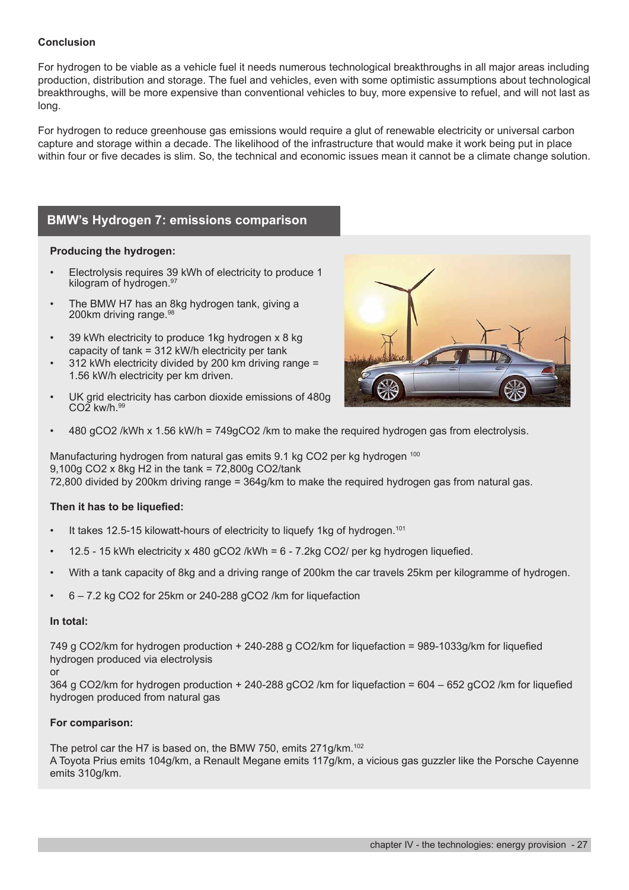#### **Conclusion**

For hydrogen to be viable as a vehicle fuel it needs numerous technological breakthroughs in all major areas including production, distribution and storage. The fuel and vehicles, even with some optimistic assumptions about technological breakthroughs, will be more expensive than conventional vehicles to buy, more expensive to refuel, and will not last as long.

For hydrogen to reduce greenhouse gas emissions would require a glut of renewable electricity or universal carbon capture and storage within a decade. The likelihood of the infrastructure that would make it work being put in place within four or five decades is slim. So, the technical and economic issues mean it cannot be a climate change solution.

# **BMW's Hydrogen 7: emissions comparison**

#### **Producing the hydrogen:**

- Electrolysis requires 39 kWh of electricity to produce 1 kilogram of hydrogen.<sup>97</sup>
- The BMW H7 has an 8kg hydrogen tank, giving a 200km driving range.<sup>98</sup>
- 39 kWh electricity to produce 1kg hydrogen x 8 kg capacity of tank = 312 kW/h electricity per tank
- 312 kWh electricity divided by 200 km driving range = 1.56 kW/h electricity per km driven.
- UK grid electricity has carbon dioxide emissions of 480g CO<sub>2</sub> kw/h.99



• 480 gCO2 /kWh x 1.56 kW/h = 749gCO2 /km to make the required hydrogen gas from electrolysis.

Manufacturing hydrogen from natural gas emits 9.1 kg CO2 per kg hydrogen <sup>100</sup> 9,100g CO2 x 8kg H2 in the tank = 72,800g CO2/tank 72,800 divided by 200km driving range = 364g/km to make the required hydrogen gas from natural gas.

#### **Then it has to be liquefied:**

- It takes 12.5-15 kilowatt-hours of electricity to liquefy 1kg of hydrogen.<sup>101</sup>
- 12.5 15 kWh electricity x 480  $qCO2$  /kWh =  $6$  7.2kg CO2/ per kg hydrogen liquefied.
- With a tank capacity of 8kg and a driving range of 200km the car travels 25km per kilogramme of hydrogen.
- 6 7.2 kg CO2 for 25km or 240-288 gCO2 /km for liquefaction

#### **In total:**

749 g CO2/km for hydrogen production + 240-288 g CO2/km for liquefaction = 989-1033g/km for liquefied hydrogen produced via electrolysis

or

364 g CO2/km for hydrogen production + 240-288 gCO2 /km for liquefaction = 604 – 652 gCO2 /km for liquefied hydrogen produced from natural gas

#### **For comparison:**

The petrol car the H7 is based on, the BMW 750, emits 271g/km.<sup>102</sup> A Toyota Prius emits 104g/km, a Renault Megane emits 117g/km, a vicious gas guzzler like the Porsche Cayenne emits 310g/km.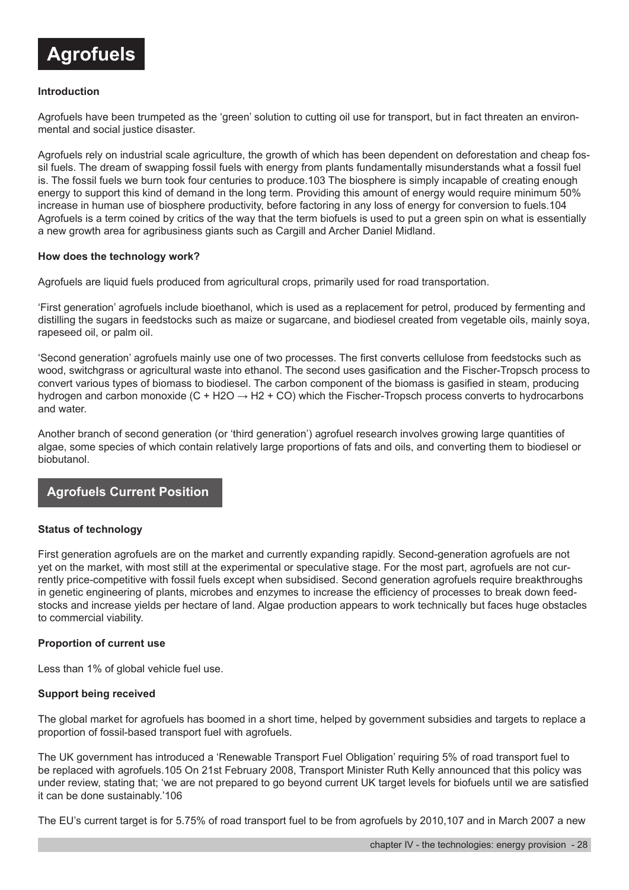

#### **Introduction**

Agrofuels have been trumpeted as the 'green' solution to cutting oil use for transport, but in fact threaten an environmental and social justice disaster.

Agrofuels rely on industrial scale agriculture, the growth of which has been dependent on deforestation and cheap fossil fuels. The dream of swapping fossil fuels with energy from plants fundamentally misunderstands what a fossil fuel is. The fossil fuels we burn took four centuries to produce.103 The biosphere is simply incapable of creating enough energy to support this kind of demand in the long term. Providing this amount of energy would require minimum 50% increase in human use of biosphere productivity, before factoring in any loss of energy for conversion to fuels.104 Agrofuels is a term coined by critics of the way that the term biofuels is used to put a green spin on what is essentially a new growth area for agribusiness giants such as Cargill and Archer Daniel Midland.

#### **How does the technology work?**

Agrofuels are liquid fuels produced from agricultural crops, primarily used for road transportation.

'First generation' agrofuels include bioethanol, which is used as a replacement for petrol, produced by fermenting and distilling the sugars in feedstocks such as maize or sugarcane, and biodiesel created from vegetable oils, mainly soya, rapeseed oil, or palm oil.

'Second generation' agrofuels mainly use one of two processes. The first converts cellulose from feedstocks such as wood, switchgrass or agricultural waste into ethanol. The second uses gasification and the Fischer-Tropsch process to convert various types of biomass to biodiesel. The carbon component of the biomass is gasified in steam, producing hydrogen and carbon monoxide (C + H2O  $\rightarrow$  H2 + CO) which the Fischer-Tropsch process converts to hydrocarbons and water.

Another branch of second generation (or 'third generation') agrofuel research involves growing large quantities of algae, some species of which contain relatively large proportions of fats and oils, and converting them to biodiesel or biobutanol.

# **Agrofuels Current Position**

#### **Status of technology**

First generation agrofuels are on the market and currently expanding rapidly. Second-generation agrofuels are not yet on the market, with most still at the experimental or speculative stage. For the most part, agrofuels are not currently price-competitive with fossil fuels except when subsidised. Second generation agrofuels require breakthroughs in genetic engineering of plants, microbes and enzymes to increase the efficiency of processes to break down feedstocks and increase yields per hectare of land. Algae production appears to work technically but faces huge obstacles to commercial viability.

#### **Proportion of current use**

Less than 1% of global vehicle fuel use.

#### **Support being received**

The global market for agrofuels has boomed in a short time, helped by government subsidies and targets to replace a proportion of fossil-based transport fuel with agrofuels.

The UK government has introduced a 'Renewable Transport Fuel Obligation' requiring 5% of road transport fuel to be replaced with agrofuels.105 On 21st February 2008, Transport Minister Ruth Kelly announced that this policy was under review, stating that; 'we are not prepared to go beyond current UK target levels for biofuels until we are satisfied it can be done sustainably.'106

The EU's current target is for 5.75% of road transport fuel to be from agrofuels by 2010,107 and in March 2007 a new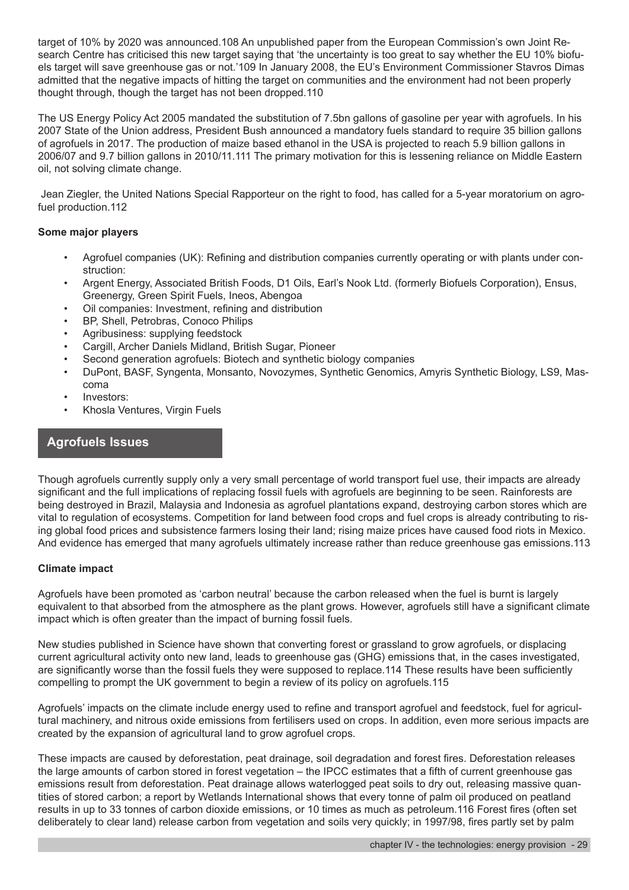target of 10% by 2020 was announced.108 An unpublished paper from the European Commission's own Joint Research Centre has criticised this new target saying that 'the uncertainty is too great to say whether the EU 10% biofuels target will save greenhouse gas or not.'109 In January 2008, the EU's Environment Commissioner Stavros Dimas admitted that the negative impacts of hitting the target on communities and the environment had not been properly thought through, though the target has not been dropped.110

The US Energy Policy Act 2005 mandated the substitution of 7.5bn gallons of gasoline per year with agrofuels. In his 2007 State of the Union address, President Bush announced a mandatory fuels standard to require 35 billion gallons of agrofuels in 2017. The production of maize based ethanol in the USA is projected to reach 5.9 billion gallons in 2006/07 and 9.7 billion gallons in 2010/11.111 The primary motivation for this is lessening reliance on Middle Eastern oil, not solving climate change.

 Jean Ziegler, the United Nations Special Rapporteur on the right to food, has called for a 5-year moratorium on agrofuel production.112

#### **Some major players**

- Agrofuel companies (UK): Refining and distribution companies currently operating or with plants under construction:
- Argent Energy, Associated British Foods, D1 Oils, Earl's Nook Ltd. (formerly Biofuels Corporation), Ensus, Greenergy, Green Spirit Fuels, Ineos, Abengoa
- Oil companies: Investment, refining and distribution
- BP, Shell, Petrobras, Conoco Philips
- Agribusiness: supplying feedstock
- Cargill, Archer Daniels Midland, British Sugar, Pioneer
- Second generation agrofuels: Biotech and synthetic biology companies
- DuPont, BASF, Syngenta, Monsanto, Novozymes, Synthetic Genomics, Amyris Synthetic Biology, LS9, Mascoma
- Investors:
- Khosla Ventures, Virgin Fuels

# **Agrofuels Issues**

Though agrofuels currently supply only a very small percentage of world transport fuel use, their impacts are already significant and the full implications of replacing fossil fuels with agrofuels are beginning to be seen. Rainforests are being destroyed in Brazil, Malaysia and Indonesia as agrofuel plantations expand, destroying carbon stores which are vital to regulation of ecosystems. Competition for land between food crops and fuel crops is already contributing to rising global food prices and subsistence farmers losing their land; rising maize prices have caused food riots in Mexico. And evidence has emerged that many agrofuels ultimately increase rather than reduce greenhouse gas emissions.113

#### **Climate impact**

Agrofuels have been promoted as 'carbon neutral' because the carbon released when the fuel is burnt is largely equivalent to that absorbed from the atmosphere as the plant grows. However, agrofuels still have a significant climate impact which is often greater than the impact of burning fossil fuels.

New studies published in Science have shown that converting forest or grassland to grow agrofuels, or displacing current agricultural activity onto new land, leads to greenhouse gas (GHG) emissions that, in the cases investigated, are significantly worse than the fossil fuels they were supposed to replace.114 These results have been sufficiently compelling to prompt the UK government to begin a review of its policy on agrofuels.115

Agrofuels' impacts on the climate include energy used to refine and transport agrofuel and feedstock, fuel for agricultural machinery, and nitrous oxide emissions from fertilisers used on crops. In addition, even more serious impacts are created by the expansion of agricultural land to grow agrofuel crops.

These impacts are caused by deforestation, peat drainage, soil degradation and forest fires. Deforestation releases the large amounts of carbon stored in forest vegetation – the IPCC estimates that a fifth of current greenhouse gas emissions result from deforestation. Peat drainage allows waterlogged peat soils to dry out, releasing massive quantities of stored carbon; a report by Wetlands International shows that every tonne of palm oil produced on peatland results in up to 33 tonnes of carbon dioxide emissions, or 10 times as much as petroleum.116 Forest fires (often set deliberately to clear land) release carbon from vegetation and soils very quickly; in 1997/98, fires partly set by palm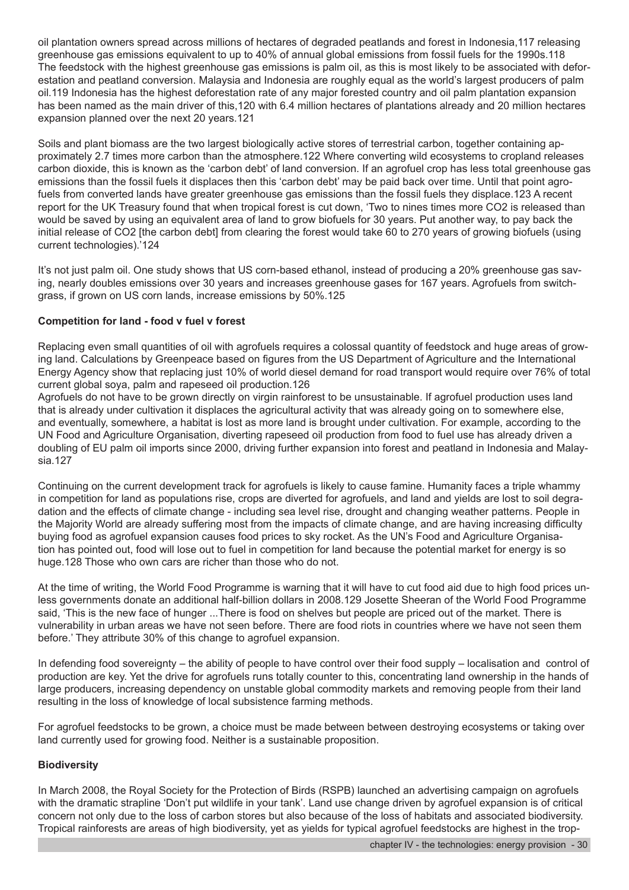oil plantation owners spread across millions of hectares of degraded peatlands and forest in Indonesia,117 releasing greenhouse gas emissions equivalent to up to 40% of annual global emissions from fossil fuels for the 1990s.118 The feedstock with the highest greenhouse gas emissions is palm oil, as this is most likely to be associated with deforestation and peatland conversion. Malaysia and Indonesia are roughly equal as the world's largest producers of palm oil.119 Indonesia has the highest deforestation rate of any major forested country and oil palm plantation expansion has been named as the main driver of this,120 with 6.4 million hectares of plantations already and 20 million hectares expansion planned over the next 20 years.121

Soils and plant biomass are the two largest biologically active stores of terrestrial carbon, together containing approximately 2.7 times more carbon than the atmosphere.122 Where converting wild ecosystems to cropland releases carbon dioxide, this is known as the 'carbon debt' of land conversion. If an agrofuel crop has less total greenhouse gas emissions than the fossil fuels it displaces then this 'carbon debt' may be paid back over time. Until that point agrofuels from converted lands have greater greenhouse gas emissions than the fossil fuels they displace.123 A recent report for the UK Treasury found that when tropical forest is cut down, 'Two to nines times more CO2 is released than would be saved by using an equivalent area of land to grow biofuels for 30 years. Put another way, to pay back the initial release of CO2 [the carbon debt] from clearing the forest would take 60 to 270 years of growing biofuels (using current technologies).'124

It's not just palm oil. One study shows that US corn-based ethanol, instead of producing a 20% greenhouse gas saving, nearly doubles emissions over 30 years and increases greenhouse gases for 167 years. Agrofuels from switchgrass, if grown on US corn lands, increase emissions by 50%.125

#### **Competition for land - food v fuel v forest**

Replacing even small quantities of oil with agrofuels requires a colossal quantity of feedstock and huge areas of growing land. Calculations by Greenpeace based on figures from the US Department of Agriculture and the International Energy Agency show that replacing just 10% of world diesel demand for road transport would require over 76% of total current global soya, palm and rapeseed oil production.126

Agrofuels do not have to be grown directly on virgin rainforest to be unsustainable. If agrofuel production uses land that is already under cultivation it displaces the agricultural activity that was already going on to somewhere else, and eventually, somewhere, a habitat is lost as more land is brought under cultivation. For example, according to the UN Food and Agriculture Organisation, diverting rapeseed oil production from food to fuel use has already driven a doubling of EU palm oil imports since 2000, driving further expansion into forest and peatland in Indonesia and Malaysia.127

Continuing on the current development track for agrofuels is likely to cause famine. Humanity faces a triple whammy in competition for land as populations rise, crops are diverted for agrofuels, and land and yields are lost to soil degradation and the effects of climate change - including sea level rise, drought and changing weather patterns. People in the Majority World are already suffering most from the impacts of climate change, and are having increasing difficulty buying food as agrofuel expansion causes food prices to sky rocket. As the UN's Food and Agriculture Organisation has pointed out, food will lose out to fuel in competition for land because the potential market for energy is so huge.128 Those who own cars are richer than those who do not.

At the time of writing, the World Food Programme is warning that it will have to cut food aid due to high food prices unless governments donate an additional half-billion dollars in 2008.129 Josette Sheeran of the World Food Programme said, 'This is the new face of hunger ...There is food on shelves but people are priced out of the market. There is vulnerability in urban areas we have not seen before. There are food riots in countries where we have not seen them before.' They attribute 30% of this change to agrofuel expansion.

In defending food sovereignty – the ability of people to have control over their food supply – localisation and control of production are key. Yet the drive for agrofuels runs totally counter to this, concentrating land ownership in the hands of large producers, increasing dependency on unstable global commodity markets and removing people from their land resulting in the loss of knowledge of local subsistence farming methods.

For agrofuel feedstocks to be grown, a choice must be made between between destroying ecosystems or taking over land currently used for growing food. Neither is a sustainable proposition.

#### **Biodiversity**

In March 2008, the Royal Society for the Protection of Birds (RSPB) launched an advertising campaign on agrofuels with the dramatic strapline 'Don't put wildlife in your tank'. Land use change driven by agrofuel expansion is of critical concern not only due to the loss of carbon stores but also because of the loss of habitats and associated biodiversity. Tropical rainforests are areas of high biodiversity, yet as yields for typical agrofuel feedstocks are highest in the trop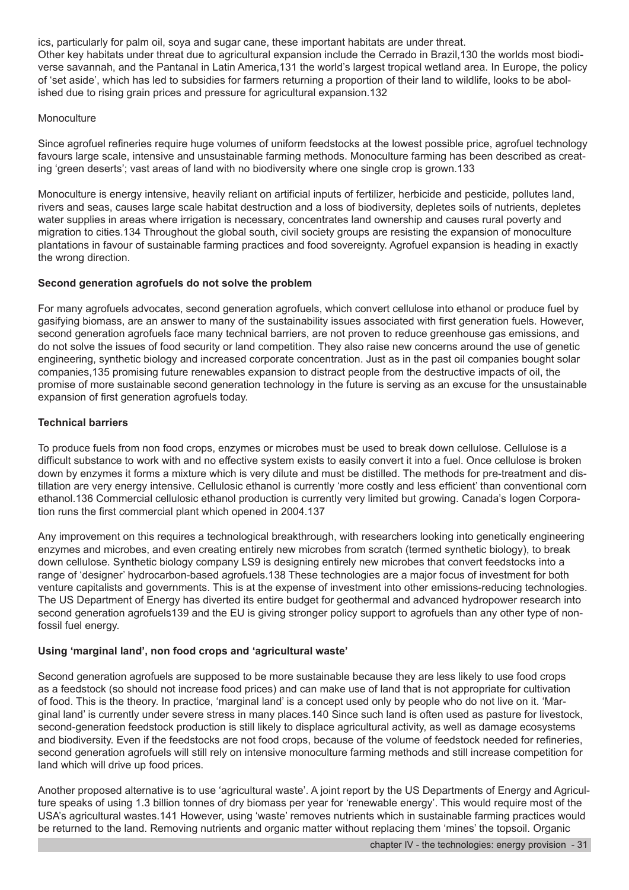ics, particularly for palm oil, soya and sugar cane, these important habitats are under threat. Other key habitats under threat due to agricultural expansion include the Cerrado in Brazil,130 the worlds most biodiverse savannah, and the Pantanal in Latin America,131 the world's largest tropical wetland area. In Europe, the policy of 'set aside', which has led to subsidies for farmers returning a proportion of their land to wildlife, looks to be abolished due to rising grain prices and pressure for agricultural expansion.132

#### **Monoculture**

Since agrofuel refineries require huge volumes of uniform feedstocks at the lowest possible price, agrofuel technology favours large scale, intensive and unsustainable farming methods. Monoculture farming has been described as creating 'green deserts'; vast areas of land with no biodiversity where one single crop is grown.133

Monoculture is energy intensive, heavily reliant on artificial inputs of fertilizer, herbicide and pesticide, pollutes land, rivers and seas, causes large scale habitat destruction and a loss of biodiversity, depletes soils of nutrients, depletes water supplies in areas where irrigation is necessary, concentrates land ownership and causes rural poverty and migration to cities.134 Throughout the global south, civil society groups are resisting the expansion of monoculture plantations in favour of sustainable farming practices and food sovereignty. Agrofuel expansion is heading in exactly the wrong direction.

#### **Second generation agrofuels do not solve the problem**

For many agrofuels advocates, second generation agrofuels, which convert cellulose into ethanol or produce fuel by gasifying biomass, are an answer to many of the sustainability issues associated with first generation fuels. However, second generation agrofuels face many technical barriers, are not proven to reduce greenhouse gas emissions, and do not solve the issues of food security or land competition. They also raise new concerns around the use of genetic engineering, synthetic biology and increased corporate concentration. Just as in the past oil companies bought solar companies,135 promising future renewables expansion to distract people from the destructive impacts of oil, the promise of more sustainable second generation technology in the future is serving as an excuse for the unsustainable expansion of first generation agrofuels today.

#### **Technical barriers**

To produce fuels from non food crops, enzymes or microbes must be used to break down cellulose. Cellulose is a difficult substance to work with and no effective system exists to easily convert it into a fuel. Once cellulose is broken down by enzymes it forms a mixture which is very dilute and must be distilled. The methods for pre-treatment and distillation are very energy intensive. Cellulosic ethanol is currently 'more costly and less efficient' than conventional corn ethanol.136 Commercial cellulosic ethanol production is currently very limited but growing. Canada's Iogen Corporation runs the first commercial plant which opened in 2004.137

Any improvement on this requires a technological breakthrough, with researchers looking into genetically engineering enzymes and microbes, and even creating entirely new microbes from scratch (termed synthetic biology), to break down cellulose. Synthetic biology company LS9 is designing entirely new microbes that convert feedstocks into a range of 'designer' hydrocarbon-based agrofuels.138 These technologies are a major focus of investment for both venture capitalists and governments. This is at the expense of investment into other emissions-reducing technologies. The US Department of Energy has diverted its entire budget for geothermal and advanced hydropower research into second generation agrofuels139 and the EU is giving stronger policy support to agrofuels than any other type of nonfossil fuel energy.

# **Using 'marginal land', non food crops and 'agricultural waste'**

Second generation agrofuels are supposed to be more sustainable because they are less likely to use food crops as a feedstock (so should not increase food prices) and can make use of land that is not appropriate for cultivation of food. This is the theory. In practice, 'marginal land' is a concept used only by people who do not live on it. 'Marginal land' is currently under severe stress in many places.140 Since such land is often used as pasture for livestock, second-generation feedstock production is still likely to displace agricultural activity, as well as damage ecosystems and biodiversity. Even if the feedstocks are not food crops, because of the volume of feedstock needed for refineries, second generation agrofuels will still rely on intensive monoculture farming methods and still increase competition for land which will drive up food prices.

Another proposed alternative is to use 'agricultural waste'. A joint report by the US Departments of Energy and Agriculture speaks of using 1.3 billion tonnes of dry biomass per year for 'renewable energy'. This would require most of the USA's agricultural wastes.141 However, using 'waste' removes nutrients which in sustainable farming practices would be returned to the land. Removing nutrients and organic matter without replacing them 'mines' the topsoil. Organic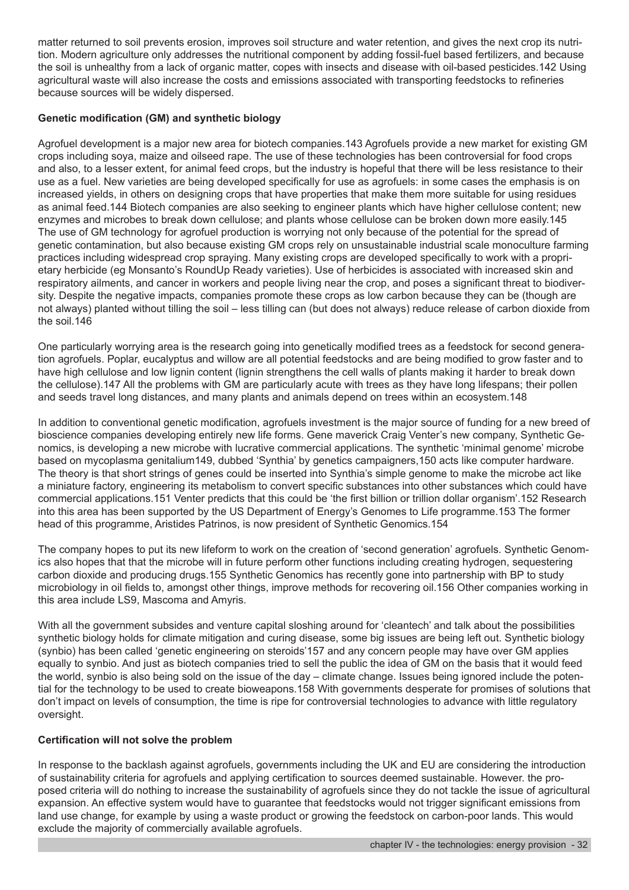matter returned to soil prevents erosion, improves soil structure and water retention, and gives the next crop its nutrition. Modern agriculture only addresses the nutritional component by adding fossil-fuel based fertilizers, and because the soil is unhealthy from a lack of organic matter, copes with insects and disease with oil-based pesticides.142 Using agricultural waste will also increase the costs and emissions associated with transporting feedstocks to refineries because sources will be widely dispersed.

### **Genetic modification (GM) and synthetic biology**

Agrofuel development is a major new area for biotech companies.143 Agrofuels provide a new market for existing GM crops including soya, maize and oilseed rape. The use of these technologies has been controversial for food crops and also, to a lesser extent, for animal feed crops, but the industry is hopeful that there will be less resistance to their use as a fuel. New varieties are being developed specifically for use as agrofuels: in some cases the emphasis is on increased yields, in others on designing crops that have properties that make them more suitable for using residues as animal feed.144 Biotech companies are also seeking to engineer plants which have higher cellulose content; new enzymes and microbes to break down cellulose; and plants whose cellulose can be broken down more easily.145 The use of GM technology for agrofuel production is worrying not only because of the potential for the spread of genetic contamination, but also because existing GM crops rely on unsustainable industrial scale monoculture farming practices including widespread crop spraying. Many existing crops are developed specifically to work with a proprietary herbicide (eg Monsanto's RoundUp Ready varieties). Use of herbicides is associated with increased skin and respiratory ailments, and cancer in workers and people living near the crop, and poses a significant threat to biodiversity. Despite the negative impacts, companies promote these crops as low carbon because they can be (though are not always) planted without tilling the soil – less tilling can (but does not always) reduce release of carbon dioxide from the soil.146

One particularly worrying area is the research going into genetically modified trees as a feedstock for second generation agrofuels. Poplar, eucalyptus and willow are all potential feedstocks and are being modified to grow faster and to have high cellulose and low lignin content (lignin strengthens the cell walls of plants making it harder to break down the cellulose).147 All the problems with GM are particularly acute with trees as they have long lifespans; their pollen and seeds travel long distances, and many plants and animals depend on trees within an ecosystem.148

In addition to conventional genetic modification, agrofuels investment is the major source of funding for a new breed of bioscience companies developing entirely new life forms. Gene maverick Craig Venter's new company, Synthetic Genomics, is developing a new microbe with lucrative commercial applications. The synthetic 'minimal genome' microbe based on mycoplasma genitalium149, dubbed 'Synthia' by genetics campaigners,150 acts like computer hardware. The theory is that short strings of genes could be inserted into Synthia's simple genome to make the microbe act like a miniature factory, engineering its metabolism to convert specific substances into other substances which could have commercial applications.151 Venter predicts that this could be 'the first billion or trillion dollar organism'.152 Research into this area has been supported by the US Department of Energy's Genomes to Life programme.153 The former head of this programme, Aristides Patrinos, is now president of Synthetic Genomics.154

The company hopes to put its new lifeform to work on the creation of 'second generation' agrofuels. Synthetic Genomics also hopes that that the microbe will in future perform other functions including creating hydrogen, sequestering carbon dioxide and producing drugs.155 Synthetic Genomics has recently gone into partnership with BP to study microbiology in oil fields to, amongst other things, improve methods for recovering oil.156 Other companies working in this area include LS9, Mascoma and Amyris.

With all the government subsides and venture capital sloshing around for 'cleantech' and talk about the possibilities synthetic biology holds for climate mitigation and curing disease, some big issues are being left out. Synthetic biology (synbio) has been called 'genetic engineering on steroids'157 and any concern people may have over GM applies equally to synbio. And just as biotech companies tried to sell the public the idea of GM on the basis that it would feed the world, synbio is also being sold on the issue of the day – climate change. Issues being ignored include the potential for the technology to be used to create bioweapons.158 With governments desperate for promises of solutions that don't impact on levels of consumption, the time is ripe for controversial technologies to advance with little regulatory oversight.

# **Certification will not solve the problem**

In response to the backlash against agrofuels, governments including the UK and EU are considering the introduction of sustainability criteria for agrofuels and applying certification to sources deemed sustainable. However. the proposed criteria will do nothing to increase the sustainability of agrofuels since they do not tackle the issue of agricultural expansion. An effective system would have to guarantee that feedstocks would not trigger significant emissions from land use change, for example by using a waste product or growing the feedstock on carbon-poor lands. This would exclude the majority of commercially available agrofuels.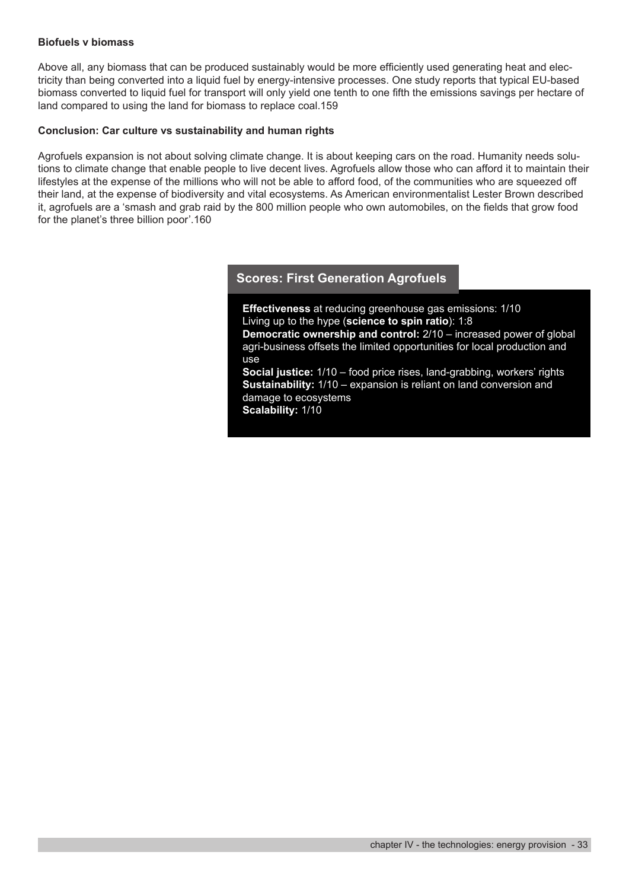#### **Biofuels v biomass**

Above all, any biomass that can be produced sustainably would be more efficiently used generating heat and electricity than being converted into a liquid fuel by energy-intensive processes. One study reports that typical EU-based biomass converted to liquid fuel for transport will only yield one tenth to one fifth the emissions savings per hectare of land compared to using the land for biomass to replace coal.159

#### **Conclusion: Car culture vs sustainability and human rights**

Agrofuels expansion is not about solving climate change. It is about keeping cars on the road. Humanity needs solutions to climate change that enable people to live decent lives. Agrofuels allow those who can afford it to maintain their lifestyles at the expense of the millions who will not be able to afford food, of the communities who are squeezed off their land, at the expense of biodiversity and vital ecosystems. As American environmentalist Lester Brown described it, agrofuels are a 'smash and grab raid by the 800 million people who own automobiles, on the fields that grow food for the planet's three billion poor'.160

# **Scores: First Generation Agrofuels**

**Effectiveness** at reducing greenhouse gas emissions: 1/10 Living up to the hype (**science to spin ratio**): 1:8 **Democratic ownership and control:** 2/10 – increased power of global agri-business offsets the limited opportunities for local production and use **Social justice:** 1/10 – food price rises, land-grabbing, workers' rights **Sustainability:** 1/10 – expansion is reliant on land conversion and damage to ecosystems

**Scalability:** 1/10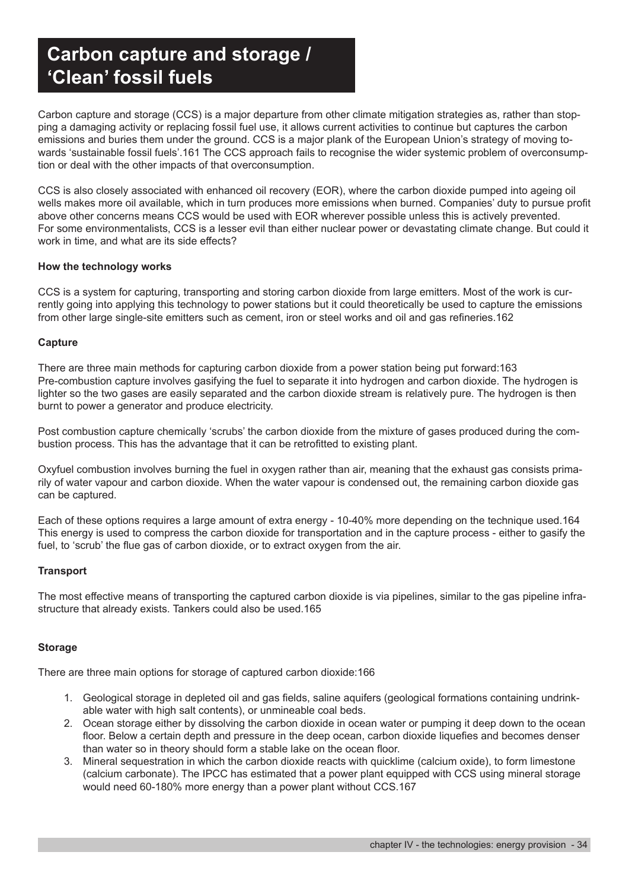# **Carbon capture and storage / 'Clean' fossil fuels**

Carbon capture and storage (CCS) is a major departure from other climate mitigation strategies as, rather than stopping a damaging activity or replacing fossil fuel use, it allows current activities to continue but captures the carbon emissions and buries them under the ground. CCS is a major plank of the European Union's strategy of moving towards 'sustainable fossil fuels'.161 The CCS approach fails to recognise the wider systemic problem of overconsumption or deal with the other impacts of that overconsumption.

CCS is also closely associated with enhanced oil recovery (EOR), where the carbon dioxide pumped into ageing oil wells makes more oil available, which in turn produces more emissions when burned. Companies' duty to pursue profit above other concerns means CCS would be used with EOR wherever possible unless this is actively prevented. For some environmentalists, CCS is a lesser evil than either nuclear power or devastating climate change. But could it work in time, and what are its side effects?

#### **How the technology works**

CCS is a system for capturing, transporting and storing carbon dioxide from large emitters. Most of the work is currently going into applying this technology to power stations but it could theoretically be used to capture the emissions from other large single-site emitters such as cement, iron or steel works and oil and gas refineries.162

#### **Capture**

There are three main methods for capturing carbon dioxide from a power station being put forward:163 Pre-combustion capture involves gasifying the fuel to separate it into hydrogen and carbon dioxide. The hydrogen is lighter so the two gases are easily separated and the carbon dioxide stream is relatively pure. The hydrogen is then burnt to power a generator and produce electricity.

Post combustion capture chemically 'scrubs' the carbon dioxide from the mixture of gases produced during the combustion process. This has the advantage that it can be retrofitted to existing plant.

Oxyfuel combustion involves burning the fuel in oxygen rather than air, meaning that the exhaust gas consists primarily of water vapour and carbon dioxide. When the water vapour is condensed out, the remaining carbon dioxide gas can be captured.

Each of these options requires a large amount of extra energy - 10-40% more depending on the technique used.164 This energy is used to compress the carbon dioxide for transportation and in the capture process - either to gasify the fuel, to 'scrub' the flue gas of carbon dioxide, or to extract oxygen from the air.

#### **Transport**

The most effective means of transporting the captured carbon dioxide is via pipelines, similar to the gas pipeline infrastructure that already exists. Tankers could also be used.165

#### **Storage**

There are three main options for storage of captured carbon dioxide:166

- 1. Geological storage in depleted oil and gas fields, saline aquifers (geological formations containing undrinkable water with high salt contents), or unmineable coal beds.
- 2. Ocean storage either by dissolving the carbon dioxide in ocean water or pumping it deep down to the ocean floor. Below a certain depth and pressure in the deep ocean, carbon dioxide liquefies and becomes denser than water so in theory should form a stable lake on the ocean floor.
- 3. Mineral sequestration in which the carbon dioxide reacts with quicklime (calcium oxide), to form limestone (calcium carbonate). The IPCC has estimated that a power plant equipped with CCS using mineral storage would need 60-180% more energy than a power plant without CCS.167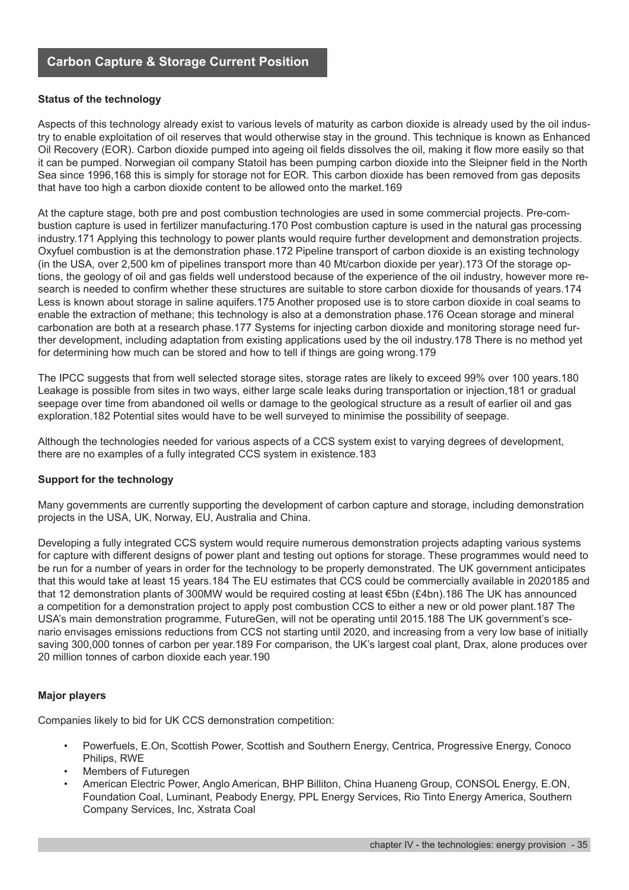#### **Status of the technology**

Aspects of this technology already exist to various levels of maturity as carbon dioxide is already used by the oil industry to enable exploitation of oil reserves that would otherwise stay in the ground. This technique is known as Enhanced Oil Recovery (EOR). Carbon dioxide pumped into ageing oil fields dissolves the oil, making it flow more easily so that it can be pumped. Norwegian oil company Statoil has been pumping carbon dioxide into the Sleipner field in the North Sea since 1996,168 this is simply for storage not for EOR. This carbon dioxide has been removed from gas deposits that have too high a carbon dioxide content to be allowed onto the market.169

At the capture stage, both pre and post combustion technologies are used in some commercial projects. Pre-combustion capture is used in fertilizer manufacturing.170 Post combustion capture is used in the natural gas processing industry.171 Applying this technology to power plants would require further development and demonstration projects. Oxyfuel combustion is at the demonstration phase.172 Pipeline transport of carbon dioxide is an existing technology (in the USA, over 2,500 km of pipelines transport more than 40 Mt/carbon dioxide per year).173 Of the storage options, the geology of oil and gas fields well understood because of the experience of the oil industry, however more research is needed to confirm whether these structures are suitable to store carbon dioxide for thousands of years.174 Less is known about storage in saline aquifers.175 Another proposed use is to store carbon dioxide in coal seams to enable the extraction of methane; this technology is also at a demonstration phase.176 Ocean storage and mineral carbonation are both at a research phase.177 Systems for injecting carbon dioxide and monitoring storage need further development, including adaptation from existing applications used by the oil industry.178 There is no method yet for determining how much can be stored and how to tell if things are going wrong.179

The IPCC suggests that from well selected storage sites, storage rates are likely to exceed 99% over 100 years.180 Leakage is possible from sites in two ways, either large scale leaks during transportation or injection,181 or gradual seepage over time from abandoned oil wells or damage to the geological structure as a result of earlier oil and gas exploration.182 Potential sites would have to be well surveyed to minimise the possibility of seepage.

Although the technologies needed for various aspects of a CCS system exist to varying degrees of development, there are no examples of a fully integrated CCS system in existence.183

#### **Support for the technology**

Many governments are currently supporting the development of carbon capture and storage, including demonstration projects in the USA, UK, Norway, EU, Australia and China.

Developing a fully integrated CCS system would require numerous demonstration projects adapting various systems for capture with different designs of power plant and testing out options for storage. These programmes would need to be run for a number of years in order for the technology to be properly demonstrated. The UK government anticipates that this would take at least 15 years.184 The EU estimates that CCS could be commercially available in 2020185 and that 12 demonstration plants of 300MW would be required costing at least €5bn (£4bn).186 The UK has announced a competition for a demonstration project to apply post combustion CCS to either a new or old power plant.187 The USA's main demonstration programme, FutureGen, will not be operating until 2015.188 The UK government's scenario envisages emissions reductions from CCS not starting until 2020, and increasing from a very low base of initially saving 300,000 tonnes of carbon per year.189 For comparison, the UK's largest coal plant, Drax, alone produces over 20 million tonnes of carbon dioxide each year.190

#### **Major players**

Companies likely to bid for UK CCS demonstration competition:

- Powerfuels, E.On, Scottish Power, Scottish and Southern Energy, Centrica, Progressive Energy, Conoco Philips, RWE
- Members of Futuregen
- American Electric Power, Anglo American, BHP Billiton, China Huaneng Group, CONSOL Energy, E.ON, Foundation Coal, Luminant, Peabody Energy, PPL Energy Services, Rio Tinto Energy America, Southern Company Services, Inc, Xstrata Coal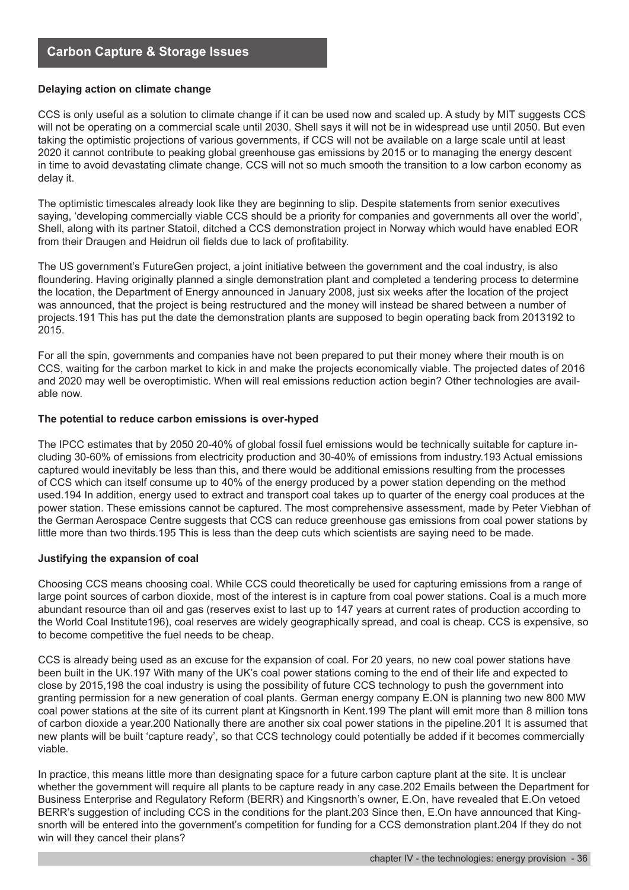#### **Delaying action on climate change**

CCS is only useful as a solution to climate change if it can be used now and scaled up. A study by MIT suggests CCS will not be operating on a commercial scale until 2030. Shell says it will not be in widespread use until 2050. But even taking the optimistic projections of various governments, if CCS will not be available on a large scale until at least 2020 it cannot contribute to peaking global greenhouse gas emissions by 2015 or to managing the energy descent in time to avoid devastating climate change. CCS will not so much smooth the transition to a low carbon economy as delay it.

The optimistic timescales already look like they are beginning to slip. Despite statements from senior executives saying, 'developing commercially viable CCS should be a priority for companies and governments all over the world', Shell, along with its partner Statoil, ditched a CCS demonstration project in Norway which would have enabled EOR from their Draugen and Heidrun oil fields due to lack of profitability.

The US government's FutureGen project, a joint initiative between the government and the coal industry, is also floundering. Having originally planned a single demonstration plant and completed a tendering process to determine the location, the Department of Energy announced in January 2008, just six weeks after the location of the project was announced, that the project is being restructured and the money will instead be shared between a number of projects.191 This has put the date the demonstration plants are supposed to begin operating back from 2013192 to 2015.

For all the spin, governments and companies have not been prepared to put their money where their mouth is on CCS, waiting for the carbon market to kick in and make the projects economically viable. The projected dates of 2016 and 2020 may well be overoptimistic. When will real emissions reduction action begin? Other technologies are available now.

#### **The potential to reduce carbon emissions is over-hyped**

The IPCC estimates that by 2050 20-40% of global fossil fuel emissions would be technically suitable for capture including 30-60% of emissions from electricity production and 30-40% of emissions from industry.193 Actual emissions captured would inevitably be less than this, and there would be additional emissions resulting from the processes of CCS which can itself consume up to 40% of the energy produced by a power station depending on the method used.194 In addition, energy used to extract and transport coal takes up to quarter of the energy coal produces at the power station. These emissions cannot be captured. The most comprehensive assessment, made by Peter Viebhan of the German Aerospace Centre suggests that CCS can reduce greenhouse gas emissions from coal power stations by little more than two thirds.195 This is less than the deep cuts which scientists are saying need to be made.

#### **Justifying the expansion of coal**

Choosing CCS means choosing coal. While CCS could theoretically be used for capturing emissions from a range of large point sources of carbon dioxide, most of the interest is in capture from coal power stations. Coal is a much more abundant resource than oil and gas (reserves exist to last up to 147 years at current rates of production according to the World Coal Institute196), coal reserves are widely geographically spread, and coal is cheap. CCS is expensive, so to become competitive the fuel needs to be cheap.

CCS is already being used as an excuse for the expansion of coal. For 20 years, no new coal power stations have been built in the UK.197 With many of the UK's coal power stations coming to the end of their life and expected to close by 2015,198 the coal industry is using the possibility of future CCS technology to push the government into granting permission for a new generation of coal plants. German energy company E.ON is planning two new 800 MW coal power stations at the site of its current plant at Kingsnorth in Kent.199 The plant will emit more than 8 million tons of carbon dioxide a year.200 Nationally there are another six coal power stations in the pipeline.201 It is assumed that new plants will be built 'capture ready', so that CCS technology could potentially be added if it becomes commercially viable.

In practice, this means little more than designating space for a future carbon capture plant at the site. It is unclear whether the government will require all plants to be capture ready in any case.202 Emails between the Department for Business Enterprise and Regulatory Reform (BERR) and Kingsnorth's owner, E.On, have revealed that E.On vetoed BERR's suggestion of including CCS in the conditions for the plant.203 Since then, E.On have announced that Kingsnorth will be entered into the government's competition for funding for a CCS demonstration plant.204 If they do not win will they cancel their plans?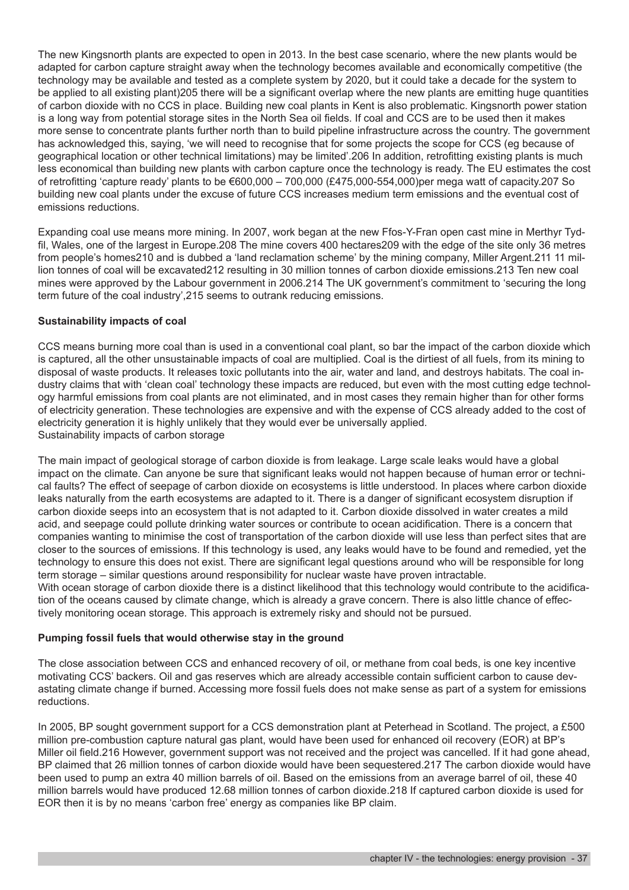The new Kingsnorth plants are expected to open in 2013. In the best case scenario, where the new plants would be adapted for carbon capture straight away when the technology becomes available and economically competitive (the technology may be available and tested as a complete system by 2020, but it could take a decade for the system to be applied to all existing plant)205 there will be a significant overlap where the new plants are emitting huge quantities of carbon dioxide with no CCS in place. Building new coal plants in Kent is also problematic. Kingsnorth power station is a long way from potential storage sites in the North Sea oil fields. If coal and CCS are to be used then it makes more sense to concentrate plants further north than to build pipeline infrastructure across the country. The government has acknowledged this, saying, 'we will need to recognise that for some projects the scope for CCS (eg because of geographical location or other technical limitations) may be limited'.206 In addition, retrofitting existing plants is much less economical than building new plants with carbon capture once the technology is ready. The EU estimates the cost of retrofitting 'capture ready' plants to be €600,000 – 700,000 (£475,000-554,000)per mega watt of capacity.207 So building new coal plants under the excuse of future CCS increases medium term emissions and the eventual cost of emissions reductions.

Expanding coal use means more mining. In 2007, work began at the new Ffos-Y-Fran open cast mine in Merthyr Tydfil, Wales, one of the largest in Europe.208 The mine covers 400 hectares209 with the edge of the site only 36 metres from people's homes210 and is dubbed a 'land reclamation scheme' by the mining company, Miller Argent.211 11 million tonnes of coal will be excavated212 resulting in 30 million tonnes of carbon dioxide emissions.213 Ten new coal mines were approved by the Labour government in 2006.214 The UK government's commitment to 'securing the long term future of the coal industry',215 seems to outrank reducing emissions.

#### **Sustainability impacts of coal**

CCS means burning more coal than is used in a conventional coal plant, so bar the impact of the carbon dioxide which is captured, all the other unsustainable impacts of coal are multiplied. Coal is the dirtiest of all fuels, from its mining to disposal of waste products. It releases toxic pollutants into the air, water and land, and destroys habitats. The coal industry claims that with 'clean coal' technology these impacts are reduced, but even with the most cutting edge technology harmful emissions from coal plants are not eliminated, and in most cases they remain higher than for other forms of electricity generation. These technologies are expensive and with the expense of CCS already added to the cost of electricity generation it is highly unlikely that they would ever be universally applied. Sustainability impacts of carbon storage

The main impact of geological storage of carbon dioxide is from leakage. Large scale leaks would have a global impact on the climate. Can anyone be sure that significant leaks would not happen because of human error or technical faults? The effect of seepage of carbon dioxide on ecosystems is little understood. In places where carbon dioxide leaks naturally from the earth ecosystems are adapted to it. There is a danger of significant ecosystem disruption if carbon dioxide seeps into an ecosystem that is not adapted to it. Carbon dioxide dissolved in water creates a mild acid, and seepage could pollute drinking water sources or contribute to ocean acidification. There is a concern that companies wanting to minimise the cost of transportation of the carbon dioxide will use less than perfect sites that are closer to the sources of emissions. If this technology is used, any leaks would have to be found and remedied, yet the technology to ensure this does not exist. There are significant legal questions around who will be responsible for long term storage – similar questions around responsibility for nuclear waste have proven intractable. With ocean storage of carbon dioxide there is a distinct likelihood that this technology would contribute to the acidifica-

tion of the oceans caused by climate change, which is already a grave concern. There is also little chance of effectively monitoring ocean storage. This approach is extremely risky and should not be pursued.

#### **Pumping fossil fuels that would otherwise stay in the ground**

The close association between CCS and enhanced recovery of oil, or methane from coal beds, is one key incentive motivating CCS' backers. Oil and gas reserves which are already accessible contain sufficient carbon to cause devastating climate change if burned. Accessing more fossil fuels does not make sense as part of a system for emissions reductions.

In 2005, BP sought government support for a CCS demonstration plant at Peterhead in Scotland. The project, a £500 million pre-combustion capture natural gas plant, would have been used for enhanced oil recovery (EOR) at BP's Miller oil field.216 However, government support was not received and the project was cancelled. If it had gone ahead, BP claimed that 26 million tonnes of carbon dioxide would have been sequestered.217 The carbon dioxide would have been used to pump an extra 40 million barrels of oil. Based on the emissions from an average barrel of oil, these 40 million barrels would have produced 12.68 million tonnes of carbon dioxide.218 If captured carbon dioxide is used for EOR then it is by no means 'carbon free' energy as companies like BP claim.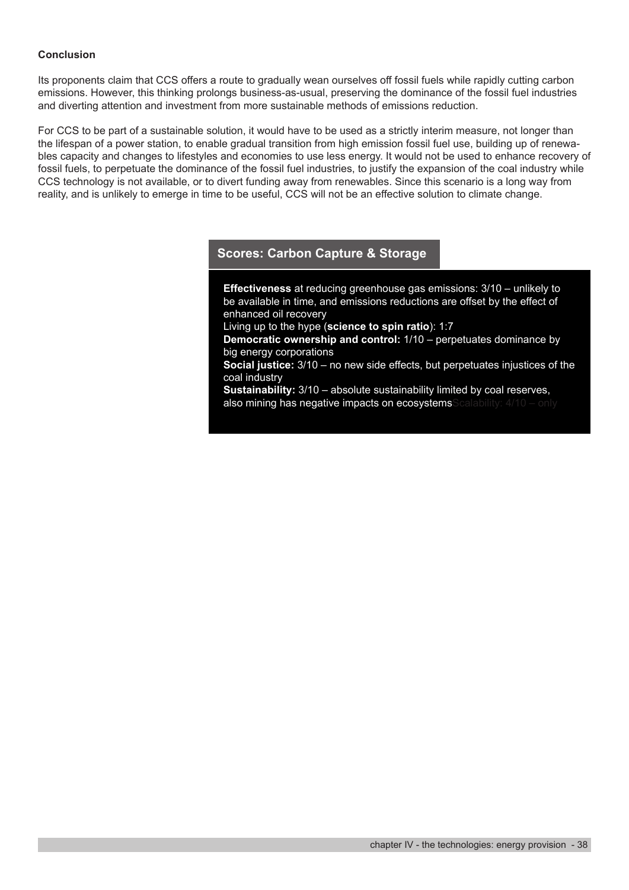#### **Conclusion**

Its proponents claim that CCS offers a route to gradually wean ourselves off fossil fuels while rapidly cutting carbon emissions. However, this thinking prolongs business-as-usual, preserving the dominance of the fossil fuel industries and diverting attention and investment from more sustainable methods of emissions reduction.

For CCS to be part of a sustainable solution, it would have to be used as a strictly interim measure, not longer than the lifespan of a power station, to enable gradual transition from high emission fossil fuel use, building up of renewables capacity and changes to lifestyles and economies to use less energy. It would not be used to enhance recovery of fossil fuels, to perpetuate the dominance of the fossil fuel industries, to justify the expansion of the coal industry while CCS technology is not available, or to divert funding away from renewables. Since this scenario is a long way from reality, and is unlikely to emerge in time to be useful, CCS will not be an effective solution to climate change.

# **Scores: Carbon Capture & Storage**

**Effectiveness** at reducing greenhouse gas emissions: 3/10 – unlikely to be available in time, and emissions reductions are offset by the effect of enhanced oil recovery

Living up to the hype (**science to spin ratio**): 1:7

**Democratic ownership and control:** 1/10 – perpetuates dominance by big energy corporations

**Social justice:** 3/10 – no new side effects, but perpetuates injustices of the coal industry

**Sustainability:** 3/10 – absolute sustainability limited by coal reserves, also mining has negative impacts on ecosystemsScalability: 4/10 – only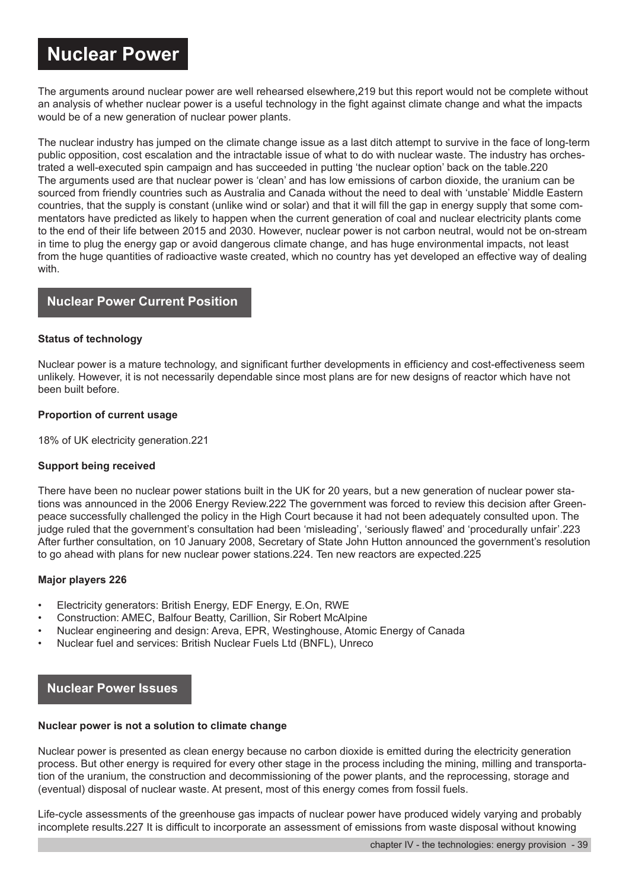# **Nuclear Power**

The arguments around nuclear power are well rehearsed elsewhere,219 but this report would not be complete without an analysis of whether nuclear power is a useful technology in the fight against climate change and what the impacts would be of a new generation of nuclear power plants.

The nuclear industry has jumped on the climate change issue as a last ditch attempt to survive in the face of long-term public opposition, cost escalation and the intractable issue of what to do with nuclear waste. The industry has orchestrated a well-executed spin campaign and has succeeded in putting 'the nuclear option' back on the table.220 The arguments used are that nuclear power is 'clean' and has low emissions of carbon dioxide, the uranium can be sourced from friendly countries such as Australia and Canada without the need to deal with 'unstable' Middle Eastern countries, that the supply is constant (unlike wind or solar) and that it will fill the gap in energy supply that some commentators have predicted as likely to happen when the current generation of coal and nuclear electricity plants come to the end of their life between 2015 and 2030. However, nuclear power is not carbon neutral, would not be on-stream in time to plug the energy gap or avoid dangerous climate change, and has huge environmental impacts, not least from the huge quantities of radioactive waste created, which no country has yet developed an effective way of dealing with.

# **Nuclear Power Current Position**

#### **Status of technology**

Nuclear power is a mature technology, and significant further developments in efficiency and cost-effectiveness seem unlikely. However, it is not necessarily dependable since most plans are for new designs of reactor which have not been built before.

#### **Proportion of current usage**

18% of UK electricity generation.221

#### **Support being received**

There have been no nuclear power stations built in the UK for 20 years, but a new generation of nuclear power stations was announced in the 2006 Energy Review.222 The government was forced to review this decision after Greenpeace successfully challenged the policy in the High Court because it had not been adequately consulted upon. The judge ruled that the government's consultation had been 'misleading', 'seriously flawed' and 'procedurally unfair'.223 After further consultation, on 10 January 2008, Secretary of State John Hutton announced the government's resolution to go ahead with plans for new nuclear power stations.224. Ten new reactors are expected.225

#### **Major players 226**

- Electricity generators: British Energy, EDF Energy, E.On, RWE
- Construction: AMEC, Balfour Beatty, Carillion, Sir Robert McAlpine
- Nuclear engineering and design: Areva, EPR, Westinghouse, Atomic Energy of Canada
- Nuclear fuel and services: British Nuclear Fuels Ltd (BNFL), Unreco

# **Nuclear Power Issues**

#### **Nuclear power is not a solution to climate change**

Nuclear power is presented as clean energy because no carbon dioxide is emitted during the electricity generation process. But other energy is required for every other stage in the process including the mining, milling and transportation of the uranium, the construction and decommissioning of the power plants, and the reprocessing, storage and (eventual) disposal of nuclear waste. At present, most of this energy comes from fossil fuels.

Life-cycle assessments of the greenhouse gas impacts of nuclear power have produced widely varying and probably incomplete results.227 It is difficult to incorporate an assessment of emissions from waste disposal without knowing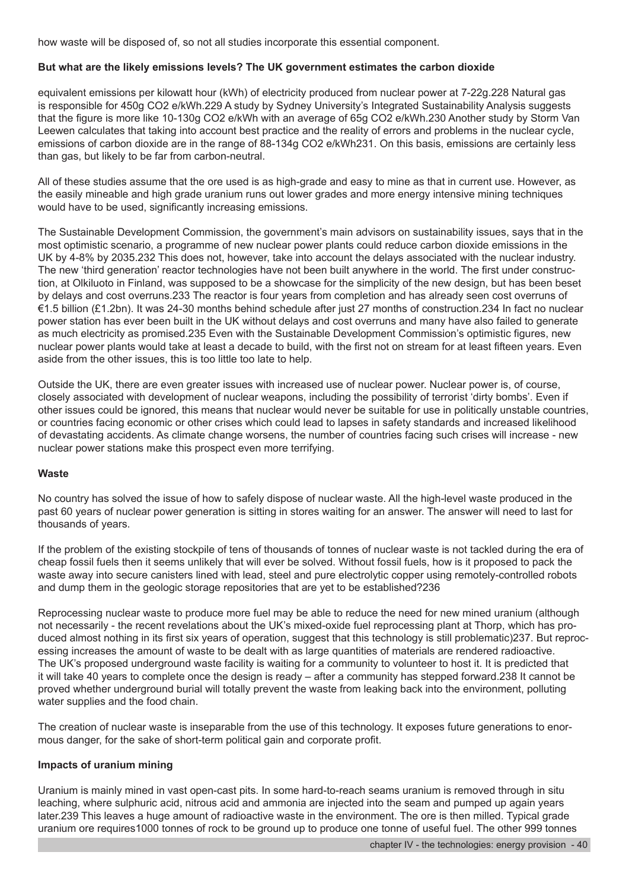how waste will be disposed of, so not all studies incorporate this essential component.

#### **But what are the likely emissions levels? The UK government estimates the carbon dioxide**

equivalent emissions per kilowatt hour (kWh) of electricity produced from nuclear power at 7-22g.228 Natural gas is responsible for 450g CO2 e/kWh.229 A study by Sydney University's Integrated Sustainability Analysis suggests that the figure is more like 10-130g CO2 e/kWh with an average of 65g CO2 e/kWh.230 Another study by Storm Van Leewen calculates that taking into account best practice and the reality of errors and problems in the nuclear cycle, emissions of carbon dioxide are in the range of 88-134g CO2 e/kWh231. On this basis, emissions are certainly less than gas, but likely to be far from carbon-neutral.

All of these studies assume that the ore used is as high-grade and easy to mine as that in current use. However, as the easily mineable and high grade uranium runs out lower grades and more energy intensive mining techniques would have to be used, significantly increasing emissions.

The Sustainable Development Commission, the government's main advisors on sustainability issues, says that in the most optimistic scenario, a programme of new nuclear power plants could reduce carbon dioxide emissions in the UK by 4-8% by 2035.232 This does not, however, take into account the delays associated with the nuclear industry. The new 'third generation' reactor technologies have not been built anywhere in the world. The first under construction, at Olkiluoto in Finland, was supposed to be a showcase for the simplicity of the new design, but has been beset by delays and cost overruns.233 The reactor is four years from completion and has already seen cost overruns of €1.5 billion (£1.2bn). It was 24-30 months behind schedule after just 27 months of construction.234 In fact no nuclear power station has ever been built in the UK without delays and cost overruns and many have also failed to generate as much electricity as promised.235 Even with the Sustainable Development Commission's optimistic figures, new nuclear power plants would take at least a decade to build, with the first not on stream for at least fifteen years. Even aside from the other issues, this is too little too late to help.

Outside the UK, there are even greater issues with increased use of nuclear power. Nuclear power is, of course, closely associated with development of nuclear weapons, including the possibility of terrorist 'dirty bombs'. Even if other issues could be ignored, this means that nuclear would never be suitable for use in politically unstable countries, or countries facing economic or other crises which could lead to lapses in safety standards and increased likelihood of devastating accidents. As climate change worsens, the number of countries facing such crises will increase - new nuclear power stations make this prospect even more terrifying.

#### **Waste**

No country has solved the issue of how to safely dispose of nuclear waste. All the high-level waste produced in the past 60 years of nuclear power generation is sitting in stores waiting for an answer. The answer will need to last for thousands of years.

If the problem of the existing stockpile of tens of thousands of tonnes of nuclear waste is not tackled during the era of cheap fossil fuels then it seems unlikely that will ever be solved. Without fossil fuels, how is it proposed to pack the waste away into secure canisters lined with lead, steel and pure electrolytic copper using remotely-controlled robots and dump them in the geologic storage repositories that are yet to be established?236

Reprocessing nuclear waste to produce more fuel may be able to reduce the need for new mined uranium (although not necessarily - the recent revelations about the UK's mixed-oxide fuel reprocessing plant at Thorp, which has produced almost nothing in its first six years of operation, suggest that this technology is still problematic)237. But reprocessing increases the amount of waste to be dealt with as large quantities of materials are rendered radioactive. The UK's proposed underground waste facility is waiting for a community to volunteer to host it. It is predicted that it will take 40 years to complete once the design is ready – after a community has stepped forward.238 It cannot be proved whether underground burial will totally prevent the waste from leaking back into the environment, polluting water supplies and the food chain.

The creation of nuclear waste is inseparable from the use of this technology. It exposes future generations to enormous danger, for the sake of short-term political gain and corporate profit.

#### **Impacts of uranium mining**

Uranium is mainly mined in vast open-cast pits. In some hard-to-reach seams uranium is removed through in situ leaching, where sulphuric acid, nitrous acid and ammonia are injected into the seam and pumped up again years later.239 This leaves a huge amount of radioactive waste in the environment. The ore is then milled. Typical grade uranium ore requires1000 tonnes of rock to be ground up to produce one tonne of useful fuel. The other 999 tonnes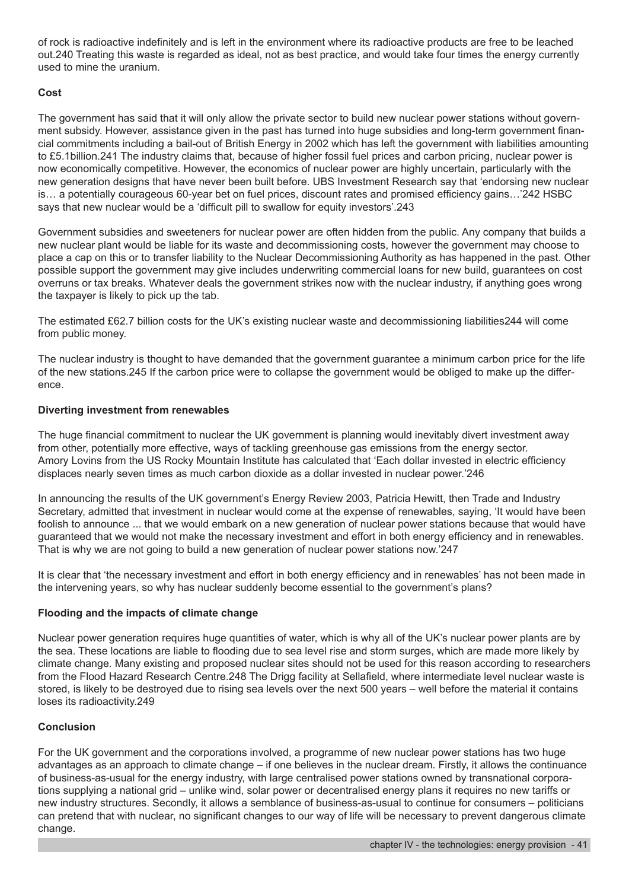of rock is radioactive indefinitely and is left in the environment where its radioactive products are free to be leached out.240 Treating this waste is regarded as ideal, not as best practice, and would take four times the energy currently used to mine the uranium.

#### **Cost**

The government has said that it will only allow the private sector to build new nuclear power stations without government subsidy. However, assistance given in the past has turned into huge subsidies and long-term government financial commitments including a bail-out of British Energy in 2002 which has left the government with liabilities amounting to £5.1billion.241 The industry claims that, because of higher fossil fuel prices and carbon pricing, nuclear power is now economically competitive. However, the economics of nuclear power are highly uncertain, particularly with the new generation designs that have never been built before. UBS Investment Research say that 'endorsing new nuclear is… a potentially courageous 60-year bet on fuel prices, discount rates and promised efficiency gains…'242 HSBC says that new nuclear would be a 'difficult pill to swallow for equity investors'.243

Government subsidies and sweeteners for nuclear power are often hidden from the public. Any company that builds a new nuclear plant would be liable for its waste and decommissioning costs, however the government may choose to place a cap on this or to transfer liability to the Nuclear Decommissioning Authority as has happened in the past. Other possible support the government may give includes underwriting commercial loans for new build, guarantees on cost overruns or tax breaks. Whatever deals the government strikes now with the nuclear industry, if anything goes wrong the taxpayer is likely to pick up the tab.

The estimated £62.7 billion costs for the UK's existing nuclear waste and decommissioning liabilities244 will come from public money.

The nuclear industry is thought to have demanded that the government guarantee a minimum carbon price for the life of the new stations.245 If the carbon price were to collapse the government would be obliged to make up the difference.

#### **Diverting investment from renewables**

The huge financial commitment to nuclear the UK government is planning would inevitably divert investment away from other, potentially more effective, ways of tackling greenhouse gas emissions from the energy sector. Amory Lovins from the US Rocky Mountain Institute has calculated that 'Each dollar invested in electric efficiency displaces nearly seven times as much carbon dioxide as a dollar invested in nuclear power.'246

In announcing the results of the UK government's Energy Review 2003, Patricia Hewitt, then Trade and Industry Secretary, admitted that investment in nuclear would come at the expense of renewables, saying, 'It would have been foolish to announce ... that we would embark on a new generation of nuclear power stations because that would have guaranteed that we would not make the necessary investment and effort in both energy efficiency and in renewables. That is why we are not going to build a new generation of nuclear power stations now.'247

It is clear that 'the necessary investment and effort in both energy efficiency and in renewables' has not been made in the intervening years, so why has nuclear suddenly become essential to the government's plans?

#### **Flooding and the impacts of climate change**

Nuclear power generation requires huge quantities of water, which is why all of the UK's nuclear power plants are by the sea. These locations are liable to flooding due to sea level rise and storm surges, which are made more likely by climate change. Many existing and proposed nuclear sites should not be used for this reason according to researchers from the Flood Hazard Research Centre.248 The Drigg facility at Sellafield, where intermediate level nuclear waste is stored, is likely to be destroyed due to rising sea levels over the next 500 years – well before the material it contains loses its radioactivity.249

#### **Conclusion**

For the UK government and the corporations involved, a programme of new nuclear power stations has two huge advantages as an approach to climate change – if one believes in the nuclear dream. Firstly, it allows the continuance of business-as-usual for the energy industry, with large centralised power stations owned by transnational corporations supplying a national grid – unlike wind, solar power or decentralised energy plans it requires no new tariffs or new industry structures. Secondly, it allows a semblance of business-as-usual to continue for consumers – politicians can pretend that with nuclear, no significant changes to our way of life will be necessary to prevent dangerous climate change.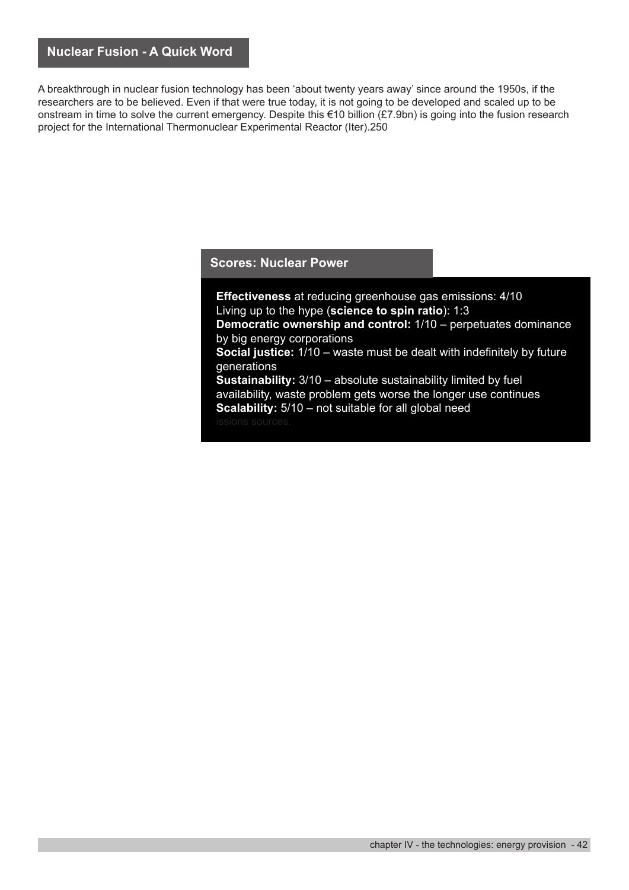A breakthrough in nuclear fusion technology has been 'about twenty years away' since around the 1950s, if the researchers are to be believed. Even if that were true today, it is not going to be developed and scaled up to be onstream in time to solve the current emergency. Despite this €10 billion (£7.9bn) is going into the fusion research project for the International Thermonuclear Experimental Reactor (Iter).250

#### **Scores: Nuclear Power**

**Effectiveness** at reducing greenhouse gas emissions: 4/10 Living up to the hype (**science to spin ratio**): 1:3 **Democratic ownership and control:** 1/10 – perpetuates dominance by big energy corporations **Social justice:** 1/10 – waste must be dealt with indefinitely by future generations **Sustainability:**  $3/10$  – absolute sustainability limited by fuel availability, waste problem gets worse the longer use continues **Scalability:** 5/10 – not suitable for all global need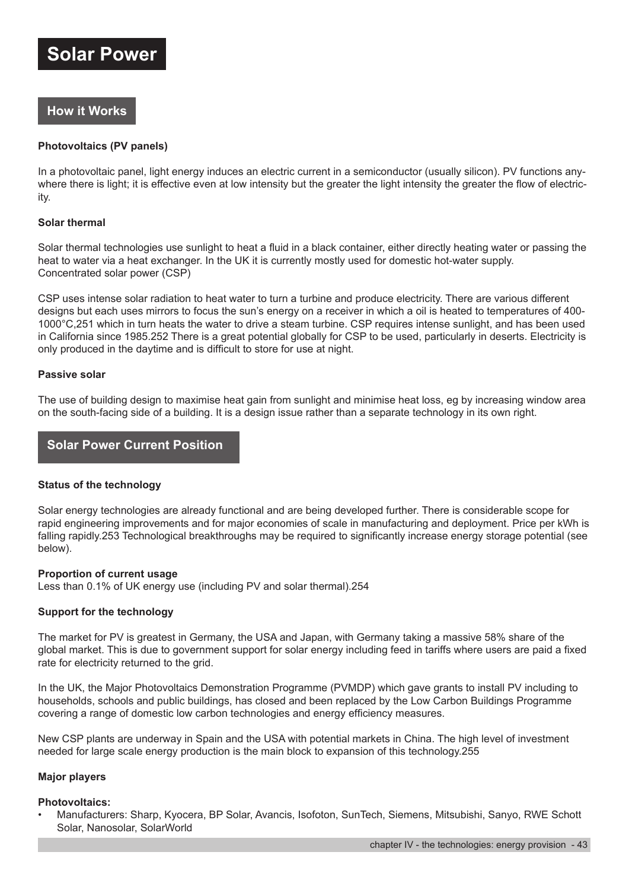# **How it Works**

#### **Photovoltaics (PV panels)**

In a photovoltaic panel, light energy induces an electric current in a semiconductor (usually silicon). PV functions anywhere there is light; it is effective even at low intensity but the greater the light intensity the greater the flow of electricity.

#### **Solar thermal**

Solar thermal technologies use sunlight to heat a fluid in a black container, either directly heating water or passing the heat to water via a heat exchanger. In the UK it is currently mostly used for domestic hot-water supply. Concentrated solar power (CSP)

CSP uses intense solar radiation to heat water to turn a turbine and produce electricity. There are various different designs but each uses mirrors to focus the sun's energy on a receiver in which a oil is heated to temperatures of 400- 1000°C,251 which in turn heats the water to drive a steam turbine. CSP requires intense sunlight, and has been used in California since 1985.252 There is a great potential globally for CSP to be used, particularly in deserts. Electricity is only produced in the daytime and is difficult to store for use at night.

#### **Passive solar**

The use of building design to maximise heat gain from sunlight and minimise heat loss, eg by increasing window area on the south-facing side of a building. It is a design issue rather than a separate technology in its own right.

#### **Solar Power Current Position**

#### **Status of the technology**

Solar energy technologies are already functional and are being developed further. There is considerable scope for rapid engineering improvements and for major economies of scale in manufacturing and deployment. Price per kWh is falling rapidly.253 Technological breakthroughs may be required to significantly increase energy storage potential (see below).

#### **Proportion of current usage**

Less than 0.1% of UK energy use (including PV and solar thermal).254

#### **Support for the technology**

The market for PV is greatest in Germany, the USA and Japan, with Germany taking a massive 58% share of the global market. This is due to government support for solar energy including feed in tariffs where users are paid a fixed rate for electricity returned to the grid.

In the UK, the Major Photovoltaics Demonstration Programme (PVMDP) which gave grants to install PV including to households, schools and public buildings, has closed and been replaced by the Low Carbon Buildings Programme covering a range of domestic low carbon technologies and energy efficiency measures.

New CSP plants are underway in Spain and the USA with potential markets in China. The high level of investment needed for large scale energy production is the main block to expansion of this technology.255

#### **Major players**

#### **Photovoltaics:**

• Manufacturers: Sharp, Kyocera, BP Solar, Avancis, Isofoton, SunTech, Siemens, Mitsubishi, Sanyo, RWE Schott Solar, Nanosolar, SolarWorld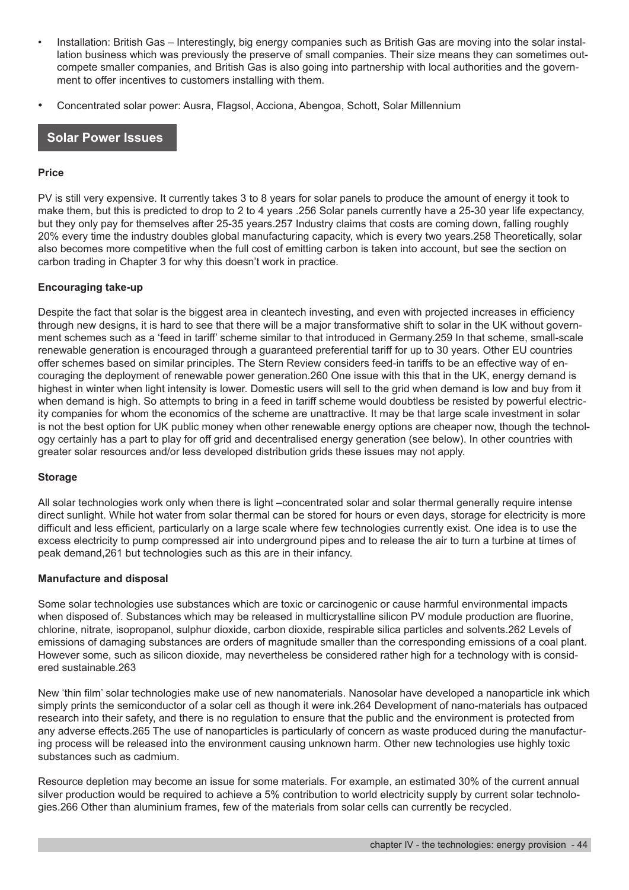- Installation: British Gas Interestingly, big energy companies such as British Gas are moving into the solar installation business which was previously the preserve of small companies. Their size means they can sometimes outcompete smaller companies, and British Gas is also going into partnership with local authorities and the government to offer incentives to customers installing with them.
- Concentrated solar power: Ausra, Flagsol, Acciona, Abengoa, Schott, Solar Millennium

#### **Solar Power Issues**

#### **Price**

PV is still very expensive. It currently takes 3 to 8 years for solar panels to produce the amount of energy it took to make them, but this is predicted to drop to 2 to 4 years .256 Solar panels currently have a 25-30 year life expectancy, but they only pay for themselves after 25-35 years.257 Industry claims that costs are coming down, falling roughly 20% every time the industry doubles global manufacturing capacity, which is every two years.258 Theoretically, solar also becomes more competitive when the full cost of emitting carbon is taken into account, but see the section on carbon trading in Chapter 3 for why this doesn't work in practice.

#### **Encouraging take-up**

Despite the fact that solar is the biggest area in cleantech investing, and even with projected increases in efficiency through new designs, it is hard to see that there will be a major transformative shift to solar in the UK without government schemes such as a 'feed in tariff' scheme similar to that introduced in Germany.259 In that scheme, small-scale renewable generation is encouraged through a guaranteed preferential tariff for up to 30 years. Other EU countries offer schemes based on similar principles. The Stern Review considers feed-in tariffs to be an effective way of encouraging the deployment of renewable power generation.260 One issue with this that in the UK, energy demand is highest in winter when light intensity is lower. Domestic users will sell to the grid when demand is low and buy from it when demand is high. So attempts to bring in a feed in tariff scheme would doubtless be resisted by powerful electricity companies for whom the economics of the scheme are unattractive. It may be that large scale investment in solar is not the best option for UK public money when other renewable energy options are cheaper now, though the technology certainly has a part to play for off grid and decentralised energy generation (see below). In other countries with greater solar resources and/or less developed distribution grids these issues may not apply.

#### **Storage**

All solar technologies work only when there is light –concentrated solar and solar thermal generally require intense direct sunlight. While hot water from solar thermal can be stored for hours or even days, storage for electricity is more difficult and less efficient, particularly on a large scale where few technologies currently exist. One idea is to use the excess electricity to pump compressed air into underground pipes and to release the air to turn a turbine at times of peak demand,261 but technologies such as this are in their infancy.

#### **Manufacture and disposal**

Some solar technologies use substances which are toxic or carcinogenic or cause harmful environmental impacts when disposed of. Substances which may be released in multicrystalline silicon PV module production are fluorine, chlorine, nitrate, isopropanol, sulphur dioxide, carbon dioxide, respirable silica particles and solvents.262 Levels of emissions of damaging substances are orders of magnitude smaller than the corresponding emissions of a coal plant. However some, such as silicon dioxide, may nevertheless be considered rather high for a technology with is considered sustainable.263

New 'thin film' solar technologies make use of new nanomaterials. Nanosolar have developed a nanoparticle ink which simply prints the semiconductor of a solar cell as though it were ink.264 Development of nano-materials has outpaced research into their safety, and there is no regulation to ensure that the public and the environment is protected from any adverse effects.265 The use of nanoparticles is particularly of concern as waste produced during the manufacturing process will be released into the environment causing unknown harm. Other new technologies use highly toxic substances such as cadmium.

Resource depletion may become an issue for some materials. For example, an estimated 30% of the current annual silver production would be required to achieve a 5% contribution to world electricity supply by current solar technologies.266 Other than aluminium frames, few of the materials from solar cells can currently be recycled.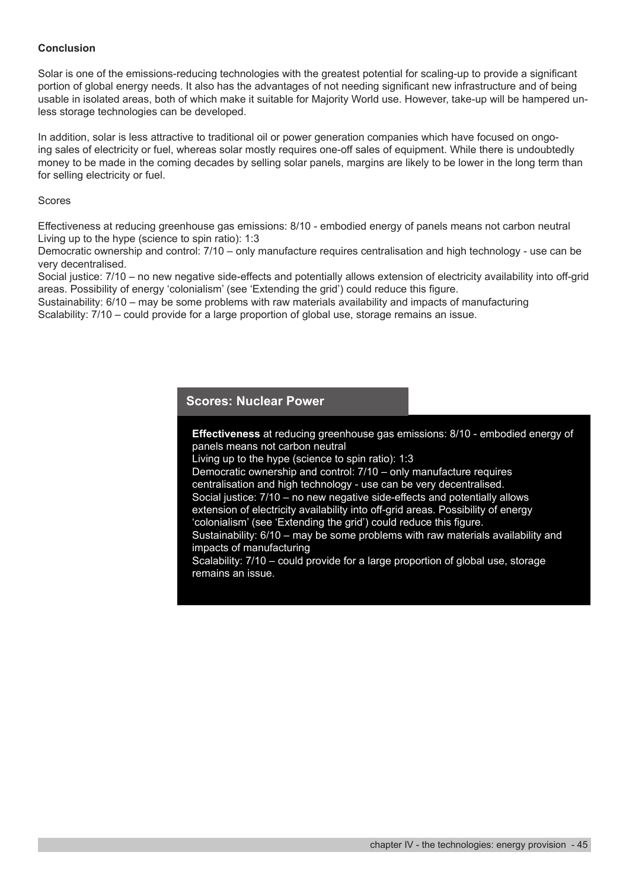#### **Conclusion**

Solar is one of the emissions-reducing technologies with the greatest potential for scaling-up to provide a significant portion of global energy needs. It also has the advantages of not needing significant new infrastructure and of being usable in isolated areas, both of which make it suitable for Majority World use. However, take-up will be hampered unless storage technologies can be developed.

In addition, solar is less attractive to traditional oil or power generation companies which have focused on ongoing sales of electricity or fuel, whereas solar mostly requires one-off sales of equipment. While there is undoubtedly money to be made in the coming decades by selling solar panels, margins are likely to be lower in the long term than for selling electricity or fuel.

#### Scores

Effectiveness at reducing greenhouse gas emissions: 8/10 - embodied energy of panels means not carbon neutral Living up to the hype (science to spin ratio): 1:3

Democratic ownership and control: 7/10 – only manufacture requires centralisation and high technology - use can be very decentralised.

Social justice: 7/10 – no new negative side-effects and potentially allows extension of electricity availability into off-grid areas. Possibility of energy 'colonialism' (see 'Extending the grid') could reduce this figure.

Sustainability: 6/10 – may be some problems with raw materials availability and impacts of manufacturing Scalability: 7/10 – could provide for a large proportion of global use, storage remains an issue.

#### **Scores: Nuclear Power**

**Effectiveness** at reducing greenhouse gas emissions: 8/10 - embodied energy of panels means not carbon neutral

Living up to the hype (science to spin ratio): 1:3

Democratic ownership and control: 7/10 – only manufacture requires centralisation and high technology - use can be very decentralised. Social justice: 7/10 – no new negative side-effects and potentially allows extension of electricity availability into off-grid areas. Possibility of energy

'colonialism' (see 'Extending the grid') could reduce this figure.

Sustainability: 6/10 – may be some problems with raw materials availability and impacts of manufacturing

Scalability: 7/10 – could provide for a large proportion of global use, storage remains an issue.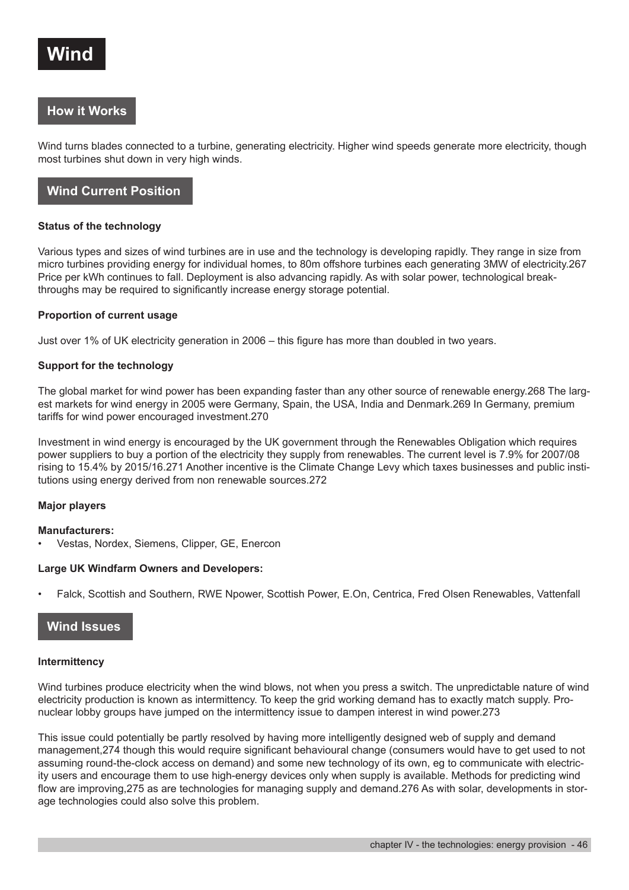

# **How it Works**

Wind turns blades connected to a turbine, generating electricity. Higher wind speeds generate more electricity, though most turbines shut down in very high winds.

# **Wind Current Position**

#### **Status of the technology**

Various types and sizes of wind turbines are in use and the technology is developing rapidly. They range in size from micro turbines providing energy for individual homes, to 80m offshore turbines each generating 3MW of electricity.267 Price per kWh continues to fall. Deployment is also advancing rapidly. As with solar power, technological breakthroughs may be required to significantly increase energy storage potential.

#### **Proportion of current usage**

Just over 1% of UK electricity generation in 2006 – this figure has more than doubled in two years.

#### **Support for the technology**

The global market for wind power has been expanding faster than any other source of renewable energy.268 The largest markets for wind energy in 2005 were Germany, Spain, the USA, India and Denmark.269 In Germany, premium tariffs for wind power encouraged investment.270

Investment in wind energy is encouraged by the UK government through the Renewables Obligation which requires power suppliers to buy a portion of the electricity they supply from renewables. The current level is 7.9% for 2007/08 rising to 15.4% by 2015/16.271 Another incentive is the Climate Change Levy which taxes businesses and public institutions using energy derived from non renewable sources.272

#### **Major players**

#### **Manufacturers:**

• Vestas, Nordex, Siemens, Clipper, GE, Enercon

#### **Large UK Windfarm Owners and Developers:**

• Falck, Scottish and Southern, RWE Npower, Scottish Power, E.On, Centrica, Fred Olsen Renewables, Vattenfall

# **Wind Issues**

#### **Intermittency**

Wind turbines produce electricity when the wind blows, not when you press a switch. The unpredictable nature of wind electricity production is known as intermittency. To keep the grid working demand has to exactly match supply. Pronuclear lobby groups have jumped on the intermittency issue to dampen interest in wind power.273

This issue could potentially be partly resolved by having more intelligently designed web of supply and demand management,274 though this would require significant behavioural change (consumers would have to get used to not assuming round-the-clock access on demand) and some new technology of its own, eg to communicate with electricity users and encourage them to use high-energy devices only when supply is available. Methods for predicting wind flow are improving,275 as are technologies for managing supply and demand.276 As with solar, developments in storage technologies could also solve this problem.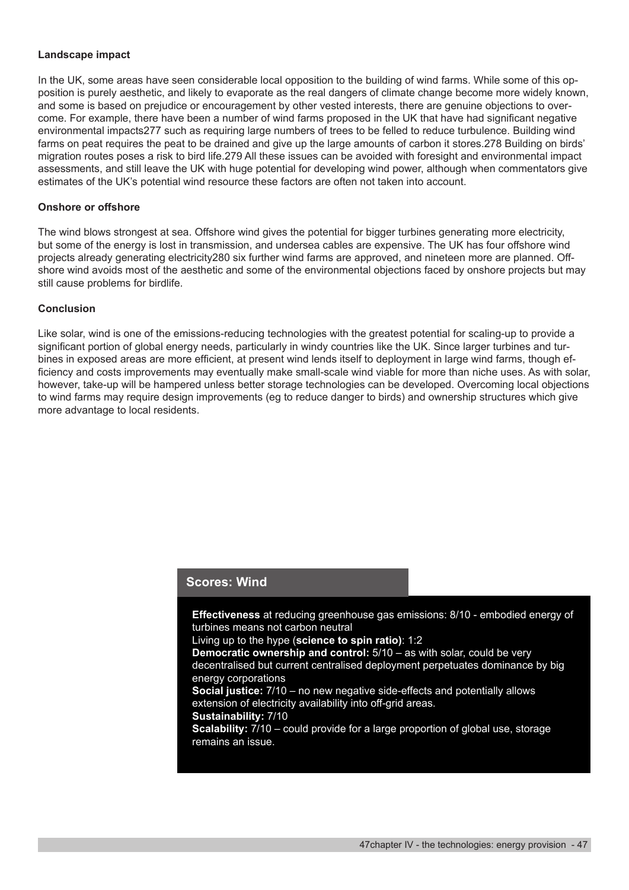#### **Landscape impact**

In the UK, some areas have seen considerable local opposition to the building of wind farms. While some of this opposition is purely aesthetic, and likely to evaporate as the real dangers of climate change become more widely known, and some is based on prejudice or encouragement by other vested interests, there are genuine objections to overcome. For example, there have been a number of wind farms proposed in the UK that have had significant negative environmental impacts277 such as requiring large numbers of trees to be felled to reduce turbulence. Building wind farms on peat requires the peat to be drained and give up the large amounts of carbon it stores.278 Building on birds' migration routes poses a risk to bird life.279 All these issues can be avoided with foresight and environmental impact assessments, and still leave the UK with huge potential for developing wind power, although when commentators give estimates of the UK's potential wind resource these factors are often not taken into account.

#### **Onshore or offshore**

The wind blows strongest at sea. Offshore wind gives the potential for bigger turbines generating more electricity, but some of the energy is lost in transmission, and undersea cables are expensive. The UK has four offshore wind projects already generating electricity280 six further wind farms are approved, and nineteen more are planned. Offshore wind avoids most of the aesthetic and some of the environmental objections faced by onshore projects but may still cause problems for birdlife.

#### **Conclusion**

Like solar, wind is one of the emissions-reducing technologies with the greatest potential for scaling-up to provide a significant portion of global energy needs, particularly in windy countries like the UK. Since larger turbines and turbines in exposed areas are more efficient, at present wind lends itself to deployment in large wind farms, though efficiency and costs improvements may eventually make small-scale wind viable for more than niche uses. As with solar, however, take-up will be hampered unless better storage technologies can be developed. Overcoming local objections to wind farms may require design improvements (eg to reduce danger to birds) and ownership structures which give more advantage to local residents.

#### **Scores: Wind**

**Effectiveness** at reducing greenhouse gas emissions: 8/10 - embodied energy of turbines means not carbon neutral Living up to the hype (**science to spin ratio)**: 1:2 **Democratic ownership and control:** 5/10 – as with solar, could be very decentralised but current centralised deployment perpetuates dominance by big energy corporations **Social justice:** 7/10 – no new negative side-effects and potentially allows extension of electricity availability into off-grid areas. **Sustainability:** 7/10 **Scalability:**  $7/10$  – could provide for a large proportion of global use, storage remains an issue.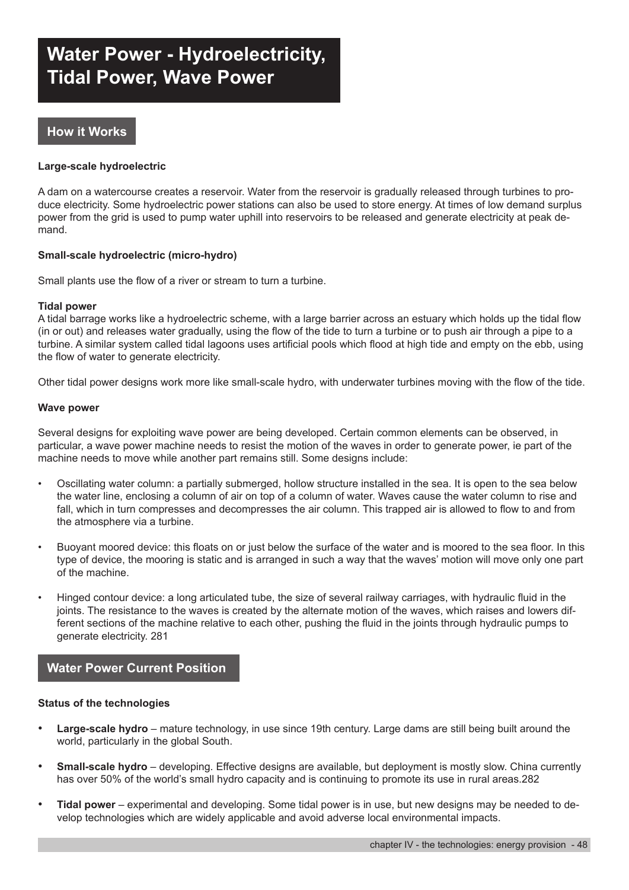# **Water Power - Hydroelectricity, Tidal Power, Wave Power**

# **How it Works**

#### **Large-scale hydroelectric**

A dam on a watercourse creates a reservoir. Water from the reservoir is gradually released through turbines to produce electricity. Some hydroelectric power stations can also be used to store energy. At times of low demand surplus power from the grid is used to pump water uphill into reservoirs to be released and generate electricity at peak demand.

#### **Small-scale hydroelectric (micro-hydro)**

Small plants use the flow of a river or stream to turn a turbine.

#### **Tidal power**

A tidal barrage works like a hydroelectric scheme, with a large barrier across an estuary which holds up the tidal flow (in or out) and releases water gradually, using the flow of the tide to turn a turbine or to push air through a pipe to a turbine. A similar system called tidal lagoons uses artificial pools which flood at high tide and empty on the ebb, using the flow of water to generate electricity.

Other tidal power designs work more like small-scale hydro, with underwater turbines moving with the flow of the tide.

#### **Wave power**

Several designs for exploiting wave power are being developed. Certain common elements can be observed, in particular, a wave power machine needs to resist the motion of the waves in order to generate power, ie part of the machine needs to move while another part remains still. Some designs include:

- Oscillating water column: a partially submerged, hollow structure installed in the sea. It is open to the sea below the water line, enclosing a column of air on top of a column of water. Waves cause the water column to rise and fall, which in turn compresses and decompresses the air column. This trapped air is allowed to flow to and from the atmosphere via a turbine.
- Buoyant moored device: this floats on or just below the surface of the water and is moored to the sea floor. In this type of device, the mooring is static and is arranged in such a way that the waves' motion will move only one part of the machine.
- Hinged contour device: a long articulated tube, the size of several railway carriages, with hydraulic fluid in the joints. The resistance to the waves is created by the alternate motion of the waves, which raises and lowers different sections of the machine relative to each other, pushing the fluid in the joints through hydraulic pumps to generate electricity. 281

# **Water Power Current Position**

#### **Status of the technologies**

- **Large-scale hydro** mature technology, in use since 19th century. Large dams are still being built around the world, particularly in the global South.
- **Small-scale hydro** developing. Effective designs are available, but deployment is mostly slow. China currently has over 50% of the world's small hydro capacity and is continuing to promote its use in rural areas.282
- **Tidal power** experimental and developing. Some tidal power is in use, but new designs may be needed to develop technologies which are widely applicable and avoid adverse local environmental impacts.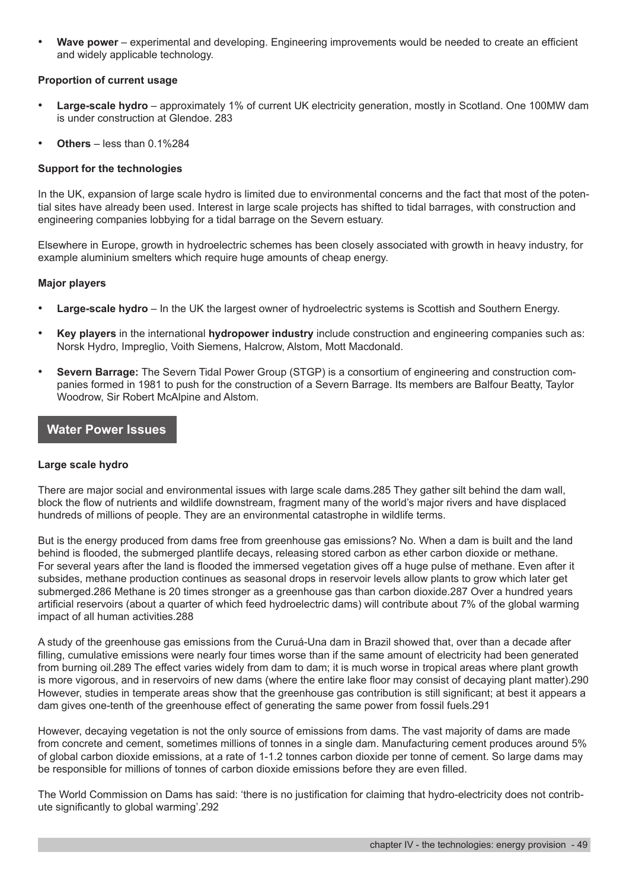**Wave power** – experimental and developing. Engineering improvements would be needed to create an efficient and widely applicable technology.

#### **Proportion of current usage**

- **Large-scale hydro** approximately 1% of current UK electricity generation, mostly in Scotland. One 100MW dam is under construction at Glendoe. 283
- **Others** less than 0.1%284

#### **Support for the technologies**

In the UK, expansion of large scale hydro is limited due to environmental concerns and the fact that most of the potential sites have already been used. Interest in large scale projects has shifted to tidal barrages, with construction and engineering companies lobbying for a tidal barrage on the Severn estuary.

Elsewhere in Europe, growth in hydroelectric schemes has been closely associated with growth in heavy industry, for example aluminium smelters which require huge amounts of cheap energy.

#### **Major players**

- **Large-scale hydro** In the UK the largest owner of hydroelectric systems is Scottish and Southern Energy.
- **Key players** in the international **hydropower industry** include construction and engineering companies such as: Norsk Hydro, Impreglio, Voith Siemens, Halcrow, Alstom, Mott Macdonald.
- **Severn Barrage:** The Severn Tidal Power Group (STGP) is a consortium of engineering and construction companies formed in 1981 to push for the construction of a Severn Barrage. Its members are Balfour Beatty, Taylor Woodrow, Sir Robert McAlpine and Alstom.

# **Water Power Issues**

#### **Large scale hydro**

There are major social and environmental issues with large scale dams.285 They gather silt behind the dam wall, block the flow of nutrients and wildlife downstream, fragment many of the world's major rivers and have displaced hundreds of millions of people. They are an environmental catastrophe in wildlife terms.

But is the energy produced from dams free from greenhouse gas emissions? No. When a dam is built and the land behind is flooded, the submerged plantlife decays, releasing stored carbon as ether carbon dioxide or methane. For several years after the land is flooded the immersed vegetation gives off a huge pulse of methane. Even after it subsides, methane production continues as seasonal drops in reservoir levels allow plants to grow which later get submerged.286 Methane is 20 times stronger as a greenhouse gas than carbon dioxide.287 Over a hundred years artificial reservoirs (about a quarter of which feed hydroelectric dams) will contribute about 7% of the global warming impact of all human activities.288

A study of the greenhouse gas emissions from the Curuá-Una dam in Brazil showed that, over than a decade after filling, cumulative emissions were nearly four times worse than if the same amount of electricity had been generated from burning oil.289 The effect varies widely from dam to dam; it is much worse in tropical areas where plant growth is more vigorous, and in reservoirs of new dams (where the entire lake floor may consist of decaying plant matter).290 However, studies in temperate areas show that the greenhouse gas contribution is still significant; at best it appears a dam gives one-tenth of the greenhouse effect of generating the same power from fossil fuels.291

However, decaying vegetation is not the only source of emissions from dams. The vast majority of dams are made from concrete and cement, sometimes millions of tonnes in a single dam. Manufacturing cement produces around 5% of global carbon dioxide emissions, at a rate of 1-1.2 tonnes carbon dioxide per tonne of cement. So large dams may be responsible for millions of tonnes of carbon dioxide emissions before they are even filled.

The World Commission on Dams has said: 'there is no justification for claiming that hydro-electricity does not contribute significantly to global warming'.292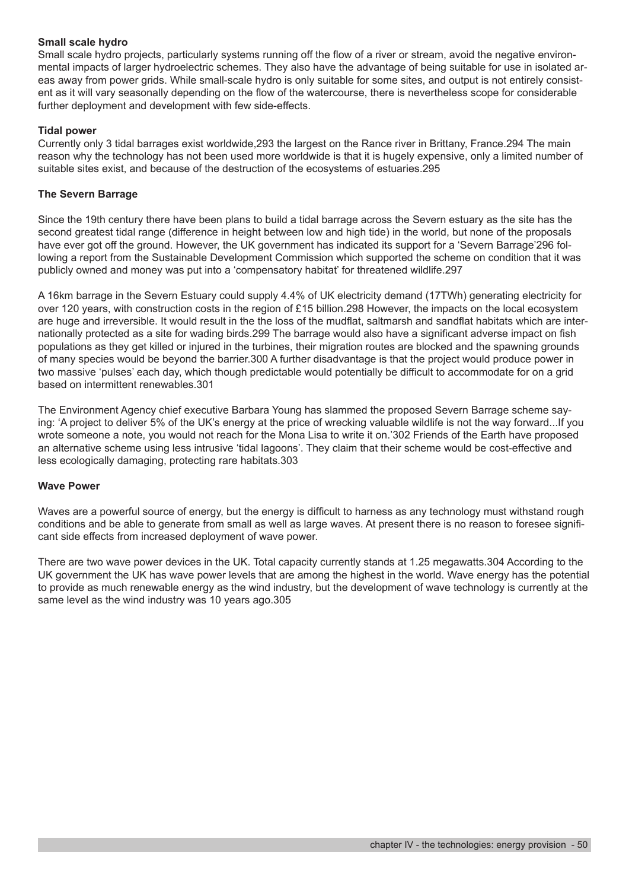#### **Small scale hydro**

Small scale hydro projects, particularly systems running off the flow of a river or stream, avoid the negative environmental impacts of larger hydroelectric schemes. They also have the advantage of being suitable for use in isolated areas away from power grids. While small-scale hydro is only suitable for some sites, and output is not entirely consistent as it will vary seasonally depending on the flow of the watercourse, there is nevertheless scope for considerable further deployment and development with few side-effects.

#### **Tidal power**

Currently only 3 tidal barrages exist worldwide,293 the largest on the Rance river in Brittany, France.294 The main reason why the technology has not been used more worldwide is that it is hugely expensive, only a limited number of suitable sites exist, and because of the destruction of the ecosystems of estuaries.295

#### **The Severn Barrage**

Since the 19th century there have been plans to build a tidal barrage across the Severn estuary as the site has the second greatest tidal range (difference in height between low and high tide) in the world, but none of the proposals have ever got off the ground. However, the UK government has indicated its support for a 'Severn Barrage'296 following a report from the Sustainable Development Commission which supported the scheme on condition that it was publicly owned and money was put into a 'compensatory habitat' for threatened wildlife.297

A 16km barrage in the Severn Estuary could supply 4.4% of UK electricity demand (17TWh) generating electricity for over 120 years, with construction costs in the region of £15 billion.298 However, the impacts on the local ecosystem are huge and irreversible. It would result in the the loss of the mudflat, saltmarsh and sandflat habitats which are internationally protected as a site for wading birds.299 The barrage would also have a significant adverse impact on fish populations as they get killed or injured in the turbines, their migration routes are blocked and the spawning grounds of many species would be beyond the barrier.300 A further disadvantage is that the project would produce power in two massive 'pulses' each day, which though predictable would potentially be difficult to accommodate for on a grid based on intermittent renewables.301

The Environment Agency chief executive Barbara Young has slammed the proposed Severn Barrage scheme saying: 'A project to deliver 5% of the UK's energy at the price of wrecking valuable wildlife is not the way forward...If you wrote someone a note, you would not reach for the Mona Lisa to write it on.'302 Friends of the Earth have proposed an alternative scheme using less intrusive 'tidal lagoons'. They claim that their scheme would be cost-effective and less ecologically damaging, protecting rare habitats.303

#### **Wave Power**

Waves are a powerful source of energy, but the energy is difficult to harness as any technology must withstand rough conditions and be able to generate from small as well as large waves. At present there is no reason to foresee significant side effects from increased deployment of wave power.

There are two wave power devices in the UK. Total capacity currently stands at 1.25 megawatts.304 According to the UK government the UK has wave power levels that are among the highest in the world. Wave energy has the potential to provide as much renewable energy as the wind industry, but the development of wave technology is currently at the same level as the wind industry was 10 years ago.305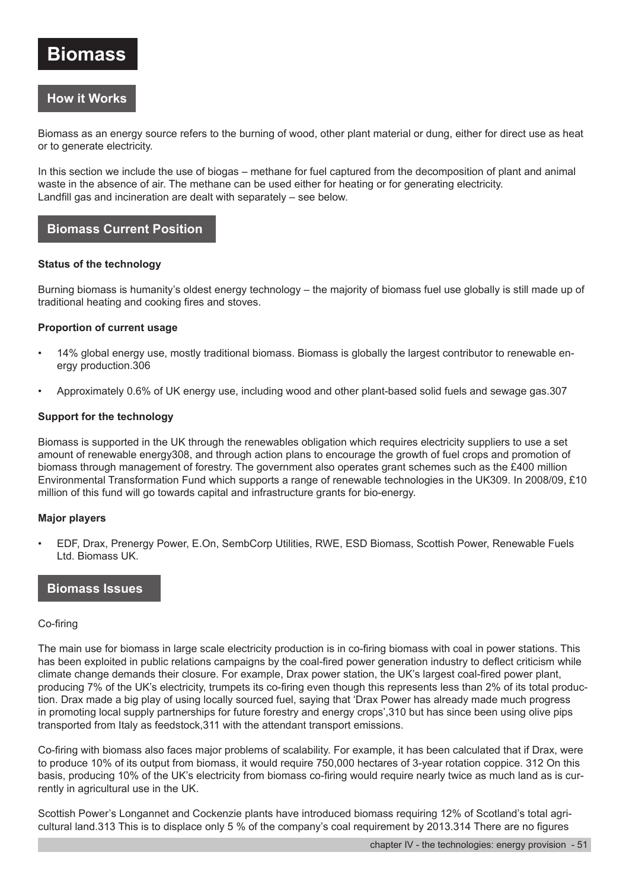# **Biomass**

# **How it Works**

Biomass as an energy source refers to the burning of wood, other plant material or dung, either for direct use as heat or to generate electricity.

In this section we include the use of biogas – methane for fuel captured from the decomposition of plant and animal waste in the absence of air. The methane can be used either for heating or for generating electricity. Landfill gas and incineration are dealt with separately – see below.

# **Biomass Current Position**

#### **Status of the technology**

Burning biomass is humanity's oldest energy technology – the majority of biomass fuel use globally is still made up of traditional heating and cooking fires and stoves.

#### **Proportion of current usage**

- 14% global energy use, mostly traditional biomass. Biomass is globally the largest contributor to renewable energy production.306
- Approximately 0.6% of UK energy use, including wood and other plant-based solid fuels and sewage gas.307

#### **Support for the technology**

Biomass is supported in the UK through the renewables obligation which requires electricity suppliers to use a set amount of renewable energy308, and through action plans to encourage the growth of fuel crops and promotion of biomass through management of forestry. The government also operates grant schemes such as the £400 million Environmental Transformation Fund which supports a range of renewable technologies in the UK309. In 2008/09, £10 million of this fund will go towards capital and infrastructure grants for bio-energy.

#### **Major players**

• EDF, Drax, Prenergy Power, E.On, SembCorp Utilities, RWE, ESD Biomass, Scottish Power, Renewable Fuels Ltd. Biomass UK.

#### **Biomass Issues**

#### Co-firing

The main use for biomass in large scale electricity production is in co-firing biomass with coal in power stations. This has been exploited in public relations campaigns by the coal-fired power generation industry to deflect criticism while climate change demands their closure. For example, Drax power station, the UK's largest coal-fired power plant, producing 7% of the UK's electricity, trumpets its co-firing even though this represents less than 2% of its total production. Drax made a big play of using locally sourced fuel, saying that 'Drax Power has already made much progress in promoting local supply partnerships for future forestry and energy crops',310 but has since been using olive pips transported from Italy as feedstock,311 with the attendant transport emissions.

Co-firing with biomass also faces major problems of scalability. For example, it has been calculated that if Drax, were to produce 10% of its output from biomass, it would require 750,000 hectares of 3-year rotation coppice. 312 On this basis, producing 10% of the UK's electricity from biomass co-firing would require nearly twice as much land as is currently in agricultural use in the UK.

Scottish Power's Longannet and Cockenzie plants have introduced biomass requiring 12% of Scotland's total agricultural land.313 This is to displace only 5 % of the company's coal requirement by 2013.314 There are no figures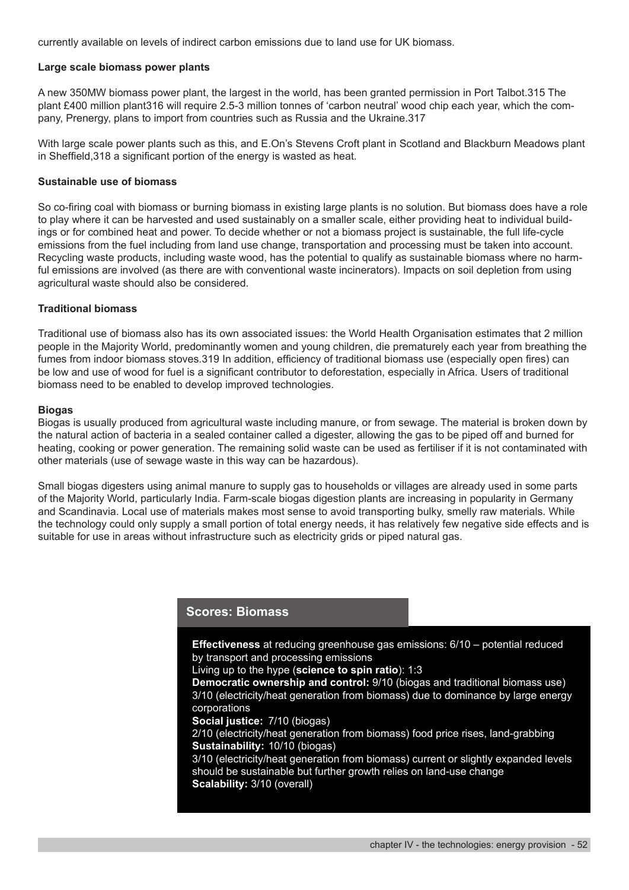currently available on levels of indirect carbon emissions due to land use for UK biomass.

#### **Large scale biomass power plants**

A new 350MW biomass power plant, the largest in the world, has been granted permission in Port Talbot.315 The plant £400 million plant316 will require 2.5-3 million tonnes of 'carbon neutral' wood chip each year, which the company, Prenergy, plans to import from countries such as Russia and the Ukraine.317

With large scale power plants such as this, and E.On's Stevens Croft plant in Scotland and Blackburn Meadows plant in Sheffield,318 a significant portion of the energy is wasted as heat.

#### **Sustainable use of biomass**

So co-firing coal with biomass or burning biomass in existing large plants is no solution. But biomass does have a role to play where it can be harvested and used sustainably on a smaller scale, either providing heat to individual buildings or for combined heat and power. To decide whether or not a biomass project is sustainable, the full life-cycle emissions from the fuel including from land use change, transportation and processing must be taken into account. Recycling waste products, including waste wood, has the potential to qualify as sustainable biomass where no harmful emissions are involved (as there are with conventional waste incinerators). Impacts on soil depletion from using agricultural waste should also be considered.

#### **Traditional biomass**

Traditional use of biomass also has its own associated issues: the World Health Organisation estimates that 2 million people in the Majority World, predominantly women and young children, die prematurely each year from breathing the fumes from indoor biomass stoves.319 In addition, efficiency of traditional biomass use (especially open fires) can be low and use of wood for fuel is a significant contributor to deforestation, especially in Africa. Users of traditional biomass need to be enabled to develop improved technologies.

#### **Biogas**

Biogas is usually produced from agricultural waste including manure, or from sewage. The material is broken down by the natural action of bacteria in a sealed container called a digester, allowing the gas to be piped off and burned for heating, cooking or power generation. The remaining solid waste can be used as fertiliser if it is not contaminated with other materials (use of sewage waste in this way can be hazardous).

Small biogas digesters using animal manure to supply gas to households or villages are already used in some parts of the Majority World, particularly India. Farm-scale biogas digestion plants are increasing in popularity in Germany and Scandinavia. Local use of materials makes most sense to avoid transporting bulky, smelly raw materials. While the technology could only supply a small portion of total energy needs, it has relatively few negative side effects and is suitable for use in areas without infrastructure such as electricity grids or piped natural gas.

#### **Scores: Biomass**

**Effectiveness** at reducing greenhouse gas emissions: 6/10 – potential reduced by transport and processing emissions

Living up to the hype (**science to spin ratio**): 1:3

**Democratic ownership and control:** 9/10 (biogas and traditional biomass use) 3/10 (electricity/heat generation from biomass) due to dominance by large energy corporations

**Social justice:** 7/10 (biogas)

2/10 (electricity/heat generation from biomass) food price rises, land-grabbing **Sustainability:** 10/10 (biogas)

3/10 (electricity/heat generation from biomass) current or slightly expanded levels should be sustainable but further growth relies on land-use change **Scalability:** 3/10 (overall)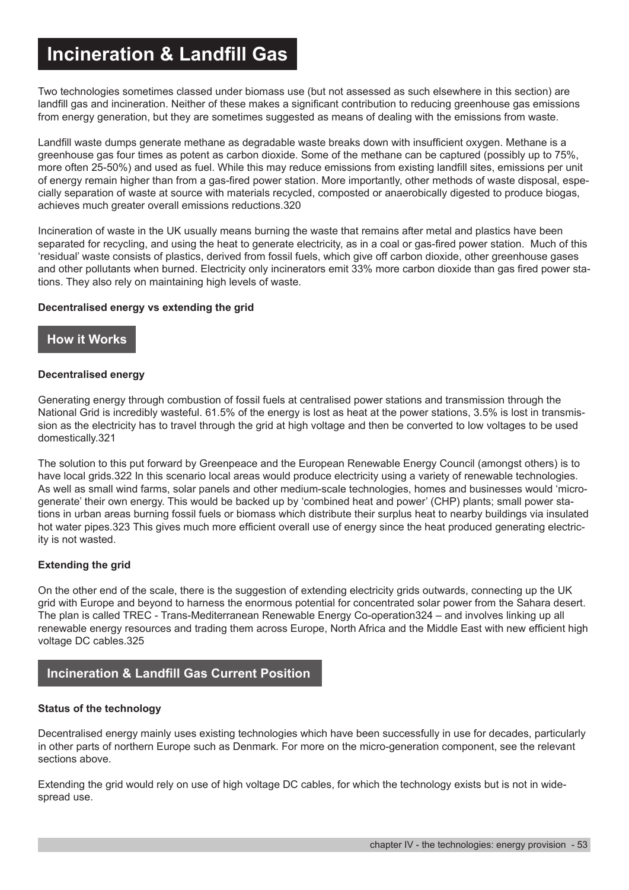# **Incineration & Landfill Gas**

Two technologies sometimes classed under biomass use (but not assessed as such elsewhere in this section) are landfill gas and incineration. Neither of these makes a significant contribution to reducing greenhouse gas emissions from energy generation, but they are sometimes suggested as means of dealing with the emissions from waste.

Landfill waste dumps generate methane as degradable waste breaks down with insufficient oxygen. Methane is a greenhouse gas four times as potent as carbon dioxide. Some of the methane can be captured (possibly up to 75%, more often 25-50%) and used as fuel. While this may reduce emissions from existing landfill sites, emissions per unit of energy remain higher than from a gas-fired power station. More importantly, other methods of waste disposal, especially separation of waste at source with materials recycled, composted or anaerobically digested to produce biogas, achieves much greater overall emissions reductions.320

Incineration of waste in the UK usually means burning the waste that remains after metal and plastics have been separated for recycling, and using the heat to generate electricity, as in a coal or gas-fired power station. Much of this 'residual' waste consists of plastics, derived from fossil fuels, which give off carbon dioxide, other greenhouse gases and other pollutants when burned. Electricity only incinerators emit 33% more carbon dioxide than gas fired power stations. They also rely on maintaining high levels of waste.

#### **Decentralised energy vs extending the grid**

# **How it Works**

#### **Decentralised energy**

Generating energy through combustion of fossil fuels at centralised power stations and transmission through the National Grid is incredibly wasteful. 61.5% of the energy is lost as heat at the power stations, 3.5% is lost in transmission as the electricity has to travel through the grid at high voltage and then be converted to low voltages to be used domestically.321

The solution to this put forward by Greenpeace and the European Renewable Energy Council (amongst others) is to have local grids.322 In this scenario local areas would produce electricity using a variety of renewable technologies. As well as small wind farms, solar panels and other medium-scale technologies, homes and businesses would 'microgenerate' their own energy. This would be backed up by 'combined heat and power' (CHP) plants; small power stations in urban areas burning fossil fuels or biomass which distribute their surplus heat to nearby buildings via insulated hot water pipes.323 This gives much more efficient overall use of energy since the heat produced generating electricity is not wasted.

#### **Extending the grid**

On the other end of the scale, there is the suggestion of extending electricity grids outwards, connecting up the UK grid with Europe and beyond to harness the enormous potential for concentrated solar power from the Sahara desert. The plan is called TREC - Trans-Mediterranean Renewable Energy Co-operation324 – and involves linking up all renewable energy resources and trading them across Europe, North Africa and the Middle East with new efficient high voltage DC cables.325

# **Incineration & Landfill Gas Current Position**

#### **Status of the technology**

Decentralised energy mainly uses existing technologies which have been successfully in use for decades, particularly in other parts of northern Europe such as Denmark. For more on the micro-generation component, see the relevant sections above.

Extending the grid would rely on use of high voltage DC cables, for which the technology exists but is not in widespread use.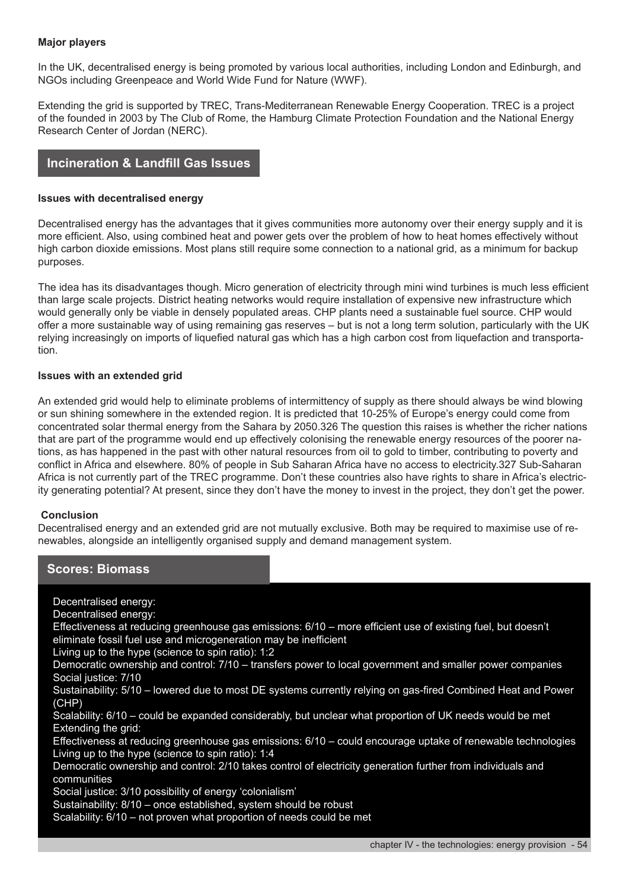#### **Major players**

In the UK, decentralised energy is being promoted by various local authorities, including London and Edinburgh, and NGOs including Greenpeace and World Wide Fund for Nature (WWF).

Extending the grid is supported by TREC, Trans-Mediterranean Renewable Energy Cooperation. TREC is a project of the founded in 2003 by The Club of Rome, the Hamburg Climate Protection Foundation and the National Energy Research Center of Jordan (NERC).

#### **Incineration & Landfill Gas Issues**

#### **Issues with decentralised energy**

Decentralised energy has the advantages that it gives communities more autonomy over their energy supply and it is more efficient. Also, using combined heat and power gets over the problem of how to heat homes effectively without high carbon dioxide emissions. Most plans still require some connection to a national grid, as a minimum for backup purposes.

The idea has its disadvantages though. Micro generation of electricity through mini wind turbines is much less efficient than large scale projects. District heating networks would require installation of expensive new infrastructure which would generally only be viable in densely populated areas. CHP plants need a sustainable fuel source. CHP would offer a more sustainable way of using remaining gas reserves – but is not a long term solution, particularly with the UK relying increasingly on imports of liquefied natural gas which has a high carbon cost from liquefaction and transportation.

#### **Issues with an extended grid**

An extended grid would help to eliminate problems of intermittency of supply as there should always be wind blowing or sun shining somewhere in the extended region. It is predicted that 10-25% of Europe's energy could come from concentrated solar thermal energy from the Sahara by 2050.326 The question this raises is whether the richer nations that are part of the programme would end up effectively colonising the renewable energy resources of the poorer nations, as has happened in the past with other natural resources from oil to gold to timber, contributing to poverty and conflict in Africa and elsewhere. 80% of people in Sub Saharan Africa have no access to electricity.327 Sub-Saharan Africa is not currently part of the TREC programme. Don't these countries also have rights to share in Africa's electricity generating potential? At present, since they don't have the money to invest in the project, they don't get the power.

#### **Conclusion**

Decentralised energy and an extended grid are not mutually exclusive. Both may be required to maximise use of renewables, alongside an intelligently organised supply and demand management system.

| <b>Scores: Biomass</b>                                                                                                                                                                                                                                                                                                                                                                                                                                                                                                                                                                                                                                                                                                                                                                                                                                                                                                                                                                                                                                                                                                                                                                             |                                                      |
|----------------------------------------------------------------------------------------------------------------------------------------------------------------------------------------------------------------------------------------------------------------------------------------------------------------------------------------------------------------------------------------------------------------------------------------------------------------------------------------------------------------------------------------------------------------------------------------------------------------------------------------------------------------------------------------------------------------------------------------------------------------------------------------------------------------------------------------------------------------------------------------------------------------------------------------------------------------------------------------------------------------------------------------------------------------------------------------------------------------------------------------------------------------------------------------------------|------------------------------------------------------|
| Decentralised energy:<br>Decentralised energy:<br>Effectiveness at reducing greenhouse gas emissions: 6/10 - more efficient use of existing fuel, but doesn't<br>eliminate fossil fuel use and microgeneration may be inefficient<br>Living up to the hype (science to spin ratio): 1:2<br>Democratic ownership and control: 7/10 – transfers power to local government and smaller power companies<br>Social justice: 7/10<br>Sustainability: 5/10 – lowered due to most DE systems currently relying on gas-fired Combined Heat and Power<br>(CHP)<br>Scalability: 6/10 – could be expanded considerably, but unclear what proportion of UK needs would be met<br>Extending the grid:<br>Effectiveness at reducing greenhouse gas emissions: 6/10 – could encourage uptake of renewable technologies<br>Living up to the hype (science to spin ratio): 1:4<br>Democratic ownership and control: 2/10 takes control of electricity generation further from individuals and<br>communities<br>Social justice: 3/10 possibility of energy 'colonialism'<br>Sustainability: 8/10 - once established, system should be robust<br>Scalability: 6/10 – not proven what proportion of needs could be met |                                                      |
|                                                                                                                                                                                                                                                                                                                                                                                                                                                                                                                                                                                                                                                                                                                                                                                                                                                                                                                                                                                                                                                                                                                                                                                                    | chapter IV - the technologies: energy provision - 54 |
|                                                                                                                                                                                                                                                                                                                                                                                                                                                                                                                                                                                                                                                                                                                                                                                                                                                                                                                                                                                                                                                                                                                                                                                                    |                                                      |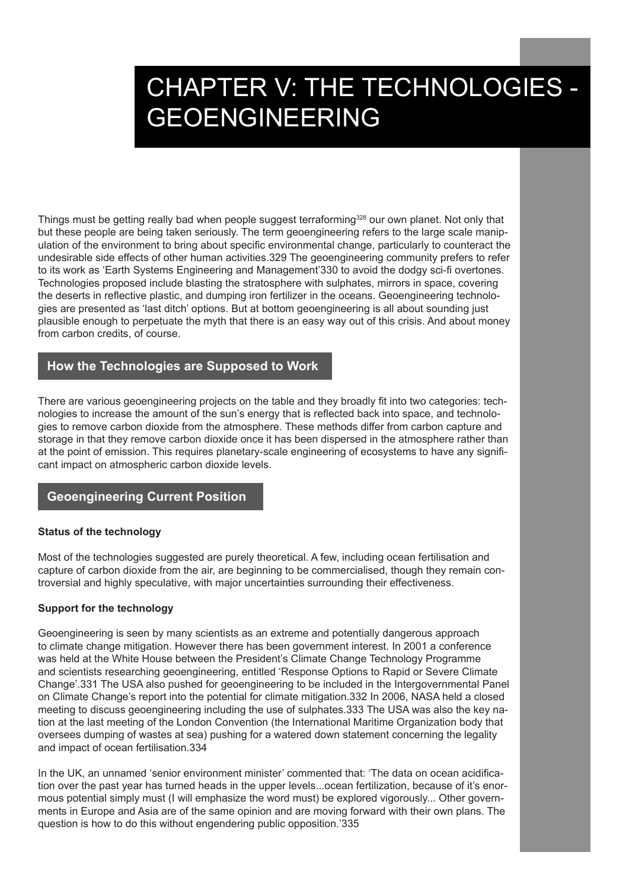# CHAPTER V: THE TECHNOLOGIES - GEOENGINEERING

Things must be getting really bad when people suggest terraforming<sup>328</sup> our own planet. Not only that but these people are being taken seriously. The term geoengineering refers to the large scale manipulation of the environment to bring about specific environmental change, particularly to counteract the undesirable side effects of other human activities.329 The geoengineering community prefers to refer to its work as 'Earth Systems Engineering and Management'330 to avoid the dodgy sci-fi overtones. Technologies proposed include blasting the stratosphere with sulphates, mirrors in space, covering the deserts in reflective plastic, and dumping iron fertilizer in the oceans. Geoengineering technologies are presented as 'last ditch' options. But at bottom geoengineering is all about sounding just plausible enough to perpetuate the myth that there is an easy way out of this crisis. And about money from carbon credits, of course.

# **How the Technologies are Supposed to Work**

There are various geoengineering projects on the table and they broadly fit into two categories: technologies to increase the amount of the sun's energy that is reflected back into space, and technologies to remove carbon dioxide from the atmosphere. These methods differ from carbon capture and storage in that they remove carbon dioxide once it has been dispersed in the atmosphere rather than at the point of emission. This requires planetary-scale engineering of ecosystems to have any significant impact on atmospheric carbon dioxide levels.

# **Geoengineering Current Position**

#### **Status of the technology**

Most of the technologies suggested are purely theoretical. A few, including ocean fertilisation and capture of carbon dioxide from the air, are beginning to be commercialised, though they remain controversial and highly speculative, with major uncertainties surrounding their effectiveness.

#### **Support for the technology**

Geoengineering is seen by many scientists as an extreme and potentially dangerous approach to climate change mitigation. However there has been government interest. In 2001 a conference was held at the White House between the President's Climate Change Technology Programme and scientists researching geoengineering, entitled 'Response Options to Rapid or Severe Climate Change'.331 The USA also pushed for geoengineering to be included in the Intergovernmental Panel on Climate Change's report into the potential for climate mitigation.332 In 2006, NASA held a closed meeting to discuss geoengineering including the use of sulphates.333 The USA was also the key nation at the last meeting of the London Convention (the International Maritime Organization body that oversees dumping of wastes at sea) pushing for a watered down statement concerning the legality and impact of ocean fertilisation.334

In the UK, an unnamed 'senior environment minister' commented that: 'The data on ocean acidification over the past year has turned heads in the upper levels...ocean fertilization, because of it's enormous potential simply must (I will emphasize the word must) be explored vigorously... Other governments in Europe and Asia are of the same opinion and are moving forward with their own plans. The question is how to do this without engendering public opposition.'335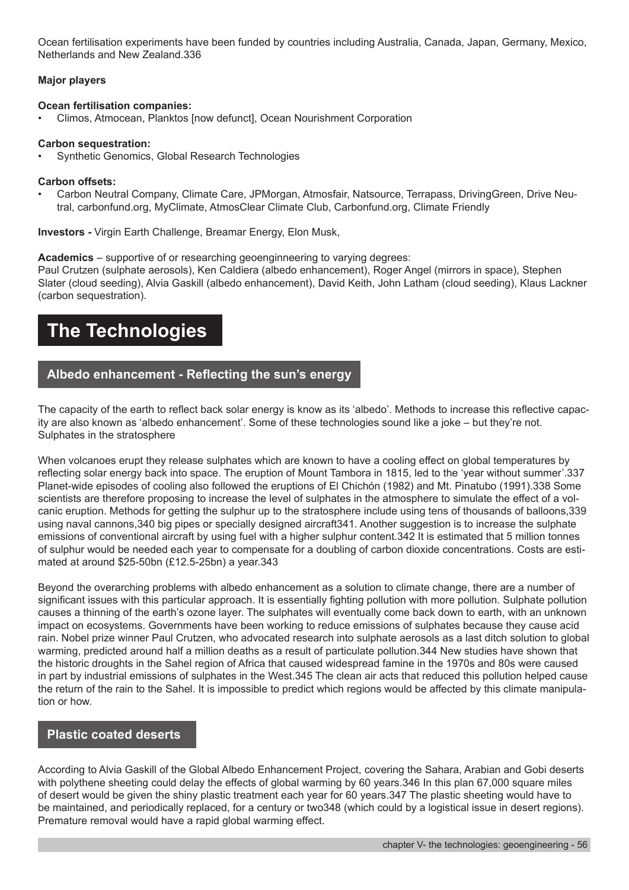Ocean fertilisation experiments have been funded by countries including Australia, Canada, Japan, Germany, Mexico, Netherlands and New Zealand.336

#### **Major players**

#### **Ocean fertilisation companies:**

• Climos, Atmocean, Planktos [now defunct], Ocean Nourishment Corporation

#### **Carbon sequestration:**

Synthetic Genomics, Global Research Technologies

#### **Carbon offsets:**

• Carbon Neutral Company, Climate Care, JPMorgan, Atmosfair, Natsource, Terrapass, DrivingGreen, Drive Neutral, carbonfund.org, MyClimate, AtmosClear Climate Club, Carbonfund.org, Climate Friendly

**Investors -** Virgin Earth Challenge, Breamar Energy, Elon Musk,

**Academics** – supportive of or researching geoenginneering to varying degrees:

Paul Crutzen (sulphate aerosols), Ken Caldiera (albedo enhancement), Roger Angel (mirrors in space), Stephen Slater (cloud seeding), Alvia Gaskill (albedo enhancement), David Keith, John Latham (cloud seeding), Klaus Lackner (carbon sequestration).

# **The Technologies**

# **Albedo enhancement - Reflecting the sun's energy**

The capacity of the earth to reflect back solar energy is know as its 'albedo'. Methods to increase this reflective capacity are also known as 'albedo enhancement'. Some of these technologies sound like a joke – but they're not. Sulphates in the stratosphere

When volcanoes erupt they release sulphates which are known to have a cooling effect on global temperatures by reflecting solar energy back into space. The eruption of Mount Tambora in 1815, led to the 'year without summer'.337 Planet-wide episodes of cooling also followed the eruptions of El Chichón (1982) and Mt. Pinatubo (1991).338 Some scientists are therefore proposing to increase the level of sulphates in the atmosphere to simulate the effect of a volcanic eruption. Methods for getting the sulphur up to the stratosphere include using tens of thousands of balloons,339 using naval cannons,340 big pipes or specially designed aircraft341. Another suggestion is to increase the sulphate emissions of conventional aircraft by using fuel with a higher sulphur content.342 It is estimated that 5 million tonnes of sulphur would be needed each year to compensate for a doubling of carbon dioxide concentrations. Costs are estimated at around \$25-50bn (£12.5-25bn) a year.343

Beyond the overarching problems with albedo enhancement as a solution to climate change, there are a number of significant issues with this particular approach. It is essentially fighting pollution with more pollution. Sulphate pollution causes a thinning of the earth's ozone layer. The sulphates will eventually come back down to earth, with an unknown impact on ecosystems. Governments have been working to reduce emissions of sulphates because they cause acid rain. Nobel prize winner Paul Crutzen, who advocated research into sulphate aerosols as a last ditch solution to global warming, predicted around half a million deaths as a result of particulate pollution.344 New studies have shown that the historic droughts in the Sahel region of Africa that caused widespread famine in the 1970s and 80s were caused in part by industrial emissions of sulphates in the West.345 The clean air acts that reduced this pollution helped cause the return of the rain to the Sahel. It is impossible to predict which regions would be affected by this climate manipulation or how.

# **Plastic coated deserts**

According to Alvia Gaskill of the Global Albedo Enhancement Project, covering the Sahara, Arabian and Gobi deserts with polythene sheeting could delay the effects of global warming by 60 years.346 In this plan 67,000 square miles of desert would be given the shiny plastic treatment each year for 60 years.347 The plastic sheeting would have to be maintained, and periodically replaced, for a century or two348 (which could by a logistical issue in desert regions). Premature removal would have a rapid global warming effect.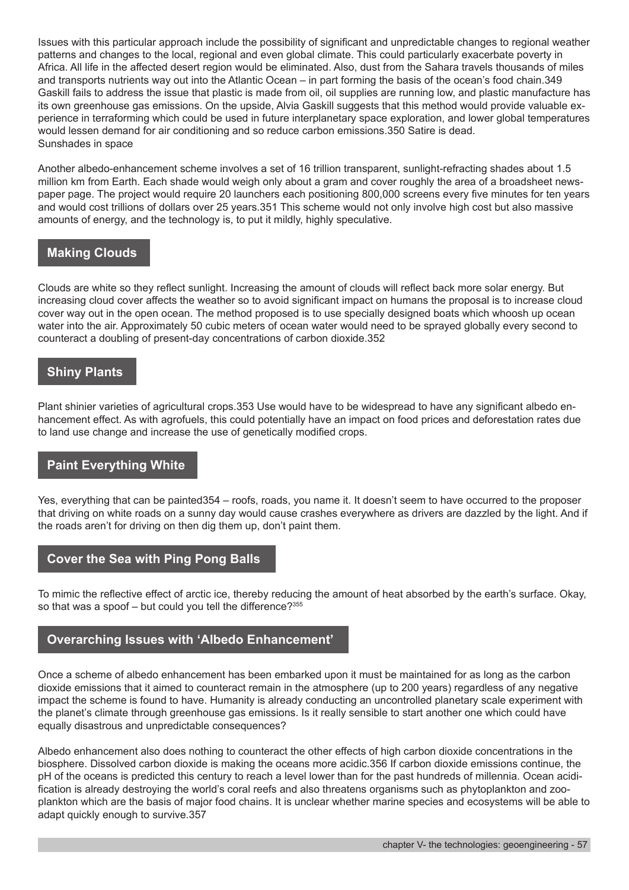Issues with this particular approach include the possibility of significant and unpredictable changes to regional weather patterns and changes to the local, regional and even global climate. This could particularly exacerbate poverty in Africa. All life in the affected desert region would be eliminated. Also, dust from the Sahara travels thousands of miles and transports nutrients way out into the Atlantic Ocean – in part forming the basis of the ocean's food chain.349 Gaskill fails to address the issue that plastic is made from oil, oil supplies are running low, and plastic manufacture has its own greenhouse gas emissions. On the upside, Alvia Gaskill suggests that this method would provide valuable experience in terraforming which could be used in future interplanetary space exploration, and lower global temperatures would lessen demand for air conditioning and so reduce carbon emissions.350 Satire is dead. Sunshades in space

Another albedo-enhancement scheme involves a set of 16 trillion transparent, sunlight-refracting shades about 1.5 million km from Earth. Each shade would weigh only about a gram and cover roughly the area of a broadsheet newspaper page. The project would require 20 launchers each positioning 800,000 screens every five minutes for ten years and would cost trillions of dollars over 25 years.351 This scheme would not only involve high cost but also massive amounts of energy, and the technology is, to put it mildly, highly speculative.

# **Making Clouds**

Clouds are white so they reflect sunlight. Increasing the amount of clouds will reflect back more solar energy. But increasing cloud cover affects the weather so to avoid significant impact on humans the proposal is to increase cloud cover way out in the open ocean. The method proposed is to use specially designed boats which whoosh up ocean water into the air. Approximately 50 cubic meters of ocean water would need to be sprayed globally every second to counteract a doubling of present-day concentrations of carbon dioxide.352

# **Shiny Plants**

Plant shinier varieties of agricultural crops.353 Use would have to be widespread to have any significant albedo enhancement effect. As with agrofuels, this could potentially have an impact on food prices and deforestation rates due to land use change and increase the use of genetically modified crops.

# **Paint Everything White**

Yes, everything that can be painted354 – roofs, roads, you name it. It doesn't seem to have occurred to the proposer that driving on white roads on a sunny day would cause crashes everywhere as drivers are dazzled by the light. And if the roads aren't for driving on then dig them up, don't paint them.

# **Cover the Sea with Ping Pong Balls**

To mimic the reflective effect of arctic ice, thereby reducing the amount of heat absorbed by the earth's surface. Okay, so that was a spoof  $-$  but could you tell the difference?  $355$ 

# **Overarching Issues with 'Albedo Enhancement'**

Once a scheme of albedo enhancement has been embarked upon it must be maintained for as long as the carbon dioxide emissions that it aimed to counteract remain in the atmosphere (up to 200 years) regardless of any negative impact the scheme is found to have. Humanity is already conducting an uncontrolled planetary scale experiment with the planet's climate through greenhouse gas emissions. Is it really sensible to start another one which could have equally disastrous and unpredictable consequences?

Albedo enhancement also does nothing to counteract the other effects of high carbon dioxide concentrations in the biosphere. Dissolved carbon dioxide is making the oceans more acidic.356 If carbon dioxide emissions continue, the pH of the oceans is predicted this century to reach a level lower than for the past hundreds of millennia. Ocean acidification is already destroying the world's coral reefs and also threatens organisms such as phytoplankton and zooplankton which are the basis of major food chains. It is unclear whether marine species and ecosystems will be able to adapt quickly enough to survive.357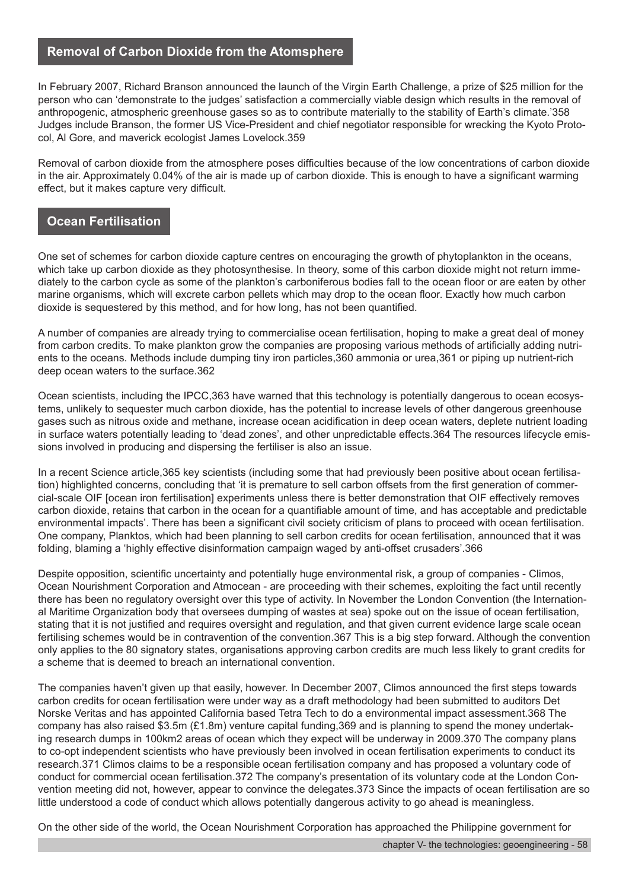# **Removal of Carbon Dioxide from the Atomsphere**

In February 2007, Richard Branson announced the launch of the Virgin Earth Challenge, a prize of \$25 million for the person who can 'demonstrate to the judges' satisfaction a commercially viable design which results in the removal of anthropogenic, atmospheric greenhouse gases so as to contribute materially to the stability of Earth's climate.'358 Judges include Branson, the former US Vice-President and chief negotiator responsible for wrecking the Kyoto Protocol, Al Gore, and maverick ecologist James Lovelock.359

Removal of carbon dioxide from the atmosphere poses difficulties because of the low concentrations of carbon dioxide in the air. Approximately 0.04% of the air is made up of carbon dioxide. This is enough to have a significant warming effect, but it makes capture very difficult.

# **Ocean Fertilisation**

One set of schemes for carbon dioxide capture centres on encouraging the growth of phytoplankton in the oceans, which take up carbon dioxide as they photosynthesise. In theory, some of this carbon dioxide might not return immediately to the carbon cycle as some of the plankton's carboniferous bodies fall to the ocean floor or are eaten by other marine organisms, which will excrete carbon pellets which may drop to the ocean floor. Exactly how much carbon dioxide is sequestered by this method, and for how long, has not been quantified.

A number of companies are already trying to commercialise ocean fertilisation, hoping to make a great deal of money from carbon credits. To make plankton grow the companies are proposing various methods of artificially adding nutrients to the oceans. Methods include dumping tiny iron particles,360 ammonia or urea,361 or piping up nutrient-rich deep ocean waters to the surface.362

Ocean scientists, including the IPCC,363 have warned that this technology is potentially dangerous to ocean ecosystems, unlikely to sequester much carbon dioxide, has the potential to increase levels of other dangerous greenhouse gases such as nitrous oxide and methane, increase ocean acidification in deep ocean waters, deplete nutrient loading in surface waters potentially leading to 'dead zones', and other unpredictable effects.364 The resources lifecycle emissions involved in producing and dispersing the fertiliser is also an issue.

In a recent Science article,365 key scientists (including some that had previously been positive about ocean fertilisation) highlighted concerns, concluding that 'it is premature to sell carbon offsets from the first generation of commercial-scale OIF [ocean iron fertilisation] experiments unless there is better demonstration that OIF effectively removes carbon dioxide, retains that carbon in the ocean for a quantifiable amount of time, and has acceptable and predictable environmental impacts'. There has been a significant civil society criticism of plans to proceed with ocean fertilisation. One company, Planktos, which had been planning to sell carbon credits for ocean fertilisation, announced that it was folding, blaming a 'highly effective disinformation campaign waged by anti-offset crusaders'.366

Despite opposition, scientific uncertainty and potentially huge environmental risk, a group of companies - Climos, Ocean Nourishment Corporation and Atmocean - are proceeding with their schemes, exploiting the fact until recently there has been no regulatory oversight over this type of activity. In November the London Convention (the International Maritime Organization body that oversees dumping of wastes at sea) spoke out on the issue of ocean fertilisation, stating that it is not justified and requires oversight and regulation, and that given current evidence large scale ocean fertilising schemes would be in contravention of the convention.367 This is a big step forward. Although the convention only applies to the 80 signatory states, organisations approving carbon credits are much less likely to grant credits for a scheme that is deemed to breach an international convention.

The companies haven't given up that easily, however. In December 2007, Climos announced the first steps towards carbon credits for ocean fertilisation were under way as a draft methodology had been submitted to auditors Det Norske Veritas and has appointed California based Tetra Tech to do a environmental impact assessment.368 The company has also raised \$3.5m (£1.8m) venture capital funding,369 and is planning to spend the money undertaking research dumps in 100km2 areas of ocean which they expect will be underway in 2009.370 The company plans to co-opt independent scientists who have previously been involved in ocean fertilisation experiments to conduct its research.371 Climos claims to be a responsible ocean fertilisation company and has proposed a voluntary code of conduct for commercial ocean fertilisation.372 The company's presentation of its voluntary code at the London Convention meeting did not, however, appear to convince the delegates.373 Since the impacts of ocean fertilisation are so little understood a code of conduct which allows potentially dangerous activity to go ahead is meaningless.

On the other side of the world, the Ocean Nourishment Corporation has approached the Philippine government for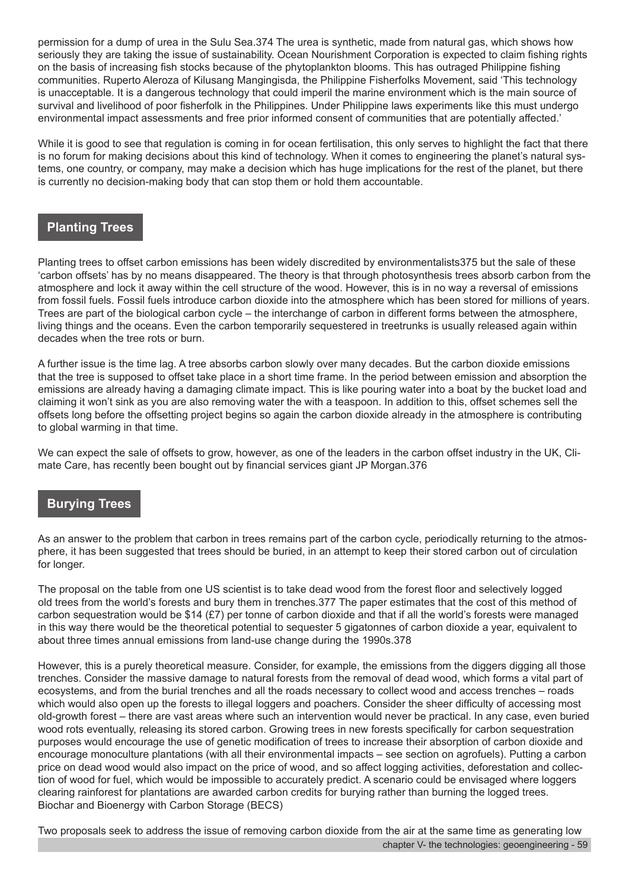permission for a dump of urea in the Sulu Sea.374 The urea is synthetic, made from natural gas, which shows how seriously they are taking the issue of sustainability. Ocean Nourishment Corporation is expected to claim fishing rights on the basis of increasing fish stocks because of the phytoplankton blooms. This has outraged Philippine fishing communities. Ruperto Aleroza of Kilusang Mangingisda, the Philippine Fisherfolks Movement, said 'This technology is unacceptable. It is a dangerous technology that could imperil the marine environment which is the main source of survival and livelihood of poor fisherfolk in the Philippines. Under Philippine laws experiments like this must undergo environmental impact assessments and free prior informed consent of communities that are potentially affected.'

While it is good to see that regulation is coming in for ocean fertilisation, this only serves to highlight the fact that there is no forum for making decisions about this kind of technology. When it comes to engineering the planet's natural systems, one country, or company, may make a decision which has huge implications for the rest of the planet, but there is currently no decision-making body that can stop them or hold them accountable.

# **Planting Trees**

Planting trees to offset carbon emissions has been widely discredited by environmentalists375 but the sale of these 'carbon offsets' has by no means disappeared. The theory is that through photosynthesis trees absorb carbon from the atmosphere and lock it away within the cell structure of the wood. However, this is in no way a reversal of emissions from fossil fuels. Fossil fuels introduce carbon dioxide into the atmosphere which has been stored for millions of years. Trees are part of the biological carbon cycle – the interchange of carbon in different forms between the atmosphere, living things and the oceans. Even the carbon temporarily sequestered in treetrunks is usually released again within decades when the tree rots or burn.

A further issue is the time lag. A tree absorbs carbon slowly over many decades. But the carbon dioxide emissions that the tree is supposed to offset take place in a short time frame. In the period between emission and absorption the emissions are already having a damaging climate impact. This is like pouring water into a boat by the bucket load and claiming it won't sink as you are also removing water the with a teaspoon. In addition to this, offset schemes sell the offsets long before the offsetting project begins so again the carbon dioxide already in the atmosphere is contributing to global warming in that time.

We can expect the sale of offsets to grow, however, as one of the leaders in the carbon offset industry in the UK, Climate Care, has recently been bought out by financial services giant JP Morgan.376

# **Burying Trees**

As an answer to the problem that carbon in trees remains part of the carbon cycle, periodically returning to the atmosphere, it has been suggested that trees should be buried, in an attempt to keep their stored carbon out of circulation for longer.

The proposal on the table from one US scientist is to take dead wood from the forest floor and selectively logged old trees from the world's forests and bury them in trenches.377 The paper estimates that the cost of this method of carbon sequestration would be \$14 (£7) per tonne of carbon dioxide and that if all the world's forests were managed in this way there would be the theoretical potential to sequester 5 gigatonnes of carbon dioxide a year, equivalent to about three times annual emissions from land-use change during the 1990s.378

However, this is a purely theoretical measure. Consider, for example, the emissions from the diggers digging all those trenches. Consider the massive damage to natural forests from the removal of dead wood, which forms a vital part of ecosystems, and from the burial trenches and all the roads necessary to collect wood and access trenches – roads which would also open up the forests to illegal loggers and poachers. Consider the sheer difficulty of accessing most old-growth forest – there are vast areas where such an intervention would never be practical. In any case, even buried wood rots eventually, releasing its stored carbon. Growing trees in new forests specifically for carbon sequestration purposes would encourage the use of genetic modification of trees to increase their absorption of carbon dioxide and encourage monoculture plantations (with all their environmental impacts – see section on agrofuels). Putting a carbon price on dead wood would also impact on the price of wood, and so affect logging activities, deforestation and collection of wood for fuel, which would be impossible to accurately predict. A scenario could be envisaged where loggers clearing rainforest for plantations are awarded carbon credits for burying rather than burning the logged trees. Biochar and Bioenergy with Carbon Storage (BECS)

Two proposals seek to address the issue of removing carbon dioxide from the air at the same time as generating low chapter V- the technologies: geoengineering - 59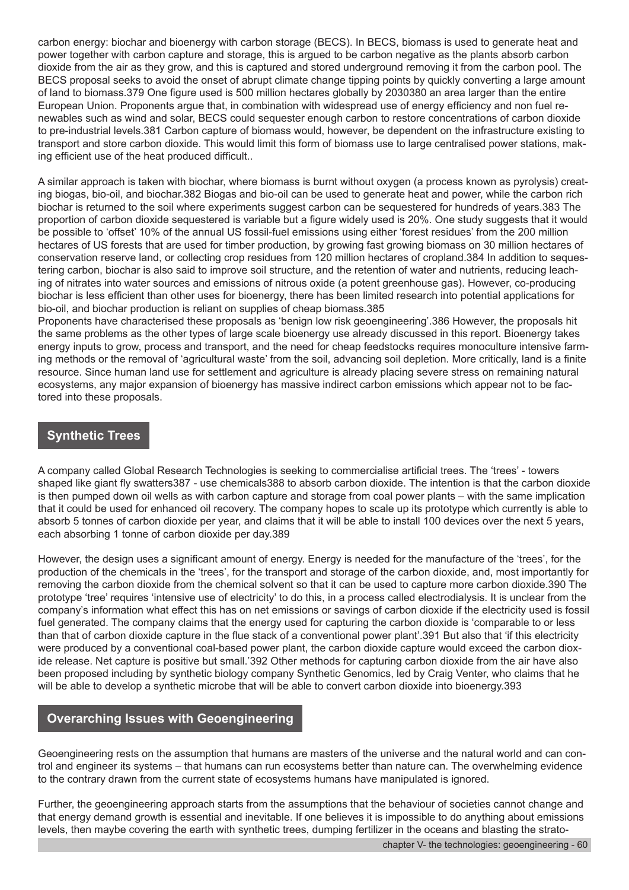carbon energy: biochar and bioenergy with carbon storage (BECS). In BECS, biomass is used to generate heat and power together with carbon capture and storage, this is argued to be carbon negative as the plants absorb carbon dioxide from the air as they grow, and this is captured and stored underground removing it from the carbon pool. The BECS proposal seeks to avoid the onset of abrupt climate change tipping points by quickly converting a large amount of land to biomass.379 One figure used is 500 million hectares globally by 2030380 an area larger than the entire European Union. Proponents argue that, in combination with widespread use of energy efficiency and non fuel renewables such as wind and solar, BECS could sequester enough carbon to restore concentrations of carbon dioxide to pre-industrial levels.381 Carbon capture of biomass would, however, be dependent on the infrastructure existing to transport and store carbon dioxide. This would limit this form of biomass use to large centralised power stations, making efficient use of the heat produced difficult..

A similar approach is taken with biochar, where biomass is burnt without oxygen (a process known as pyrolysis) creating biogas, bio-oil, and biochar.382 Biogas and bio-oil can be used to generate heat and power, while the carbon rich biochar is returned to the soil where experiments suggest carbon can be sequestered for hundreds of years.383 The proportion of carbon dioxide sequestered is variable but a figure widely used is 20%. One study suggests that it would be possible to 'offset' 10% of the annual US fossil-fuel emissions using either 'forest residues' from the 200 million hectares of US forests that are used for timber production, by growing fast growing biomass on 30 million hectares of conservation reserve land, or collecting crop residues from 120 million hectares of cropland.384 In addition to sequestering carbon, biochar is also said to improve soil structure, and the retention of water and nutrients, reducing leaching of nitrates into water sources and emissions of nitrous oxide (a potent greenhouse gas). However, co-producing biochar is less efficient than other uses for bioenergy, there has been limited research into potential applications for bio-oil, and biochar production is reliant on supplies of cheap biomass.385

Proponents have characterised these proposals as 'benign low risk geoengineering'.386 However, the proposals hit the same problems as the other types of large scale bioenergy use already discussed in this report. Bioenergy takes energy inputs to grow, process and transport, and the need for cheap feedstocks requires monoculture intensive farming methods or the removal of 'agricultural waste' from the soil, advancing soil depletion. More critically, land is a finite resource. Since human land use for settlement and agriculture is already placing severe stress on remaining natural ecosystems, any major expansion of bioenergy has massive indirect carbon emissions which appear not to be factored into these proposals.

# **Synthetic Trees**

A company called Global Research Technologies is seeking to commercialise artificial trees. The 'trees' - towers shaped like giant fly swatters387 - use chemicals388 to absorb carbon dioxide. The intention is that the carbon dioxide is then pumped down oil wells as with carbon capture and storage from coal power plants – with the same implication that it could be used for enhanced oil recovery. The company hopes to scale up its prototype which currently is able to absorb 5 tonnes of carbon dioxide per year, and claims that it will be able to install 100 devices over the next 5 years, each absorbing 1 tonne of carbon dioxide per day.389

However, the design uses a significant amount of energy. Energy is needed for the manufacture of the 'trees', for the production of the chemicals in the 'trees', for the transport and storage of the carbon dioxide, and, most importantly for removing the carbon dioxide from the chemical solvent so that it can be used to capture more carbon dioxide.390 The prototype 'tree' requires 'intensive use of electricity' to do this, in a process called electrodialysis. It is unclear from the company's information what effect this has on net emissions or savings of carbon dioxide if the electricity used is fossil fuel generated. The company claims that the energy used for capturing the carbon dioxide is 'comparable to or less than that of carbon dioxide capture in the flue stack of a conventional power plant'.391 But also that 'if this electricity were produced by a conventional coal-based power plant, the carbon dioxide capture would exceed the carbon dioxide release. Net capture is positive but small.'392 Other methods for capturing carbon dioxide from the air have also been proposed including by synthetic biology company Synthetic Genomics, led by Craig Venter, who claims that he will be able to develop a synthetic microbe that will be able to convert carbon dioxide into bioenergy.393

# **Overarching Issues with Geoengineering**

Geoengineering rests on the assumption that humans are masters of the universe and the natural world and can control and engineer its systems – that humans can run ecosystems better than nature can. The overwhelming evidence to the contrary drawn from the current state of ecosystems humans have manipulated is ignored.

Further, the geoengineering approach starts from the assumptions that the behaviour of societies cannot change and that energy demand growth is essential and inevitable. If one believes it is impossible to do anything about emissions levels, then maybe covering the earth with synthetic trees, dumping fertilizer in the oceans and blasting the strato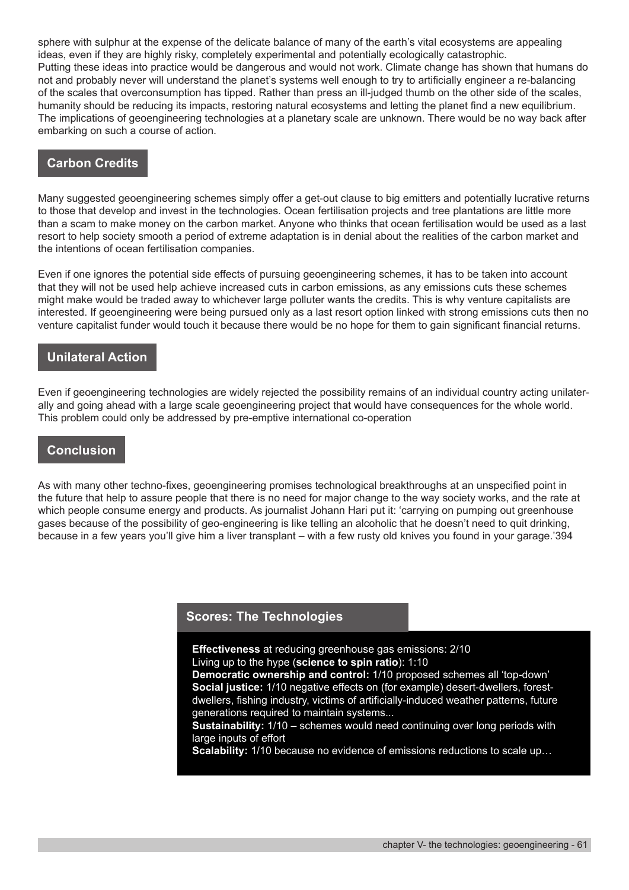sphere with sulphur at the expense of the delicate balance of many of the earth's vital ecosystems are appealing ideas, even if they are highly risky, completely experimental and potentially ecologically catastrophic. Putting these ideas into practice would be dangerous and would not work. Climate change has shown that humans do not and probably never will understand the planet's systems well enough to try to artificially engineer a re-balancing of the scales that overconsumption has tipped. Rather than press an ill-judged thumb on the other side of the scales, humanity should be reducing its impacts, restoring natural ecosystems and letting the planet find a new equilibrium. The implications of geoengineering technologies at a planetary scale are unknown. There would be no way back after embarking on such a course of action.

### **Carbon Credits**

Many suggested geoengineering schemes simply offer a get-out clause to big emitters and potentially lucrative returns to those that develop and invest in the technologies. Ocean fertilisation projects and tree plantations are little more than a scam to make money on the carbon market. Anyone who thinks that ocean fertilisation would be used as a last resort to help society smooth a period of extreme adaptation is in denial about the realities of the carbon market and the intentions of ocean fertilisation companies.

Even if one ignores the potential side effects of pursuing geoengineering schemes, it has to be taken into account that they will not be used help achieve increased cuts in carbon emissions, as any emissions cuts these schemes might make would be traded away to whichever large polluter wants the credits. This is why venture capitalists are interested. If geoengineering were being pursued only as a last resort option linked with strong emissions cuts then no venture capitalist funder would touch it because there would be no hope for them to gain significant financial returns.

#### **Unilateral Action**

Even if geoengineering technologies are widely rejected the possibility remains of an individual country acting unilaterally and going ahead with a large scale geoengineering project that would have consequences for the whole world. This problem could only be addressed by pre-emptive international co-operation

### **Conclusion**

As with many other techno-fixes, geoengineering promises technological breakthroughs at an unspecified point in the future that help to assure people that there is no need for major change to the way society works, and the rate at which people consume energy and products. As journalist Johann Hari put it: 'carrying on pumping out greenhouse gases because of the possibility of geo-engineering is like telling an alcoholic that he doesn't need to quit drinking, because in a few years you'll give him a liver transplant – with a few rusty old knives you found in your garage.'394

#### **Scores: The Technologies**

**Effectiveness** at reducing greenhouse gas emissions: 2/10 Living up to the hype (**science to spin ratio**): 1:10

**Democratic ownership and control:** 1/10 proposed schemes all 'top-down' **Social justice:** 1/10 negative effects on (for example) desert-dwellers, forestdwellers, fishing industry, victims of artificially-induced weather patterns, future generations required to maintain systems...

**Sustainability:** 1/10 – schemes would need continuing over long periods with large inputs of effort

**Scalability:** 1/10 because no evidence of emissions reductions to scale up…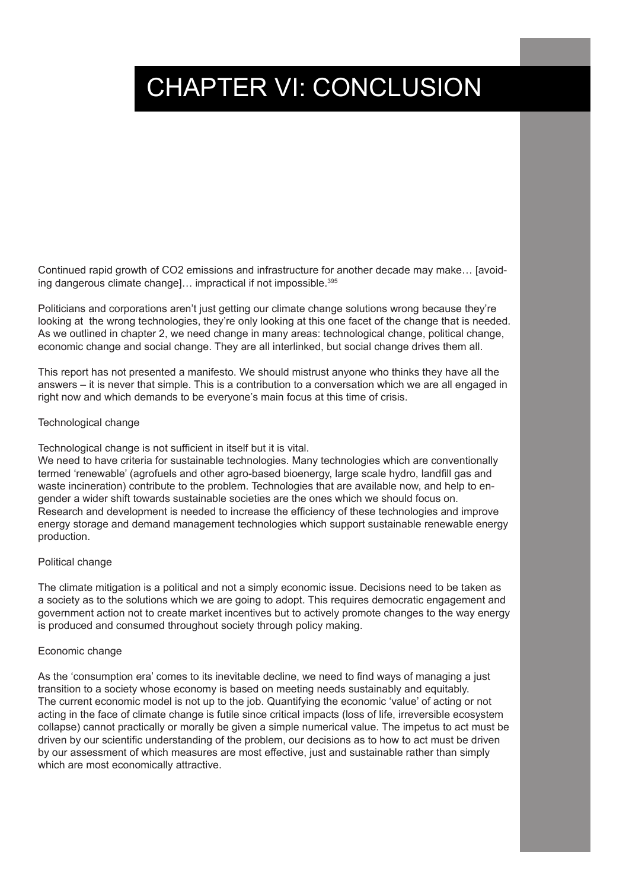# CHAPTER VI: CONCLUSION

Continued rapid growth of CO2 emissions and infrastructure for another decade may make… [avoiding dangerous climate change]... impractical if not impossible.<sup>395</sup>

Politicians and corporations aren't just getting our climate change solutions wrong because they're looking at the wrong technologies, they're only looking at this one facet of the change that is needed. As we outlined in chapter 2, we need change in many areas: technological change, political change, economic change and social change. They are all interlinked, but social change drives them all.

This report has not presented a manifesto. We should mistrust anyone who thinks they have all the answers – it is never that simple. This is a contribution to a conversation which we are all engaged in right now and which demands to be everyone's main focus at this time of crisis.

#### Technological change

Technological change is not sufficient in itself but it is vital.

We need to have criteria for sustainable technologies. Many technologies which are conventionally termed 'renewable' (agrofuels and other agro-based bioenergy, large scale hydro, landfill gas and waste incineration) contribute to the problem. Technologies that are available now, and help to engender a wider shift towards sustainable societies are the ones which we should focus on. Research and development is needed to increase the efficiency of these technologies and improve energy storage and demand management technologies which support sustainable renewable energy production.

#### Political change

The climate mitigation is a political and not a simply economic issue. Decisions need to be taken as a society as to the solutions which we are going to adopt. This requires democratic engagement and government action not to create market incentives but to actively promote changes to the way energy is produced and consumed throughout society through policy making.

#### Economic change

As the 'consumption era' comes to its inevitable decline, we need to find ways of managing a just transition to a society whose economy is based on meeting needs sustainably and equitably. The current economic model is not up to the job. Quantifying the economic 'value' of acting or not acting in the face of climate change is futile since critical impacts (loss of life, irreversible ecosystem collapse) cannot practically or morally be given a simple numerical value. The impetus to act must be driven by our scientific understanding of the problem, our decisions as to how to act must be driven by our assessment of which measures are most effective, just and sustainable rather than simply which are most economically attractive.